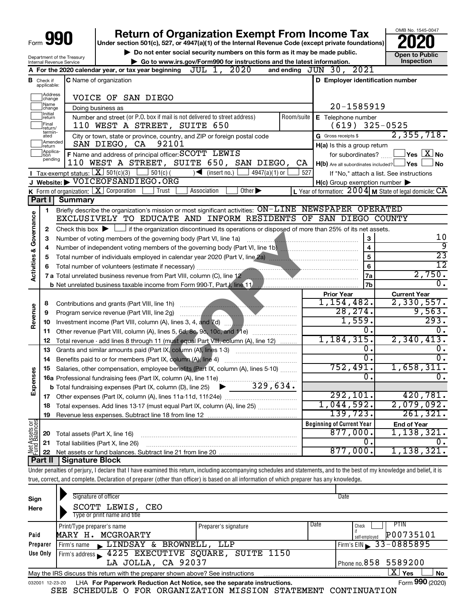| Form 990                           |                                       |                                                                   | <b>Return of Organization Exempt From Income Tax</b><br>Under section 501(c), 527, or 4947(a)(1) of the Internal Revenue Code (except private foundations)                 |            |                                                                                                                             | OMB No. 1545-0047                                         |
|------------------------------------|---------------------------------------|-------------------------------------------------------------------|----------------------------------------------------------------------------------------------------------------------------------------------------------------------------|------------|-----------------------------------------------------------------------------------------------------------------------------|-----------------------------------------------------------|
|                                    |                                       |                                                                   | Do not enter social security numbers on this form as it may be made public.                                                                                                |            |                                                                                                                             | <b>Open to Public</b>                                     |
|                                    |                                       | Department of the Treasury<br>Internal Revenue Service            | Go to www.irs.gov/Form990 for instructions and the latest information.                                                                                                     |            |                                                                                                                             | Inspection                                                |
|                                    |                                       |                                                                   | JUL 1,<br>2020<br>A For the 2020 calendar year, or tax year beginning                                                                                                      |            | and ending JUN 30, 2021                                                                                                     |                                                           |
|                                    | <b>B</b> Check if applicable:         |                                                                   | C Name of organization                                                                                                                                                     |            | D Employer identification number                                                                                            |                                                           |
|                                    | Address<br>change                     |                                                                   | VOICE OF SAN DIEGO                                                                                                                                                         |            |                                                                                                                             |                                                           |
|                                    | Name<br>change                        |                                                                   | Doing business as                                                                                                                                                          |            | 20-1585919                                                                                                                  |                                                           |
|                                    | Initial<br>return<br>Final<br>return/ |                                                                   | Number and street (or P.O. box if mail is not delivered to street address)<br>110 WEST A STREET, SUITE 650                                                                 | Room/suite | E Telephone number<br>$(619)$ 325-0525                                                                                      |                                                           |
|                                    | termin-<br>ated                       |                                                                   | City or town, state or province, country, and ZIP or foreign postal code                                                                                                   |            | G Gross receipts \$                                                                                                         | 2,355,718.                                                |
|                                    | Amended<br>return                     |                                                                   | SAN DIEGO, CA 92101                                                                                                                                                        |            | H(a) Is this a group return                                                                                                 |                                                           |
|                                    | Applica-<br>Ition                     |                                                                   | F Name and address of principal officer: SCOTT LEWIS                                                                                                                       |            | for subordinates?                                                                                                           | $\vert$ Yes $\vert$ $\overline{\mathrm{X}}$ No            |
|                                    | pending                               |                                                                   | 110 WEST A STREET, SUITE 650, SAN DIEGO, CA                                                                                                                                |            | $H(b)$ Are all subordinates included? $\Box$ Yes                                                                            | No                                                        |
|                                    |                                       |                                                                   | <b>I</b> Tax-exempt status: $X \ 501(c)(3)$<br>$501(c)$ (<br>$\sqrt{\frac{1}{1}}$ (insert no.)<br>$4947(a)(1)$ or                                                          | 527        |                                                                                                                             | If "No," attach a list. See instructions                  |
|                                    |                                       |                                                                   | J Website: VOICEOFSANDIEGO.ORG                                                                                                                                             |            | $H(c)$ Group exemption number $\blacktriangleright$                                                                         |                                                           |
|                                    |                                       |                                                                   | Other $\blacktriangleright$<br>K Form of organization: X Corporation<br>Association<br>Trust                                                                               |            |                                                                                                                             | L Year of formation: $2004$ M State of legal domicile: CA |
|                                    | Part I                                | <b>Summary</b>                                                    |                                                                                                                                                                            |            |                                                                                                                             |                                                           |
|                                    | 1                                     |                                                                   | Briefly describe the organization's mission or most significant activities: ON-LINE NEWSPAPER OPERATED                                                                     |            |                                                                                                                             |                                                           |
|                                    |                                       |                                                                   | EXCLUSIVELY TO EDUCATE AND INFORM RESIDENTS OF SAN DIEGO COUNTY                                                                                                            |            |                                                                                                                             |                                                           |
|                                    | 2                                     |                                                                   | Check this box $\blacktriangleright$ $\Box$ if the organization discontinued its operations or disposed of more than 25% of its net assets.                                |            |                                                                                                                             |                                                           |
|                                    | 3                                     | Number of voting members of the governing body (Part VI, line 1a) | 10                                                                                                                                                                         |            |                                                                                                                             |                                                           |
|                                    | 4                                     |                                                                   |                                                                                                                                                                            |            | $\overline{\mathbf{4}}$                                                                                                     | ब्र                                                       |
|                                    | 5                                     |                                                                   | Total number of individuals employed in calendar year 2020 (Part V, line 2a) manuscription continuum manuscription                                                         |            | 5                                                                                                                           | $\overline{23}$                                           |
|                                    | 6                                     |                                                                   |                                                                                                                                                                            |            | 6                                                                                                                           | $\overline{12}$                                           |
| <b>Activities &amp; Governance</b> |                                       |                                                                   | 7 a Total unrelated business revenue from Part VIII, column (C), line 12                                                                                                   |            | 7a<br><u> 1989 - Januar Jacobson, Amerikaansk politik foar de Amerikaansk politik foar de Amerikaansk politik foar de A</u> | 2,750.                                                    |
|                                    |                                       |                                                                   |                                                                                                                                                                            |            | 7b                                                                                                                          | σ.                                                        |
|                                    |                                       |                                                                   |                                                                                                                                                                            |            | <b>Prior Year</b>                                                                                                           | <b>Current Year</b>                                       |
|                                    | 8                                     |                                                                   |                                                                                                                                                                            |            | 1,154,482.                                                                                                                  | 2,330,557.                                                |
| Revenue                            | 9                                     |                                                                   |                                                                                                                                                                            |            | 28, 274.                                                                                                                    | 9,563.                                                    |
|                                    | 10                                    |                                                                   |                                                                                                                                                                            |            | 1,559.                                                                                                                      | 293.                                                      |
|                                    | 11                                    |                                                                   | Other revenue (Part VIII, column (A), lines 5, 6d, 8c, 9c, 10c, and 11e)                                                                                                   |            | σ.                                                                                                                          | 0.                                                        |
|                                    | 12                                    |                                                                   | Total revenue - add lines 8 through 11 (must equal Part VIII, column (A), line 12)                                                                                         |            | 1,184,315.                                                                                                                  | 2,340,413.                                                |
|                                    | 13                                    |                                                                   | Grants and similar amounts paid (Part IX, column (A), lines 1-3)                                                                                                           |            | ο.                                                                                                                          | 0.                                                        |
|                                    | 14                                    |                                                                   |                                                                                                                                                                            |            | σ.                                                                                                                          | $\overline{0}$ .                                          |
| ဖွာ                                |                                       |                                                                   | 15 Salaries, other compensation, employee benefits (Part IX, column (A), lines 5-10)                                                                                       |            | 752,491.                                                                                                                    | 1,658,311.                                                |
| Expense                            |                                       |                                                                   | 16a Professional fundraising fees (Part IX, column (A), line 11e)                                                                                                          |            | $\overline{0}$ .                                                                                                            | $\overline{0}$ .                                          |
|                                    |                                       |                                                                   | 329,634.<br><b>b</b> Total fundraising expenses (Part IX, column (D), line 25)                                                                                             |            |                                                                                                                             |                                                           |
|                                    | 17                                    |                                                                   |                                                                                                                                                                            |            | 292,101.                                                                                                                    | 420,781.                                                  |
|                                    | 18                                    |                                                                   | Total expenses. Add lines 13-17 (must equal Part IX, column (A), line 25)                                                                                                  |            | 1,044,592.                                                                                                                  | 2,079,092.                                                |
|                                    | 19                                    |                                                                   |                                                                                                                                                                            |            | 139,723.                                                                                                                    | 261,321.                                                  |
| Net Assets or<br>Fund Balances     |                                       |                                                                   |                                                                                                                                                                            |            | <b>Beginning of Current Year</b>                                                                                            | <b>End of Year</b>                                        |
|                                    | 20                                    |                                                                   | Total assets (Part X, line 16)                                                                                                                                             |            | 877,000.                                                                                                                    | 1,138,321.                                                |
|                                    | 21                                    |                                                                   | Total liabilities (Part X, line 26)                                                                                                                                        |            | 0.                                                                                                                          | ο.                                                        |
|                                    | 22                                    |                                                                   |                                                                                                                                                                            |            | 877,000.                                                                                                                    | 1,138,321.                                                |
|                                    | Part II                               | Signature Block                                                   |                                                                                                                                                                            |            |                                                                                                                             |                                                           |
|                                    |                                       |                                                                   | Under penalties of perjury, I declare that I have examined this return, including accompanying schedules and statements, and to the best of my knowledge and belief, it is |            |                                                                                                                             |                                                           |
|                                    |                                       |                                                                   | true, correct, and complete. Declaration of preparer (other than officer) is based on all information of which preparer has any knowledge.                                 |            |                                                                                                                             |                                                           |
|                                    |                                       |                                                                   |                                                                                                                                                                            |            |                                                                                                                             |                                                           |
| Sign                               |                                       |                                                                   | Signature of officer<br>COOMM TEWTC<br>∩ הי                                                                                                                                |            | Date                                                                                                                        |                                                           |

| Here     | SCOTT LEWIS, CEO                                                                                             |                      |      |                           |                       |  |  |  |  |  |
|----------|--------------------------------------------------------------------------------------------------------------|----------------------|------|---------------------------|-----------------------|--|--|--|--|--|
|          | Type or print name and title                                                                                 |                      |      |                           |                       |  |  |  |  |  |
|          | Print/Type preparer's name                                                                                   | Preparer's signature | Date | Check                     | <b>PTIN</b>           |  |  |  |  |  |
| Paid     | MARY H. MCGROARTY                                                                                            |                      |      | self-employed             | P00735101             |  |  |  |  |  |
| Preparer | Firm's name LINDSAY & BROWNELL, LLP                                                                          |                      |      |                           | Firm's EIN 33-0885895 |  |  |  |  |  |
| Use Only | Firm's address 1225 EXECUTIVE SQUARE, SUITE 1150                                                             |                      |      |                           |                       |  |  |  |  |  |
|          | LA JOLLA, CA 92037                                                                                           |                      |      | $1$ Phone no. 858 5589200 |                       |  |  |  |  |  |
|          | $\mathbf{X}$ Yes<br>No<br>May the IRS discuss this return with the preparer shown above? See instructions    |                      |      |                           |                       |  |  |  |  |  |
|          | Form 990 (2020)<br>LHA For Paperwork Reduction Act Notice, see the separate instructions.<br>032001 12-23-20 |                      |      |                           |                       |  |  |  |  |  |

SEE SCHEDULE O FOR ORGANIZATION MISSION STATEMENT CONTINUATION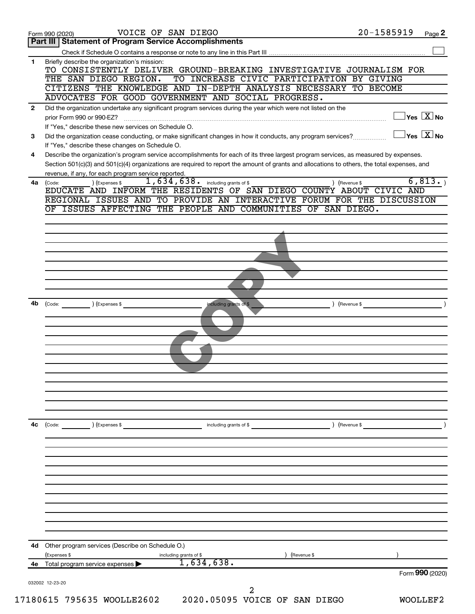| <b>Part III   Statement of Program Service Accomplishments</b><br>Briefly describe the organization's mission:<br>TO CONSISTENTLY DELIVER GROUND-BREAKING INVESTIGATIVE JOURNALISM FOR<br>TO INCREASE CIVIC PARTICIPATION BY GIVING<br>THE SAN DIEGO REGION.<br>CITIZENS THE KNOWLEDGE AND IN-DEPTH ANALYSIS NECESSARY TO BECOME<br>ADVOCATES FOR GOOD GOVERNMENT AND SOCIAL PROGRESS.<br>Did the organization undertake any significant program services during the year which were not listed on the<br>prior Form 990 or 990-EZ?<br>If "Yes," describe these new services on Schedule O.<br>Did the organization cease conducting, or make significant changes in how it conducts, any program services?<br>If "Yes," describe these changes on Schedule O.<br>Describe the organization's program service accomplishments for each of its three largest program services, as measured by expenses.<br>Section 501(c)(3) and 501(c)(4) organizations are required to report the amount of grants and allocations to others, the total expenses, and<br>revenue, if any, for each program service reported.<br>$1,634,638$ $\ldots$ including grants of \$<br>) (Expenses \$<br>) (Revenue \$<br>EDUCATE AND INFORM THE RESIDENTS OF SAN DIEGO COUNTY ABOUT CIVIC AND | $\overline{\ }$ Yes $\overline{\ \ \ }$ No<br>$\exists$ Yes $\boxed{\text{X}}$ No |
|-------------------------------------------------------------------------------------------------------------------------------------------------------------------------------------------------------------------------------------------------------------------------------------------------------------------------------------------------------------------------------------------------------------------------------------------------------------------------------------------------------------------------------------------------------------------------------------------------------------------------------------------------------------------------------------------------------------------------------------------------------------------------------------------------------------------------------------------------------------------------------------------------------------------------------------------------------------------------------------------------------------------------------------------------------------------------------------------------------------------------------------------------------------------------------------------------------------------------------------------------------------------------|-----------------------------------------------------------------------------------|
|                                                                                                                                                                                                                                                                                                                                                                                                                                                                                                                                                                                                                                                                                                                                                                                                                                                                                                                                                                                                                                                                                                                                                                                                                                                                         |                                                                                   |
|                                                                                                                                                                                                                                                                                                                                                                                                                                                                                                                                                                                                                                                                                                                                                                                                                                                                                                                                                                                                                                                                                                                                                                                                                                                                         |                                                                                   |
|                                                                                                                                                                                                                                                                                                                                                                                                                                                                                                                                                                                                                                                                                                                                                                                                                                                                                                                                                                                                                                                                                                                                                                                                                                                                         |                                                                                   |
|                                                                                                                                                                                                                                                                                                                                                                                                                                                                                                                                                                                                                                                                                                                                                                                                                                                                                                                                                                                                                                                                                                                                                                                                                                                                         |                                                                                   |
|                                                                                                                                                                                                                                                                                                                                                                                                                                                                                                                                                                                                                                                                                                                                                                                                                                                                                                                                                                                                                                                                                                                                                                                                                                                                         |                                                                                   |
|                                                                                                                                                                                                                                                                                                                                                                                                                                                                                                                                                                                                                                                                                                                                                                                                                                                                                                                                                                                                                                                                                                                                                                                                                                                                         |                                                                                   |
|                                                                                                                                                                                                                                                                                                                                                                                                                                                                                                                                                                                                                                                                                                                                                                                                                                                                                                                                                                                                                                                                                                                                                                                                                                                                         |                                                                                   |
|                                                                                                                                                                                                                                                                                                                                                                                                                                                                                                                                                                                                                                                                                                                                                                                                                                                                                                                                                                                                                                                                                                                                                                                                                                                                         |                                                                                   |
|                                                                                                                                                                                                                                                                                                                                                                                                                                                                                                                                                                                                                                                                                                                                                                                                                                                                                                                                                                                                                                                                                                                                                                                                                                                                         |                                                                                   |
|                                                                                                                                                                                                                                                                                                                                                                                                                                                                                                                                                                                                                                                                                                                                                                                                                                                                                                                                                                                                                                                                                                                                                                                                                                                                         |                                                                                   |
|                                                                                                                                                                                                                                                                                                                                                                                                                                                                                                                                                                                                                                                                                                                                                                                                                                                                                                                                                                                                                                                                                                                                                                                                                                                                         |                                                                                   |
|                                                                                                                                                                                                                                                                                                                                                                                                                                                                                                                                                                                                                                                                                                                                                                                                                                                                                                                                                                                                                                                                                                                                                                                                                                                                         |                                                                                   |
|                                                                                                                                                                                                                                                                                                                                                                                                                                                                                                                                                                                                                                                                                                                                                                                                                                                                                                                                                                                                                                                                                                                                                                                                                                                                         |                                                                                   |
|                                                                                                                                                                                                                                                                                                                                                                                                                                                                                                                                                                                                                                                                                                                                                                                                                                                                                                                                                                                                                                                                                                                                                                                                                                                                         | 6, 813.                                                                           |
| REGIONAL ISSUES AND TO PROVIDE AN INTERACTIVE FORUM FOR THE DISCUSSION                                                                                                                                                                                                                                                                                                                                                                                                                                                                                                                                                                                                                                                                                                                                                                                                                                                                                                                                                                                                                                                                                                                                                                                                  |                                                                                   |
| OF ISSUES AFFECTING THE PEOPLE AND COMMUNITIES OF SAN DIEGO.                                                                                                                                                                                                                                                                                                                                                                                                                                                                                                                                                                                                                                                                                                                                                                                                                                                                                                                                                                                                                                                                                                                                                                                                            |                                                                                   |
|                                                                                                                                                                                                                                                                                                                                                                                                                                                                                                                                                                                                                                                                                                                                                                                                                                                                                                                                                                                                                                                                                                                                                                                                                                                                         |                                                                                   |
|                                                                                                                                                                                                                                                                                                                                                                                                                                                                                                                                                                                                                                                                                                                                                                                                                                                                                                                                                                                                                                                                                                                                                                                                                                                                         |                                                                                   |
|                                                                                                                                                                                                                                                                                                                                                                                                                                                                                                                                                                                                                                                                                                                                                                                                                                                                                                                                                                                                                                                                                                                                                                                                                                                                         |                                                                                   |
|                                                                                                                                                                                                                                                                                                                                                                                                                                                                                                                                                                                                                                                                                                                                                                                                                                                                                                                                                                                                                                                                                                                                                                                                                                                                         |                                                                                   |
|                                                                                                                                                                                                                                                                                                                                                                                                                                                                                                                                                                                                                                                                                                                                                                                                                                                                                                                                                                                                                                                                                                                                                                                                                                                                         |                                                                                   |
|                                                                                                                                                                                                                                                                                                                                                                                                                                                                                                                                                                                                                                                                                                                                                                                                                                                                                                                                                                                                                                                                                                                                                                                                                                                                         |                                                                                   |
|                                                                                                                                                                                                                                                                                                                                                                                                                                                                                                                                                                                                                                                                                                                                                                                                                                                                                                                                                                                                                                                                                                                                                                                                                                                                         |                                                                                   |
|                                                                                                                                                                                                                                                                                                                                                                                                                                                                                                                                                                                                                                                                                                                                                                                                                                                                                                                                                                                                                                                                                                                                                                                                                                                                         |                                                                                   |
| including grants of \$<br>(Code: ) (Expenses \$                                                                                                                                                                                                                                                                                                                                                                                                                                                                                                                                                                                                                                                                                                                                                                                                                                                                                                                                                                                                                                                                                                                                                                                                                         | ) (Revenue \$                                                                     |
|                                                                                                                                                                                                                                                                                                                                                                                                                                                                                                                                                                                                                                                                                                                                                                                                                                                                                                                                                                                                                                                                                                                                                                                                                                                                         |                                                                                   |
|                                                                                                                                                                                                                                                                                                                                                                                                                                                                                                                                                                                                                                                                                                                                                                                                                                                                                                                                                                                                                                                                                                                                                                                                                                                                         |                                                                                   |
|                                                                                                                                                                                                                                                                                                                                                                                                                                                                                                                                                                                                                                                                                                                                                                                                                                                                                                                                                                                                                                                                                                                                                                                                                                                                         |                                                                                   |
|                                                                                                                                                                                                                                                                                                                                                                                                                                                                                                                                                                                                                                                                                                                                                                                                                                                                                                                                                                                                                                                                                                                                                                                                                                                                         |                                                                                   |
|                                                                                                                                                                                                                                                                                                                                                                                                                                                                                                                                                                                                                                                                                                                                                                                                                                                                                                                                                                                                                                                                                                                                                                                                                                                                         |                                                                                   |
|                                                                                                                                                                                                                                                                                                                                                                                                                                                                                                                                                                                                                                                                                                                                                                                                                                                                                                                                                                                                                                                                                                                                                                                                                                                                         |                                                                                   |
|                                                                                                                                                                                                                                                                                                                                                                                                                                                                                                                                                                                                                                                                                                                                                                                                                                                                                                                                                                                                                                                                                                                                                                                                                                                                         |                                                                                   |
|                                                                                                                                                                                                                                                                                                                                                                                                                                                                                                                                                                                                                                                                                                                                                                                                                                                                                                                                                                                                                                                                                                                                                                                                                                                                         |                                                                                   |
|                                                                                                                                                                                                                                                                                                                                                                                                                                                                                                                                                                                                                                                                                                                                                                                                                                                                                                                                                                                                                                                                                                                                                                                                                                                                         |                                                                                   |
|                                                                                                                                                                                                                                                                                                                                                                                                                                                                                                                                                                                                                                                                                                                                                                                                                                                                                                                                                                                                                                                                                                                                                                                                                                                                         |                                                                                   |
| (Code: ) (Expenses \$<br>including grants of \$                                                                                                                                                                                                                                                                                                                                                                                                                                                                                                                                                                                                                                                                                                                                                                                                                                                                                                                                                                                                                                                                                                                                                                                                                         | ) (Revenue \$                                                                     |
|                                                                                                                                                                                                                                                                                                                                                                                                                                                                                                                                                                                                                                                                                                                                                                                                                                                                                                                                                                                                                                                                                                                                                                                                                                                                         |                                                                                   |
|                                                                                                                                                                                                                                                                                                                                                                                                                                                                                                                                                                                                                                                                                                                                                                                                                                                                                                                                                                                                                                                                                                                                                                                                                                                                         |                                                                                   |
|                                                                                                                                                                                                                                                                                                                                                                                                                                                                                                                                                                                                                                                                                                                                                                                                                                                                                                                                                                                                                                                                                                                                                                                                                                                                         |                                                                                   |
|                                                                                                                                                                                                                                                                                                                                                                                                                                                                                                                                                                                                                                                                                                                                                                                                                                                                                                                                                                                                                                                                                                                                                                                                                                                                         |                                                                                   |
|                                                                                                                                                                                                                                                                                                                                                                                                                                                                                                                                                                                                                                                                                                                                                                                                                                                                                                                                                                                                                                                                                                                                                                                                                                                                         |                                                                                   |
|                                                                                                                                                                                                                                                                                                                                                                                                                                                                                                                                                                                                                                                                                                                                                                                                                                                                                                                                                                                                                                                                                                                                                                                                                                                                         |                                                                                   |
|                                                                                                                                                                                                                                                                                                                                                                                                                                                                                                                                                                                                                                                                                                                                                                                                                                                                                                                                                                                                                                                                                                                                                                                                                                                                         |                                                                                   |
|                                                                                                                                                                                                                                                                                                                                                                                                                                                                                                                                                                                                                                                                                                                                                                                                                                                                                                                                                                                                                                                                                                                                                                                                                                                                         |                                                                                   |
|                                                                                                                                                                                                                                                                                                                                                                                                                                                                                                                                                                                                                                                                                                                                                                                                                                                                                                                                                                                                                                                                                                                                                                                                                                                                         |                                                                                   |
|                                                                                                                                                                                                                                                                                                                                                                                                                                                                                                                                                                                                                                                                                                                                                                                                                                                                                                                                                                                                                                                                                                                                                                                                                                                                         |                                                                                   |
|                                                                                                                                                                                                                                                                                                                                                                                                                                                                                                                                                                                                                                                                                                                                                                                                                                                                                                                                                                                                                                                                                                                                                                                                                                                                         |                                                                                   |
| 4d Other program services (Describe on Schedule O.)                                                                                                                                                                                                                                                                                                                                                                                                                                                                                                                                                                                                                                                                                                                                                                                                                                                                                                                                                                                                                                                                                                                                                                                                                     |                                                                                   |
| (Revenue \$<br>(Expenses \$<br>including grants of \$                                                                                                                                                                                                                                                                                                                                                                                                                                                                                                                                                                                                                                                                                                                                                                                                                                                                                                                                                                                                                                                                                                                                                                                                                   |                                                                                   |
| 1,634,638.<br>Total program service expenses                                                                                                                                                                                                                                                                                                                                                                                                                                                                                                                                                                                                                                                                                                                                                                                                                                                                                                                                                                                                                                                                                                                                                                                                                            | Form 990 (2020)                                                                   |
|                                                                                                                                                                                                                                                                                                                                                                                                                                                                                                                                                                                                                                                                                                                                                                                                                                                                                                                                                                                                                                                                                                                                                                                                                                                                         |                                                                                   |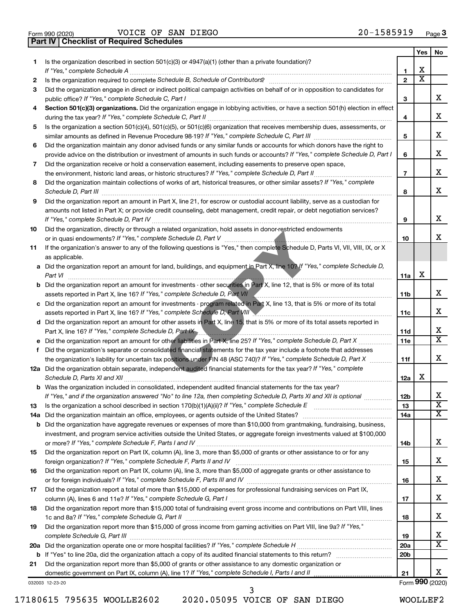|  | Form 990 (2020) |
|--|-----------------|

Form 990 (2020) Page VOICE OF SAN DIEGO 20-1585919 **Part IV Checklist of Required Schedules**

|     |                                                                                                                                                                                                                                                   |                 | Yes | No                           |
|-----|---------------------------------------------------------------------------------------------------------------------------------------------------------------------------------------------------------------------------------------------------|-----------------|-----|------------------------------|
| 1   | Is the organization described in section $501(c)(3)$ or $4947(a)(1)$ (other than a private foundation)?                                                                                                                                           |                 |     |                              |
|     | If "Yes," complete Schedule A                                                                                                                                                                                                                     | $\mathbf{1}$    | X   |                              |
| 2   | Is the organization required to complete Schedule B, Schedule of Contributors? [111] [12] the organization required to complete Schedule B, Schedule of Contributors?                                                                             | $\overline{2}$  | x   |                              |
| З   | Did the organization engage in direct or indirect political campaign activities on behalf of or in opposition to candidates for                                                                                                                   |                 |     | x                            |
|     |                                                                                                                                                                                                                                                   | 3               |     |                              |
| 4   | Section 501(c)(3) organizations. Did the organization engage in lobbying activities, or have a section 501(h) election in effect                                                                                                                  | 4               |     | x                            |
| 5   | Is the organization a section 501(c)(4), 501(c)(5), or 501(c)(6) organization that receives membership dues, assessments, or                                                                                                                      |                 |     |                              |
|     |                                                                                                                                                                                                                                                   | 5               |     | х                            |
| 6   | Did the organization maintain any donor advised funds or any similar funds or accounts for which donors have the right to                                                                                                                         |                 |     |                              |
|     | provide advice on the distribution or investment of amounts in such funds or accounts? If "Yes," complete Schedule D, Part I                                                                                                                      | 6               |     | x                            |
| 7   | Did the organization receive or hold a conservation easement, including easements to preserve open space,                                                                                                                                         |                 |     |                              |
|     |                                                                                                                                                                                                                                                   | $\overline{7}$  |     | x                            |
| 8   | Did the organization maintain collections of works of art, historical treasures, or other similar assets? If "Yes," complete                                                                                                                      |                 |     |                              |
|     | Schedule D, Part III <b>Marting Communities</b> Contract and Contract and Contract and Contract and Contract and Contract and Contract and Contract and Contract and Contract and Contract and Contract and Contract and Contract a               | 8               |     | x                            |
| 9   | Did the organization report an amount in Part X, line 21, for escrow or custodial account liability, serve as a custodian for                                                                                                                     |                 |     |                              |
|     | amounts not listed in Part X; or provide credit counseling, debt management, credit repair, or debt negotiation services?                                                                                                                         |                 |     |                              |
|     |                                                                                                                                                                                                                                                   | 9               |     | x                            |
| 10  | Did the organization, directly or through a related organization, hold assets in donor-restricted endowments                                                                                                                                      |                 |     | х                            |
| 11  | If the organization's answer to any of the following questions is "Yes," then complete Schedule D, Parts VI, VII, VIII, IX, or X                                                                                                                  | 10              |     |                              |
|     | as applicable.                                                                                                                                                                                                                                    |                 |     |                              |
|     | a Did the organization report an amount for land, buildings, and equipment in Part X, line 10? If "Yes," complete Schedule D,                                                                                                                     |                 |     |                              |
|     | Part VI                                                                                                                                                                                                                                           | 11a             | X   |                              |
|     | <b>b</b> Did the organization report an amount for investments - other securities in Part X, line 12, that is 5% or more of its total                                                                                                             |                 |     |                              |
|     | assets reported in Part X, line 16? If "Yes," complete Schedule D, Part VII (Communication continuum communication control of the Schedule D, Part VII (Communication continuum)                                                                  | 11b             |     | x                            |
|     | c Did the organization report an amount for investments - program related in Part X, line 13, that is 5% or more of its total                                                                                                                     |                 |     |                              |
|     | assets reported in Part X, line 16? If "Yes," complete Schedule D, Part VIII Manumerrow manumerrow manumerrow                                                                                                                                     | 11c             |     | х                            |
|     | d Did the organization report an amount for other assets in Part X, line 15, that is 5% or more of its total assets reported in                                                                                                                   |                 |     |                              |
|     | Part X, line 16? If "Yes," complete Schedule D, Part IX                                                                                                                                                                                           | 11d             |     | x<br>$\overline{\mathtt{x}}$ |
|     |                                                                                                                                                                                                                                                   | 11e             |     |                              |
| f.  | Did the organization's separate or consolidated financial statements for the tax year include a footnote that addresses<br>the organization's liability for uncertain tax positions under FIN 48 (ASC 740)? If "Yes," complete Schedule D, Part X | 11f             |     | x                            |
|     | 12a Did the organization obtain separate, independent audited financial statements for the tax year? If "Yes," complete                                                                                                                           |                 |     |                              |
|     |                                                                                                                                                                                                                                                   | 12a             | х   |                              |
|     | <b>b</b> Was the organization included in consolidated, independent audited financial statements for the tax year?                                                                                                                                |                 |     |                              |
|     | If "Yes," and if the organization answered "No" to line 12a, then completing Schedule D, Parts XI and XII is optional                                                                                                                             | 12 <sub>b</sub> |     |                              |
| 13  |                                                                                                                                                                                                                                                   | 13              |     | $\overline{\textbf{x}}$      |
| 14a |                                                                                                                                                                                                                                                   | 14a             |     | $\overline{\mathbf{X}}$      |
| b   | Did the organization have aggregate revenues or expenses of more than \$10,000 from grantmaking, fundraising, business,                                                                                                                           |                 |     |                              |
|     | investment, and program service activities outside the United States, or aggregate foreign investments valued at \$100,000                                                                                                                        |                 |     |                              |
|     |                                                                                                                                                                                                                                                   | 14b             |     | х                            |
| 15  | Did the organization report on Part IX, column (A), line 3, more than \$5,000 of grants or other assistance to or for any                                                                                                                         |                 |     |                              |
|     |                                                                                                                                                                                                                                                   | 15              |     | x                            |
| 16  | Did the organization report on Part IX, column (A), line 3, more than \$5,000 of aggregate grants or other assistance to                                                                                                                          |                 |     | x                            |
| 17  | Did the organization report a total of more than \$15,000 of expenses for professional fundraising services on Part IX,                                                                                                                           | 16              |     |                              |
|     |                                                                                                                                                                                                                                                   | 17              |     | х                            |
| 18  | Did the organization report more than \$15,000 total of fundraising event gross income and contributions on Part VIII, lines                                                                                                                      |                 |     |                              |
|     |                                                                                                                                                                                                                                                   | 18              |     | x                            |
| 19  | Did the organization report more than \$15,000 of gross income from gaming activities on Part VIII, line 9a? If "Yes,"                                                                                                                            |                 |     |                              |
|     |                                                                                                                                                                                                                                                   | 19              |     | x                            |
| 20a |                                                                                                                                                                                                                                                   | 20a             |     | $\overline{\text{X}}$        |
| b   |                                                                                                                                                                                                                                                   | 20 <sub>b</sub> |     |                              |
| 21  | Did the organization report more than \$5,000 of grants or other assistance to any domestic organization or                                                                                                                                       |                 |     |                              |
|     |                                                                                                                                                                                                                                                   | 21              |     | x<br>Form 990 (2020)         |
|     | 032003 12-23-20                                                                                                                                                                                                                                   |                 |     |                              |

17180615 795635 WOOLLE2602 2020.05095 VOICE OF SAN DIEGO WOOLLEF2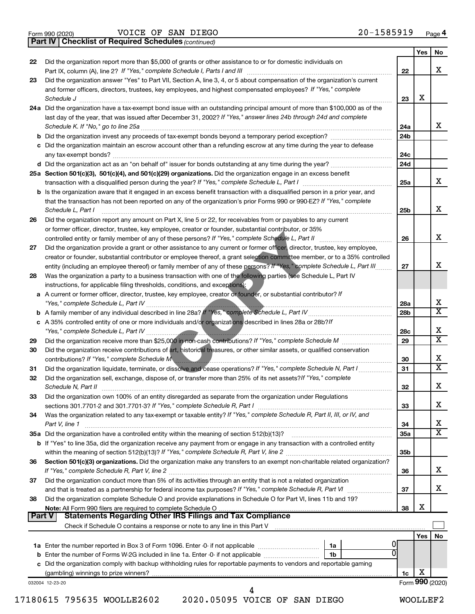|  | Form 990 (2020) |
|--|-----------------|
|  |                 |

Form 990 (2020) Page VOICE OF SAN DIEGO 20-1585919

*(continued)* **Part IV Checklist of Required Schedules**

|               |                                                                                                                                                                                                                                |                        | Yes             | No                      |
|---------------|--------------------------------------------------------------------------------------------------------------------------------------------------------------------------------------------------------------------------------|------------------------|-----------------|-------------------------|
| 22            | Did the organization report more than \$5,000 of grants or other assistance to or for domestic individuals on                                                                                                                  |                        |                 |                         |
|               | Part IX, column (A), line 2? If "Yes," complete Schedule I, Parts I and III                                                                                                                                                    | 22                     |                 | x                       |
| 23            | Did the organization answer "Yes" to Part VII, Section A, line 3, 4, or 5 about compensation of the organization's current                                                                                                     |                        |                 |                         |
|               | and former officers, directors, trustees, key employees, and highest compensated employees? If "Yes," complete                                                                                                                 |                        | х               |                         |
|               | Schedule J<br>24a Did the organization have a tax-exempt bond issue with an outstanding principal amount of more than \$100,000 as of the                                                                                      | 23                     |                 |                         |
|               | last day of the year, that was issued after December 31, 2002? If "Yes," answer lines 24b through 24d and complete                                                                                                             |                        |                 |                         |
|               | Schedule K. If "No," go to line 25a                                                                                                                                                                                            | 24a                    |                 | x                       |
|               |                                                                                                                                                                                                                                | 24 <sub>b</sub>        |                 |                         |
|               | c Did the organization maintain an escrow account other than a refunding escrow at any time during the year to defease                                                                                                         |                        |                 |                         |
|               | any tax-exempt bonds?                                                                                                                                                                                                          | 24c                    |                 |                         |
|               |                                                                                                                                                                                                                                | 24d                    |                 |                         |
|               | 25a Section 501(c)(3), 501(c)(4), and 501(c)(29) organizations. Did the organization engage in an excess benefit                                                                                                               |                        |                 |                         |
|               |                                                                                                                                                                                                                                | 25a                    |                 | x                       |
|               | <b>b</b> Is the organization aware that it engaged in an excess benefit transaction with a disqualified person in a prior year, and                                                                                            |                        |                 |                         |
|               | that the transaction has not been reported on any of the organization's prior Forms 990 or 990-EZ? If "Yes," complete                                                                                                          |                        |                 |                         |
|               | Schedule L, Part I                                                                                                                                                                                                             | 25b                    |                 | х                       |
| 26            | Did the organization report any amount on Part X, line 5 or 22, for receivables from or payables to any current                                                                                                                |                        |                 |                         |
|               | or former officer, director, trustee, key employee, creator or founder, substantial contributor, or 35%                                                                                                                        |                        |                 |                         |
|               |                                                                                                                                                                                                                                | 26                     |                 | х                       |
| 27            | Did the organization provide a grant or other assistance to any current or former officer, director, trustee, key employee,                                                                                                    |                        |                 |                         |
|               | creator or founder, substantial contributor or employee thereof, a grant selection committee member, or to a 35% controlled                                                                                                    |                        |                 |                         |
|               | entity (including an employee thereof) or family member of any of these persons? If "Yes," complete Schedule L, Part III                                                                                                       | 27                     |                 | x                       |
| 28            | Was the organization a party to a business transaction with one of the following parties (see Schedule L, Part IV                                                                                                              |                        |                 |                         |
|               | instructions, for applicable filing thresholds, conditions, and exceptions):                                                                                                                                                   |                        |                 |                         |
|               | a A current or former officer, director, trustee, key employee, creator or founder, or substantial contributor? If                                                                                                             |                        |                 | X                       |
|               |                                                                                                                                                                                                                                | 28a<br>28 <sub>b</sub> |                 | $\overline{\texttt{x}}$ |
|               | c A 35% controlled entity of one or more individuals and/or organizations described in lines 28a or 28b?/f                                                                                                                     |                        |                 |                         |
|               | "Yes," complete Schedule L, Part IV                                                                                                                                                                                            | 28c                    |                 | х                       |
| 29            |                                                                                                                                                                                                                                | 29                     |                 | $\overline{\text{x}}$   |
| 30            | Did the organization receive contributions of art, historical treasures, or other similar assets, or qualified conservation                                                                                                    |                        |                 |                         |
|               | contributions? If "Yes," complete Schedule M                                                                                                                                                                                   | 30                     |                 | x                       |
| 31            | Did the organization liquidate, terminate, or dissolve and cease operations? If "Yes," complete Schedule N, Part I                                                                                                             | 31                     |                 | $\overline{\texttt{x}}$ |
| 32            | Did the organization sell, exchange, dispose of, or transfer more than 25% of its net assets? If "Yes," complete                                                                                                               |                        |                 |                         |
|               | Schedule N, Part II                                                                                                                                                                                                            | 32                     |                 | х                       |
| 33            | Did the organization own 100% of an entity disregarded as separate from the organization under Regulations                                                                                                                     |                        |                 |                         |
|               |                                                                                                                                                                                                                                | 33                     |                 | х                       |
| 34            | Was the organization related to any tax-exempt or taxable entity? If "Yes," complete Schedule R, Part II, III, or IV, and                                                                                                      |                        |                 |                         |
|               | Part V, line 1                                                                                                                                                                                                                 | 34                     |                 | х                       |
|               |                                                                                                                                                                                                                                | 35a                    |                 | $\overline{\text{X}}$   |
|               | b If "Yes" to line 35a, did the organization receive any payment from or engage in any transaction with a controlled entity                                                                                                    |                        |                 |                         |
|               |                                                                                                                                                                                                                                | 35b                    |                 |                         |
| 36            | Section 501(c)(3) organizations. Did the organization make any transfers to an exempt non-charitable related organization?                                                                                                     |                        |                 |                         |
|               |                                                                                                                                                                                                                                | 36                     |                 | x                       |
| 37            | Did the organization conduct more than 5% of its activities through an entity that is not a related organization                                                                                                               |                        |                 | x                       |
|               | and that is treated as a partnership for federal income tax purposes? If "Yes," complete Schedule R, Part VI<br>Did the organization complete Schedule O and provide explanations in Schedule O for Part VI, lines 11b and 19? | 37                     |                 |                         |
| 38            |                                                                                                                                                                                                                                | 38                     | х               |                         |
| <b>Part V</b> | <b>Statements Regarding Other IRS Filings and Tax Compliance</b>                                                                                                                                                               |                        |                 |                         |
|               |                                                                                                                                                                                                                                |                        |                 |                         |
|               |                                                                                                                                                                                                                                |                        | Yes             | No                      |
|               | 1a                                                                                                                                                                                                                             |                        |                 |                         |
|               | 0<br>1b                                                                                                                                                                                                                        |                        |                 |                         |
|               | c Did the organization comply with backup withholding rules for reportable payments to vendors and reportable gaming                                                                                                           |                        |                 |                         |
|               |                                                                                                                                                                                                                                | 1c                     | х               |                         |
|               | 032004 12-23-20                                                                                                                                                                                                                |                        | Form 990 (2020) |                         |
|               | 4                                                                                                                                                                                                                              |                        |                 |                         |

17180615 795635 WOOLLE2602 2020.05095 VOICE OF SAN DIEGO WOOLLEF2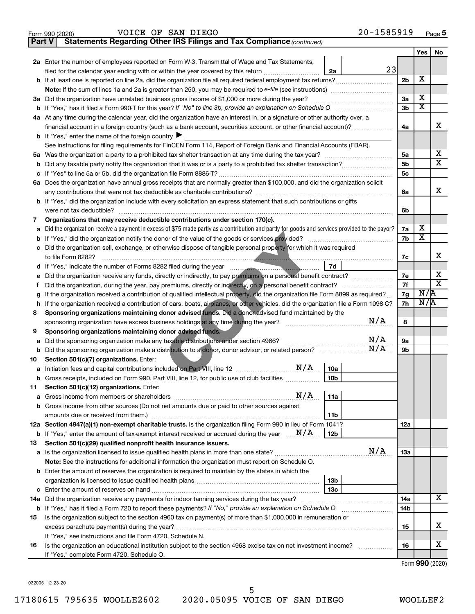| Form 990 (2020) | DIEGO<br>SAN<br>VOICE<br>ΟF | 1585919<br>$20 -$<br>Page 5 |
|-----------------|-----------------------------|-----------------------------|
|-----------------|-----------------------------|-----------------------------|

| Part V | Statements Regarding Other IRS Filings and Tax Compliance (continued)                                                                           |                 |     |                         |                              |  |  |
|--------|-------------------------------------------------------------------------------------------------------------------------------------------------|-----------------|-----|-------------------------|------------------------------|--|--|
|        |                                                                                                                                                 |                 |     | Yes                     | No                           |  |  |
|        | 2a Enter the number of employees reported on Form W-3, Transmittal of Wage and Tax Statements,                                                  |                 |     |                         |                              |  |  |
|        | filed for the calendar year ending with or within the year covered by this return                                                               | 23<br>2a        |     |                         |                              |  |  |
|        | b If at least one is reported on line 2a, did the organization file all required federal employment tax returns?                                |                 | 2b  | Х                       |                              |  |  |
|        |                                                                                                                                                 |                 |     |                         |                              |  |  |
|        | 3a Did the organization have unrelated business gross income of \$1,000 or more during the year?                                                |                 | За  | Х                       |                              |  |  |
|        |                                                                                                                                                 |                 | 3b  | $\overline{\mathbf{X}}$ |                              |  |  |
|        | 4a At any time during the calendar year, did the organization have an interest in, or a signature or other authority over, a                    |                 |     |                         |                              |  |  |
|        | financial account in a foreign country (such as a bank account, securities account, or other financial account)?                                |                 | 4a  |                         | x                            |  |  |
|        | <b>b</b> If "Yes," enter the name of the foreign country $\blacktriangleright$                                                                  |                 |     |                         |                              |  |  |
|        | See instructions for filing requirements for FinCEN Form 114, Report of Foreign Bank and Financial Accounts (FBAR).                             |                 |     |                         |                              |  |  |
| 5a     |                                                                                                                                                 |                 | 5a  |                         | х<br>$\overline{\mathbf{X}}$ |  |  |
|        |                                                                                                                                                 |                 |     |                         |                              |  |  |
|        |                                                                                                                                                 |                 | 5с  |                         |                              |  |  |
|        | 6a Does the organization have annual gross receipts that are normally greater than \$100,000, and did the organization solicit                  |                 |     |                         |                              |  |  |
|        |                                                                                                                                                 |                 | 6a  |                         | x                            |  |  |
|        | <b>b</b> If "Yes," did the organization include with every solicitation an express statement that such contributions or gifts                   |                 |     |                         |                              |  |  |
|        | were not tax deductible?                                                                                                                        |                 | 6b  |                         |                              |  |  |
| 7      | Organizations that may receive deductible contributions under section 170(c).                                                                   |                 |     |                         |                              |  |  |
|        | Did the organization receive a payment in excess of \$75 made partly as a contribution and partly for goods and services provided to the payor? |                 | 7a  | х                       |                              |  |  |
| b      |                                                                                                                                                 |                 | 7b  | $\overline{\mathbf{X}}$ |                              |  |  |
|        | c Did the organization sell, exchange, or otherwise dispose of tangible personal property for which it was required                             |                 |     |                         |                              |  |  |
|        |                                                                                                                                                 |                 | 7с  |                         | х                            |  |  |
|        |                                                                                                                                                 | 7d              | 7e  |                         | х                            |  |  |
|        |                                                                                                                                                 |                 |     |                         |                              |  |  |
| Ť.     |                                                                                                                                                 |                 |     |                         |                              |  |  |
|        | If the organization received a contribution of qualified intellectual property, did the organization file Form 8899 as required?                |                 |     |                         |                              |  |  |
| h      | If the organization received a contribution of cars, boats, airplanes, or other vehicles, did the organization file a Form 1098-C?              |                 | 7h  | N/R                     |                              |  |  |
| 8      | Sponsoring organizations maintaining donor advised funds. Did a donor advised fund maintained by the                                            | N/A             | 8   |                         |                              |  |  |
| 9      | Sponsoring organizations maintaining donor advised funds.                                                                                       |                 |     |                         |                              |  |  |
| а      | Did the sponsoring organization make any taxable distributions under section 4966?                                                              | N/A             | 9а  |                         |                              |  |  |
|        |                                                                                                                                                 | N/A             | 9b  |                         |                              |  |  |
| 10     | Section 501(c)(7) organizations. Enter:                                                                                                         |                 |     |                         |                              |  |  |
|        | N/A                                                                                                                                             | 10a             |     |                         |                              |  |  |
|        | b Gross receipts, included on Form 990, Part VIII, line 12, for public use of club facilities                                                   | 10 <sub>b</sub> |     |                         |                              |  |  |
| 11     | Section 501(c)(12) organizations. Enter:                                                                                                        |                 |     |                         |                              |  |  |
| а      | N/A                                                                                                                                             | 11a             |     |                         |                              |  |  |
| b      | Gross income from other sources (Do not net amounts due or paid to other sources against                                                        |                 |     |                         |                              |  |  |
|        | amounts due or received from them.)                                                                                                             | 11b             |     |                         |                              |  |  |
|        | 12a Section 4947(a)(1) non-exempt charitable trusts. Is the organization filing Form 990 in lieu of Form 1041?                                  |                 | 12a |                         |                              |  |  |
|        | <b>b</b> If "Yes," enter the amount of tax-exempt interest received or accrued during the year $\ldots$ $\mathbf{N}/\mathbf{A}$ .               | 12b             |     |                         |                              |  |  |
| 13     | Section 501(c)(29) qualified nonprofit health insurance issuers.                                                                                |                 |     |                         |                              |  |  |
| а      | Is the organization licensed to issue qualified health plans in more than one state?                                                            | N/A             | 1За |                         |                              |  |  |
|        | Note: See the instructions for additional information the organization must report on Schedule O.                                               |                 |     |                         |                              |  |  |
| b      | Enter the amount of reserves the organization is required to maintain by the states in which the                                                |                 |     |                         |                              |  |  |
|        |                                                                                                                                                 | 13b             |     |                         |                              |  |  |
| c      |                                                                                                                                                 | 13с             |     |                         |                              |  |  |
|        | 14a Did the organization receive any payments for indoor tanning services during the tax year?                                                  |                 | 14a |                         | x                            |  |  |
|        | <b>b</b> If "Yes," has it filed a Form 720 to report these payments? If "No," provide an explanation on Schedule O                              |                 | 14b |                         |                              |  |  |
| 15     | Is the organization subject to the section 4960 tax on payment(s) of more than \$1,000,000 in remuneration or                                   |                 |     |                         |                              |  |  |
|        |                                                                                                                                                 |                 | 15  |                         | x                            |  |  |
|        | If "Yes," see instructions and file Form 4720, Schedule N.                                                                                      |                 |     |                         |                              |  |  |
| 16     | Is the organization an educational institution subject to the section 4968 excise tax on net investment income?                                 |                 | 16  |                         | х                            |  |  |
|        | If "Yes," complete Form 4720, Schedule O.                                                                                                       |                 |     |                         |                              |  |  |
|        |                                                                                                                                                 |                 |     | Form 990 (2020)         |                              |  |  |

032005 12-23-20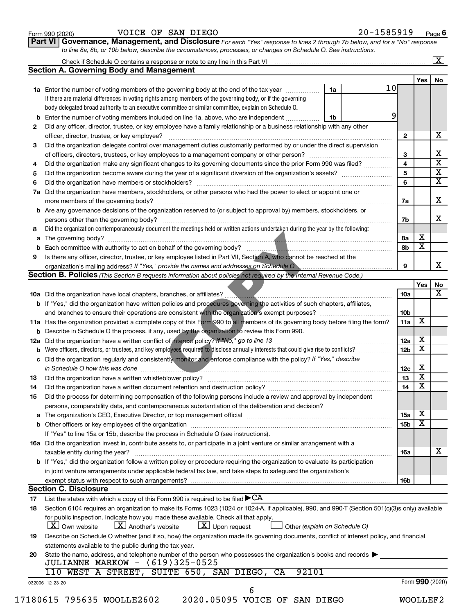| Form 990 (2020) |  |
|-----------------|--|
|-----------------|--|

#### Form 990 (2020) Page VOICE OF SAN DIEGO 20-1585919

**Part VI** Governance, Management, and Disclosure For each "Yes" response to lines 2 through 7b below, and for a "No" response *to line 8a, 8b, or 10b below, describe the circumstances, processes, or changes on Schedule O. See instructions.*

|     | Check if Schedule O contains a response or note to any line in this Part VI [11] [12] Check if Schedule O contains a response or note to any line in this Part VI                                                             |    |                 |                 |                              | $\mathbf{X}$ |
|-----|-------------------------------------------------------------------------------------------------------------------------------------------------------------------------------------------------------------------------------|----|-----------------|-----------------|------------------------------|--------------|
|     | <b>Section A. Governing Body and Management</b>                                                                                                                                                                               |    |                 |                 |                              |              |
|     |                                                                                                                                                                                                                               |    |                 |                 | Yes                          | No           |
|     | <b>1a</b> Enter the number of voting members of the governing body at the end of the tax year                                                                                                                                 | 1a | 10 <sub>l</sub> |                 |                              |              |
|     | If there are material differences in voting rights among members of the governing body, or if the governing                                                                                                                   |    |                 |                 |                              |              |
|     | body delegated broad authority to an executive committee or similar committee, explain on Schedule O.                                                                                                                         |    |                 |                 |                              |              |
| b   | Enter the number of voting members included on line 1a, above, who are independent                                                                                                                                            | 1b | 9               |                 |                              |              |
| 2   | Did any officer, director, trustee, or key employee have a family relationship or a business relationship with any other                                                                                                      |    |                 |                 |                              |              |
|     | officer, director, trustee, or key employee?                                                                                                                                                                                  |    |                 | $\mathbf{2}$    |                              |              |
| 3   | Did the organization delegate control over management duties customarily performed by or under the direct supervision                                                                                                         |    |                 |                 |                              |              |
|     |                                                                                                                                                                                                                               |    |                 | 3               |                              |              |
| 4   | Did the organization make any significant changes to its governing documents since the prior Form 990 was filed?                                                                                                              |    |                 | 4               |                              |              |
| 5   |                                                                                                                                                                                                                               |    |                 | 5               |                              |              |
| 6   |                                                                                                                                                                                                                               |    |                 | 6               |                              |              |
| 7a  | Did the organization have members, stockholders, or other persons who had the power to elect or appoint one or                                                                                                                |    |                 |                 |                              |              |
|     |                                                                                                                                                                                                                               |    |                 | 7a              |                              |              |
|     | Are any governance decisions of the organization reserved to (or subject to approval by) members, stockholders, or                                                                                                            |    |                 |                 |                              |              |
| b   |                                                                                                                                                                                                                               |    |                 |                 |                              |              |
|     |                                                                                                                                                                                                                               |    |                 | 7b              |                              |              |
| 8   | Did the organization contemporaneously document the meetings held or written actions undertaken during the year by the following:                                                                                             |    |                 |                 |                              |              |
| а   |                                                                                                                                                                                                                               |    |                 | 8а              | х<br>$\overline{\textbf{x}}$ |              |
| b   |                                                                                                                                                                                                                               |    |                 | 8b              |                              |              |
| 9   | Is there any officer, director, trustee, or key employee listed in Part VII, Section A, who cannot be reached at the                                                                                                          |    |                 |                 |                              |              |
|     |                                                                                                                                                                                                                               |    |                 | 9               |                              |              |
|     | <b>Section B. Policies</b> (This Section B requests information about policies not required by the Internal Revenue Code.)                                                                                                    |    |                 |                 |                              |              |
|     |                                                                                                                                                                                                                               |    |                 |                 | Yes                          |              |
|     | <b>10a</b> Did the organization have local chapters, branches, or affiliates?                                                                                                                                                 |    |                 | 10a             |                              |              |
|     | <b>b</b> If "Yes," did the organization have written policies and procedures governing the activities of such chapters, affiliates,                                                                                           |    |                 |                 |                              |              |
|     |                                                                                                                                                                                                                               |    |                 | 10b             |                              |              |
|     | 11a Has the organization provided a complete copy of this Form 990 to all members of its governing body before filing the form?                                                                                               |    |                 | 11a             | X                            |              |
|     | <b>b</b> Describe in Schedule O the process, if any, used by the organization to review this Form 990.                                                                                                                        |    |                 |                 |                              |              |
| 12a |                                                                                                                                                                                                                               |    |                 | 12a             | х                            |              |
| b   | Were officers, directors, or trustees, and key employees required to disclose annually interests that could give rise to conflicts?                                                                                           |    |                 | 12 <sub>b</sub> | $\overline{\textbf{x}}$      |              |
| с   | Did the organization regularly and consistently monitor and enforce compliance with the policy? If "Yes," describe                                                                                                            |    |                 |                 |                              |              |
|     | <u> 1990 - Jan James James Jan James James James James James James James James James James James James James Jam</u>                                                                                                          |    |                 | 12c             | Х                            |              |
| 13  |                                                                                                                                                                                                                               |    |                 | 13              | $\overline{\mathbf{X}}$      |              |
| 14  | Did the organization have a written document retention and destruction policy? [11] manufaction manufaction in                                                                                                                |    |                 | 14              | $\overline{\mathbf{X}}$      |              |
| 15  | Did the process for determining compensation of the following persons include a review and approval by independent                                                                                                            |    |                 |                 |                              |              |
|     | persons, comparability data, and contemporaneous substantiation of the deliberation and decision?                                                                                                                             |    |                 |                 |                              |              |
|     | The organization's CEO, Executive Director, or top management official [111] [11] manument content of the organization's CEO, Executive Director, or top management official [11] manument content of the organization of the |    |                 | 15a             | х                            |              |
| а   |                                                                                                                                                                                                                               |    |                 |                 | $\overline{\textbf{x}}$      |              |
|     |                                                                                                                                                                                                                               |    |                 | 15 <sub>b</sub> |                              |              |
|     | If "Yes" to line 15a or 15b, describe the process in Schedule O (see instructions).                                                                                                                                           |    |                 |                 |                              |              |
|     | 16a Did the organization invest in, contribute assets to, or participate in a joint venture or similar arrangement with a                                                                                                     |    |                 |                 |                              |              |
|     | taxable entity during the year?                                                                                                                                                                                               |    |                 | 16a             |                              |              |
|     | b If "Yes," did the organization follow a written policy or procedure requiring the organization to evaluate its participation                                                                                                |    |                 |                 |                              |              |
|     | in joint venture arrangements under applicable federal tax law, and take steps to safequard the organization's                                                                                                                |    |                 |                 |                              |              |
|     | exempt status with respect to such arrangements?                                                                                                                                                                              |    |                 | 16b             |                              |              |
|     | <b>Section C. Disclosure</b>                                                                                                                                                                                                  |    |                 |                 |                              |              |
| 17  | List the states with which a copy of this Form 990 is required to be filed $\blacktriangleright$ CA                                                                                                                           |    |                 |                 |                              |              |
| 18  | Section 6104 requires an organization to make its Forms 1023 (1024 or 1024-A, if applicable), 990, and 990-T (Section 501(c)(3)s only) available                                                                              |    |                 |                 |                              |              |
|     | for public inspection. Indicate how you made these available. Check all that apply.<br>$\lfloor x \rfloor$ Another's website<br>$\lfloor x \rfloor$ Upon request<br><b>X</b> Own website<br>Other (explain on Schedule O)     |    |                 |                 |                              |              |
| 19  | Describe on Schedule O whether (and if so, how) the organization made its governing documents, conflict of interest policy, and financial                                                                                     |    |                 |                 |                              |              |
|     | statements available to the public during the tax year.                                                                                                                                                                       |    |                 |                 |                              |              |
|     | State the name, address, and telephone number of the person who possesses the organization's books and records                                                                                                                |    |                 |                 |                              |              |
| 20  | JULIANNE MARKOW - (619)325-0525                                                                                                                                                                                               |    |                 |                 |                              |              |
|     | 92101<br>WEST A STREET, SUITE 650, SAN DIEGO,<br>CA<br>110                                                                                                                                                                    |    |                 |                 |                              |              |
|     |                                                                                                                                                                                                                               |    |                 |                 |                              |              |
|     | 032006 12-23-20                                                                                                                                                                                                               |    |                 |                 | Form 990 (2020)              |              |
|     | 6                                                                                                                                                                                                                             |    |                 |                 |                              |              |
|     | 2020.05095 VOICE OF SAN DIEGO<br>17180615 795635 WOOLLE2602                                                                                                                                                                   |    |                 |                 | WOOLLEF2                     |              |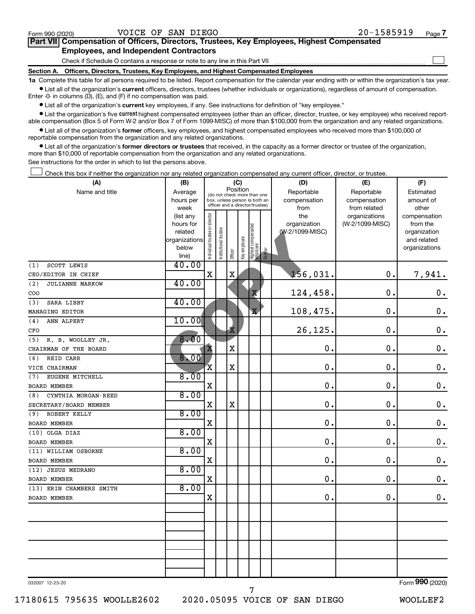$\Box$ 

| Part VII Compensation of Officers, Directors, Trustees, Key Employees, Highest Compensated |  |  |
|--------------------------------------------------------------------------------------------|--|--|
| <b>Employees, and Independent Contractors</b>                                              |  |  |

Check if Schedule O contains a response or note to any line in this Part VII

**Section A. Officers, Directors, Trustees, Key Employees, and Highest Compensated Employees**

**1a**  Complete this table for all persons required to be listed. Report compensation for the calendar year ending with or within the organization's tax year.  $\bullet$  List all of the organization's current officers, directors, trustees (whether individuals or organizations), regardless of amount of compensation.

Enter -0- in columns (D), (E), and (F) if no compensation was paid.

**•** List all of the organization's current key employees, if any. See instructions for definition of "key employee."

**•** List the organization's five *current* highest compensated employees (other than an officer, director, trustee, or key employee) who received reportable compensation (Box 5 of Form W-2 and/or Box 7 of Form 1099-MISC) of more than \$100,000 from the organization and any related organizations.

 $\bullet$  List all of the organization's former officers, key employees, and highest compensated employees who received more than \$100,000 of reportable compensation from the organization and any related organizations.

**•** List all of the organization's former directors or trustees that received, in the capacity as a former director or trustee of the organization, more than \$10,000 of reportable compensation from the organization and any related organizations.

See instructions for the order in which to list the persons above.

Check this box if neither the organization nor any related organization compensated any current officer, director, or trustee.  $\Box$ 

| (A)                                  | (B)                                                                  | (C)                            |                       |              |              |                                                                                                 |        | (D)                                    | (E)                                        | (F)                                                                      |
|--------------------------------------|----------------------------------------------------------------------|--------------------------------|-----------------------|--------------|--------------|-------------------------------------------------------------------------------------------------|--------|----------------------------------------|--------------------------------------------|--------------------------------------------------------------------------|
| Name and title                       | Average<br>hours per<br>week                                         |                                |                       | Position     |              | (do not check more than one<br>box, unless person is both an<br>officer and a director/trustee) |        | Reportable<br>compensation<br>from     | Reportable<br>compensation<br>from related | Estimated<br>amount of<br>other                                          |
|                                      | (list any<br>hours for<br>related<br>organizations<br>below<br>line) | Individual trustee or director | Institutional trustee | Officer      | Key employee | Highest compensated<br>employee                                                                 | Former | the<br>organization<br>(W-2/1099-MISC) | organizations<br>(W-2/1099-MISC)           | compensation<br>from the<br>organization<br>and related<br>organizations |
| SCOTT LEWIS<br>(1)                   | 40.00                                                                |                                |                       |              |              |                                                                                                 |        |                                        |                                            |                                                                          |
| CEO/EDITOR IN CHIEF                  |                                                                      | X                              |                       | $\mathbf X$  |              |                                                                                                 |        | 156,031.                               | 0.                                         | 7,941.                                                                   |
| (2)<br><b>JULIANNE MARKOW</b><br>COO | 40.00                                                                |                                |                       |              |              | X                                                                                               |        | 124,458.                               | $\mathbf 0$ .                              | $\mathbf 0$ .                                                            |
| SARA LIBBY<br>(3)                    | 40.00                                                                |                                |                       |              |              |                                                                                                 |        |                                        |                                            |                                                                          |
| MANAGING EDITOR                      |                                                                      |                                |                       |              |              | $\overline{\mathbf{X}}$                                                                         |        | 108,475.                               | 0.                                         | $\boldsymbol{0}$ .                                                       |
| (4)<br>ANN ALPERT<br>CFO             | 10.00                                                                |                                |                       | $\mathbf{x}$ |              |                                                                                                 |        | 26,125                                 | 0.                                         | $\boldsymbol{0}$ .                                                       |
| R. B. WOOLLEY JR.<br>(5)             | 8.00                                                                 |                                |                       |              |              |                                                                                                 |        |                                        |                                            |                                                                          |
| CHAIRMAN OF THE BOARD                |                                                                      | X                              |                       | $\mathbf X$  |              |                                                                                                 |        | 0                                      | $\mathbf 0$ .                              | $\boldsymbol{0}$ .                                                       |
| REID CARR<br>(6)                     | $8 - 00$                                                             |                                |                       |              |              |                                                                                                 |        |                                        |                                            |                                                                          |
| VICE CHAIRMAN                        |                                                                      | $\mathbf X$                    |                       | $\mathbf X$  |              |                                                                                                 |        | 0                                      | $\mathbf 0$ .                              | $\boldsymbol{0}$ .                                                       |
| EUGENE MITCHELL<br>(7)               | 8.00                                                                 |                                |                       |              |              |                                                                                                 |        |                                        |                                            |                                                                          |
| <b>BOARD MEMBER</b>                  |                                                                      | X                              |                       |              |              |                                                                                                 |        | $\mathbf 0$                            | $\mathbf 0$ .                              | $\mathbf 0$ .                                                            |
| CYNTHIA MORGAN-REED<br>(8)           | 8.00                                                                 |                                |                       |              |              |                                                                                                 |        |                                        |                                            |                                                                          |
| SECRETARY/BOARD MEMBER               |                                                                      | $\mathbf X$                    |                       | $\mathbf X$  |              |                                                                                                 |        | $\mathbf 0$ .                          | $\mathbf 0$ .                              | $\mathbf 0$ .                                                            |
| ROBERT KELLY<br>(9)                  | 8.00                                                                 |                                |                       |              |              |                                                                                                 |        |                                        |                                            |                                                                          |
| <b>BOARD MEMBER</b>                  |                                                                      | $\mathbf X$                    |                       |              |              |                                                                                                 |        | $\mathbf 0$                            | $\mathbf 0$ .                              | $\mathbf 0$ .                                                            |
| (10) OLGA DIAZ                       | 8.00                                                                 |                                |                       |              |              |                                                                                                 |        |                                        |                                            |                                                                          |
| BOARD MEMBER                         |                                                                      | X                              |                       |              |              |                                                                                                 |        | $\mathbf 0$                            | $\mathbf 0$ .                              | 0.                                                                       |
| (11) WILLIAM OSBORNE                 | 8.00                                                                 |                                |                       |              |              |                                                                                                 |        |                                        |                                            |                                                                          |
| BOARD MEMBER                         |                                                                      | X                              |                       |              |              |                                                                                                 |        | $\mathbf 0$                            | $\mathbf 0$ .                              | $\mathbf 0$ .                                                            |
| (12) JESUS MEDRANO                   | 8.00                                                                 |                                |                       |              |              |                                                                                                 |        |                                        |                                            |                                                                          |
| BOARD MEMBER                         |                                                                      | X                              |                       |              |              |                                                                                                 |        | $\mathbf 0$                            | $\mathbf 0$                                | $\mathbf 0$ .                                                            |
| (13) ERIN CHAMBERS SMITH             | 8.00                                                                 |                                |                       |              |              |                                                                                                 |        |                                        |                                            |                                                                          |
| <b>BOARD MEMBER</b>                  |                                                                      | X                              |                       |              |              |                                                                                                 |        | 0                                      | $\mathbf 0$ .                              | 0.                                                                       |
|                                      |                                                                      |                                |                       |              |              |                                                                                                 |        |                                        |                                            |                                                                          |
|                                      |                                                                      |                                |                       |              |              |                                                                                                 |        |                                        |                                            |                                                                          |
|                                      |                                                                      |                                |                       |              |              |                                                                                                 |        |                                        |                                            |                                                                          |
|                                      |                                                                      |                                |                       |              |              |                                                                                                 |        |                                        |                                            |                                                                          |
|                                      |                                                                      |                                |                       |              |              |                                                                                                 |        |                                        |                                            |                                                                          |
|                                      |                                                                      |                                |                       |              |              |                                                                                                 |        |                                        |                                            |                                                                          |

032007 12-23-20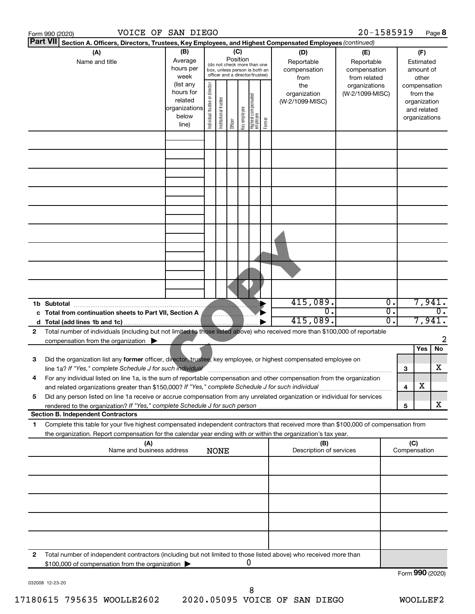|   | VOICE OF SAN DIEGO<br>Form 990 (2020)                                                                                                                                                                                                                  |                                                                      |                                |                                                                                                                                                    |         |              |                                   |        |                                           | 20-1585919                       |                            |     |                                                                          | Page 8           |  |
|---|--------------------------------------------------------------------------------------------------------------------------------------------------------------------------------------------------------------------------------------------------------|----------------------------------------------------------------------|--------------------------------|----------------------------------------------------------------------------------------------------------------------------------------------------|---------|--------------|-----------------------------------|--------|-------------------------------------------|----------------------------------|----------------------------|-----|--------------------------------------------------------------------------|------------------|--|
|   | <b>Part VII</b><br>Section A. Officers, Directors, Trustees, Key Employees, and Highest Compensated Employees (continued)                                                                                                                              |                                                                      |                                |                                                                                                                                                    | (C)     |              |                                   |        |                                           |                                  |                            |     |                                                                          |                  |  |
|   | (A)<br>Name and title                                                                                                                                                                                                                                  |                                                                      |                                | (B)<br>Position<br>Average<br>(do not check more than one<br>hours per<br>box, unless person is both an<br>officer and a director/trustee)<br>week |         |              |                                   |        | (D)<br>Reportable<br>compensation<br>from | (E)<br>from related              | Reportable<br>compensation |     | (F)<br>Estimated<br>amount of<br>other                                   |                  |  |
|   |                                                                                                                                                                                                                                                        | (list any<br>hours for<br>related<br>organizations<br>below<br>line) | Individual trustee or director | Institutional trustee                                                                                                                              | Officer | Key employee | Highest compensated<br>  employee | Former | the<br>organization<br>(W-2/1099-MISC)    | organizations<br>(W-2/1099-MISC) |                            |     | compensation<br>from the<br>organization<br>and related<br>organizations |                  |  |
|   |                                                                                                                                                                                                                                                        |                                                                      |                                |                                                                                                                                                    |         |              |                                   |        |                                           |                                  |                            |     |                                                                          |                  |  |
|   |                                                                                                                                                                                                                                                        |                                                                      |                                |                                                                                                                                                    |         |              |                                   |        |                                           |                                  |                            |     |                                                                          |                  |  |
|   |                                                                                                                                                                                                                                                        |                                                                      |                                |                                                                                                                                                    |         |              |                                   |        |                                           |                                  |                            |     |                                                                          |                  |  |
|   |                                                                                                                                                                                                                                                        |                                                                      |                                |                                                                                                                                                    |         |              |                                   |        |                                           |                                  |                            |     |                                                                          |                  |  |
|   |                                                                                                                                                                                                                                                        |                                                                      |                                |                                                                                                                                                    |         |              |                                   |        |                                           |                                  |                            |     |                                                                          |                  |  |
|   |                                                                                                                                                                                                                                                        |                                                                      |                                |                                                                                                                                                    |         |              |                                   |        |                                           |                                  |                            |     |                                                                          |                  |  |
|   |                                                                                                                                                                                                                                                        |                                                                      |                                |                                                                                                                                                    |         |              |                                   |        |                                           |                                  |                            |     |                                                                          |                  |  |
|   | 1b Subtotal                                                                                                                                                                                                                                            |                                                                      |                                |                                                                                                                                                    |         |              |                                   |        | 415,089.                                  |                                  | $\overline{0}$ .           |     | 7,941.                                                                   |                  |  |
|   | c Total from continuation sheets to Part VII, Section A                                                                                                                                                                                                |                                                                      |                                |                                                                                                                                                    |         |              |                                   |        | 0.                                        |                                  | σ.                         |     |                                                                          | σ.               |  |
|   |                                                                                                                                                                                                                                                        |                                                                      |                                |                                                                                                                                                    |         |              |                                   |        | 415,089.                                  |                                  | σ.                         |     | 7,941.                                                                   |                  |  |
| 2 | Total number of individuals (including but not limited to those listed above) who received more than \$100,000 of reportable<br>compensation from the organization $\blacktriangleright$                                                               |                                                                      |                                |                                                                                                                                                    |         |              |                                   |        |                                           |                                  |                            |     | Yes                                                                      | 2<br>No          |  |
| 3 | Did the organization list any former officer, director, trustee, key employee, or highest compensated employee on<br>line 1a? If "Yes," complete Schedule J for such individual                                                                        |                                                                      |                                |                                                                                                                                                    |         |              |                                   |        |                                           |                                  |                            | З   |                                                                          | х                |  |
| 4 | For any individual listed on line 1a, is the sum of reportable compensation and other compensation from the organization<br>and related organizations greater than \$150,000? If "Yes," complete Schedule J for such individual                        |                                                                      |                                |                                                                                                                                                    |         |              |                                   |        |                                           |                                  |                            | 4   | х                                                                        |                  |  |
| 5 | Did any person listed on line 1a receive or accrue compensation from any unrelated organization or individual for services                                                                                                                             |                                                                      |                                |                                                                                                                                                    |         |              |                                   |        |                                           |                                  |                            | 5   |                                                                          | x                |  |
|   | <b>Section B. Independent Contractors</b>                                                                                                                                                                                                              |                                                                      |                                |                                                                                                                                                    |         |              |                                   |        |                                           |                                  |                            |     |                                                                          |                  |  |
| 1 | Complete this table for your five highest compensated independent contractors that received more than \$100,000 of compensation from<br>the organization. Report compensation for the calendar year ending with or within the organization's tax year. |                                                                      |                                |                                                                                                                                                    |         |              |                                   |        |                                           |                                  |                            |     |                                                                          |                  |  |
|   | (A)<br>Name and business address                                                                                                                                                                                                                       |                                                                      |                                | <b>NONE</b>                                                                                                                                        |         |              |                                   |        | (B)<br>Description of services            |                                  |                            | (C) | Compensation                                                             |                  |  |
|   |                                                                                                                                                                                                                                                        |                                                                      |                                |                                                                                                                                                    |         |              |                                   |        |                                           |                                  |                            |     |                                                                          |                  |  |
|   |                                                                                                                                                                                                                                                        |                                                                      |                                |                                                                                                                                                    |         |              |                                   |        |                                           |                                  |                            |     |                                                                          |                  |  |
|   |                                                                                                                                                                                                                                                        |                                                                      |                                |                                                                                                                                                    |         |              |                                   |        |                                           |                                  |                            |     |                                                                          |                  |  |
|   |                                                                                                                                                                                                                                                        |                                                                      |                                |                                                                                                                                                    |         |              |                                   |        |                                           |                                  |                            |     |                                                                          |                  |  |
| 2 | Total number of independent contractors (including but not limited to those listed above) who received more than<br>\$100,000 of compensation from the organization                                                                                    |                                                                      |                                |                                                                                                                                                    |         |              | U                                 |        |                                           |                                  |                            |     |                                                                          |                  |  |
|   |                                                                                                                                                                                                                                                        |                                                                      |                                |                                                                                                                                                    |         |              |                                   |        |                                           |                                  |                            |     |                                                                          | Eorm $990(2020)$ |  |

032008 12-23-20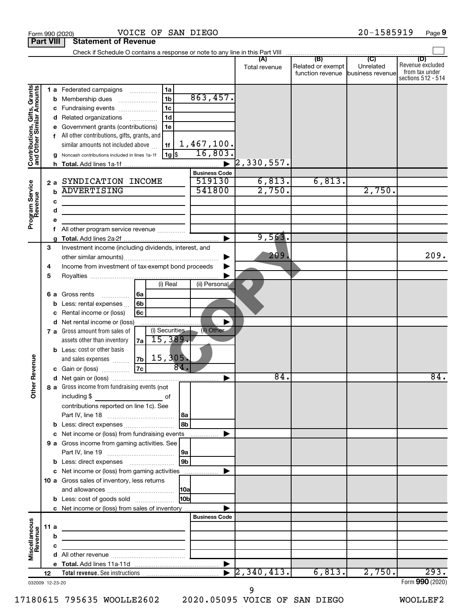| Check if Schedule O contains a response or note to any line in this Part VIII<br>(B)<br>$\overline{C}$<br>(D)<br>(A)<br>Unrelated<br>Related or exempt<br>Total revenue<br>from tax under<br>function revenue business revenue<br>Contributions, Gifts, Grants<br>and Other Similar Amounts<br>1a<br><b>1 a</b> Federated campaigns<br>.<br>863,457.<br>1 <sub>b</sub><br>Membership dues<br>b<br>1 <sub>c</sub><br>Fundraising events<br>с<br>1 <sub>d</sub><br>Related organizations<br>d<br>.<br>1e<br>Government grants (contributions)<br>All other contributions, gifts, grants, and<br>f<br>1,467,100.<br>similar amounts not included above<br>1f<br>16,803.<br>1g \$<br>Noncash contributions included in lines 1a-1f<br>$\left[2\,,330\,,557\right]$<br>h.<br><b>Business Code</b><br>6,813.<br>6,813.<br>519130<br>SYNDICATION INCOME<br>Program Service<br>Revenue<br>2a<br>2,750.<br>541800<br><b>ADVERTISING</b><br>2,750.<br>$\mathbf b$<br>c<br>d<br><u> 1989 - Johann Barn, mars ann an t-Amhain an t-Amhain an t-Amhain an t-Amhain an t-Amhain an t-Amhain an t-A</u><br>е<br>All other program service revenue<br>f<br>9,563.<br>3<br>Investment income (including dividends, interest, and<br>209.<br>Income from investment of tax-exempt bond proceeds<br>4<br>5<br>(i) Real<br>(ii) Personal<br>Gross rents<br>l 6a<br>6а<br>.<br>6 <sub>b</sub><br>Less: rental expenses<br>b<br>6c<br>Rental income or (loss)<br>c<br>d Net rental income or (loss)<br>(i) Securities<br>(ii) Other<br>7 a Gross amount from sales of<br>15,389.<br>assets other than inventory<br>7a<br><b>b</b> Less: cost or other basis<br>Revenue<br>15, 305.<br> 7b <br>and sales expenses<br>84.<br> 7c <br>Gain or (loss)<br>84.<br>৯<br>8 a Gross income from fundraising events (not<br>$\check{\epsilon}$<br>including \$<br>оf<br>contributions reported on line 1c). See<br>l 8a<br>8b<br><b>b</b> Less: direct expenses <i>manually contained</i><br>c Net income or (loss) from fundraising events<br>.<br>9 a Gross income from gaming activities. See<br>l 9a<br>9 <sub>b</sub><br><b>b</b> Less: direct expenses <b>manually</b><br>c Net income or (loss) from gaming activities<br>10 a Gross sales of inventory, less returns<br> 10a<br>10bl<br><b>b</b> Less: cost of goods sold<br>c Net income or (loss) from sales of inventory<br><b>Business Code</b><br>Miscellaneous<br>Revenue<br>11 a<br>the control of the control of the control of the control of the control of<br>b<br>с<br>the control of the control of the control of the control of<br>$\sqrt{2, 340, 413}$ .<br>293.<br>6,813.<br>2,750.<br>12 |  | <b>Part VIII</b> | <b>Statement of Revenue</b> |  |                                        |
|------------------------------------------------------------------------------------------------------------------------------------------------------------------------------------------------------------------------------------------------------------------------------------------------------------------------------------------------------------------------------------------------------------------------------------------------------------------------------------------------------------------------------------------------------------------------------------------------------------------------------------------------------------------------------------------------------------------------------------------------------------------------------------------------------------------------------------------------------------------------------------------------------------------------------------------------------------------------------------------------------------------------------------------------------------------------------------------------------------------------------------------------------------------------------------------------------------------------------------------------------------------------------------------------------------------------------------------------------------------------------------------------------------------------------------------------------------------------------------------------------------------------------------------------------------------------------------------------------------------------------------------------------------------------------------------------------------------------------------------------------------------------------------------------------------------------------------------------------------------------------------------------------------------------------------------------------------------------------------------------------------------------------------------------------------------------------------------------------------------------------------------------------------------------------------------------------------------------------------------------------------------------------------------------------------------------------------------------------------------------------------------------------------------------------------------------------------------------------------------------------------------------------------------------------------------------------------------------------------------------------------|--|------------------|-----------------------------|--|----------------------------------------|
|                                                                                                                                                                                                                                                                                                                                                                                                                                                                                                                                                                                                                                                                                                                                                                                                                                                                                                                                                                                                                                                                                                                                                                                                                                                                                                                                                                                                                                                                                                                                                                                                                                                                                                                                                                                                                                                                                                                                                                                                                                                                                                                                                                                                                                                                                                                                                                                                                                                                                                                                                                                                                                    |  |                  |                             |  |                                        |
|                                                                                                                                                                                                                                                                                                                                                                                                                                                                                                                                                                                                                                                                                                                                                                                                                                                                                                                                                                                                                                                                                                                                                                                                                                                                                                                                                                                                                                                                                                                                                                                                                                                                                                                                                                                                                                                                                                                                                                                                                                                                                                                                                                                                                                                                                                                                                                                                                                                                                                                                                                                                                                    |  |                  |                             |  | Revenue excluded<br>sections 512 - 514 |
|                                                                                                                                                                                                                                                                                                                                                                                                                                                                                                                                                                                                                                                                                                                                                                                                                                                                                                                                                                                                                                                                                                                                                                                                                                                                                                                                                                                                                                                                                                                                                                                                                                                                                                                                                                                                                                                                                                                                                                                                                                                                                                                                                                                                                                                                                                                                                                                                                                                                                                                                                                                                                                    |  |                  |                             |  |                                        |
|                                                                                                                                                                                                                                                                                                                                                                                                                                                                                                                                                                                                                                                                                                                                                                                                                                                                                                                                                                                                                                                                                                                                                                                                                                                                                                                                                                                                                                                                                                                                                                                                                                                                                                                                                                                                                                                                                                                                                                                                                                                                                                                                                                                                                                                                                                                                                                                                                                                                                                                                                                                                                                    |  |                  |                             |  |                                        |
|                                                                                                                                                                                                                                                                                                                                                                                                                                                                                                                                                                                                                                                                                                                                                                                                                                                                                                                                                                                                                                                                                                                                                                                                                                                                                                                                                                                                                                                                                                                                                                                                                                                                                                                                                                                                                                                                                                                                                                                                                                                                                                                                                                                                                                                                                                                                                                                                                                                                                                                                                                                                                                    |  |                  |                             |  | 209.                                   |
|                                                                                                                                                                                                                                                                                                                                                                                                                                                                                                                                                                                                                                                                                                                                                                                                                                                                                                                                                                                                                                                                                                                                                                                                                                                                                                                                                                                                                                                                                                                                                                                                                                                                                                                                                                                                                                                                                                                                                                                                                                                                                                                                                                                                                                                                                                                                                                                                                                                                                                                                                                                                                                    |  |                  |                             |  |                                        |
|                                                                                                                                                                                                                                                                                                                                                                                                                                                                                                                                                                                                                                                                                                                                                                                                                                                                                                                                                                                                                                                                                                                                                                                                                                                                                                                                                                                                                                                                                                                                                                                                                                                                                                                                                                                                                                                                                                                                                                                                                                                                                                                                                                                                                                                                                                                                                                                                                                                                                                                                                                                                                                    |  |                  |                             |  | $\overline{84}$ .                      |
|                                                                                                                                                                                                                                                                                                                                                                                                                                                                                                                                                                                                                                                                                                                                                                                                                                                                                                                                                                                                                                                                                                                                                                                                                                                                                                                                                                                                                                                                                                                                                                                                                                                                                                                                                                                                                                                                                                                                                                                                                                                                                                                                                                                                                                                                                                                                                                                                                                                                                                                                                                                                                                    |  |                  |                             |  |                                        |
|                                                                                                                                                                                                                                                                                                                                                                                                                                                                                                                                                                                                                                                                                                                                                                                                                                                                                                                                                                                                                                                                                                                                                                                                                                                                                                                                                                                                                                                                                                                                                                                                                                                                                                                                                                                                                                                                                                                                                                                                                                                                                                                                                                                                                                                                                                                                                                                                                                                                                                                                                                                                                                    |  |                  |                             |  |                                        |
|                                                                                                                                                                                                                                                                                                                                                                                                                                                                                                                                                                                                                                                                                                                                                                                                                                                                                                                                                                                                                                                                                                                                                                                                                                                                                                                                                                                                                                                                                                                                                                                                                                                                                                                                                                                                                                                                                                                                                                                                                                                                                                                                                                                                                                                                                                                                                                                                                                                                                                                                                                                                                                    |  |                  |                             |  |                                        |
|                                                                                                                                                                                                                                                                                                                                                                                                                                                                                                                                                                                                                                                                                                                                                                                                                                                                                                                                                                                                                                                                                                                                                                                                                                                                                                                                                                                                                                                                                                                                                                                                                                                                                                                                                                                                                                                                                                                                                                                                                                                                                                                                                                                                                                                                                                                                                                                                                                                                                                                                                                                                                                    |  |                  |                             |  |                                        |
| 032009 12-23-20                                                                                                                                                                                                                                                                                                                                                                                                                                                                                                                                                                                                                                                                                                                                                                                                                                                                                                                                                                                                                                                                                                                                                                                                                                                                                                                                                                                                                                                                                                                                                                                                                                                                                                                                                                                                                                                                                                                                                                                                                                                                                                                                                                                                                                                                                                                                                                                                                                                                                                                                                                                                                    |  |                  |                             |  | Form 990 (2020)                        |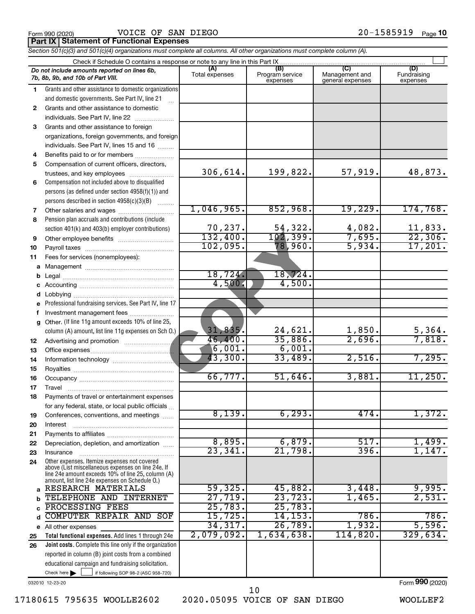|  | Form 990 (2020) |
|--|-----------------|
|  |                 |

Form 990 (2020) VOICE OF SAN DIEGO 20-1585919 <sub>Page</sub> **Part IX Statement of Functional Expenses**

|              | Section 501(c)(3) and 501(c)(4) organizations must complete all columns. All other organizations must complete column (A).                                 |                       |                                    |                                           |                                |  |  |  |  |  |  |
|--------------|------------------------------------------------------------------------------------------------------------------------------------------------------------|-----------------------|------------------------------------|-------------------------------------------|--------------------------------|--|--|--|--|--|--|
|              | Check if Schedule O contains a response or note to any line in this Part IX                                                                                |                       |                                    |                                           |                                |  |  |  |  |  |  |
|              | Do not include amounts reported on lines 6b,<br>7b, 8b, 9b, and 10b of Part VIII.                                                                          | (A)<br>Total expenses | (B)<br>Program service<br>expenses | (C)<br>Management and<br>general expenses | (D)<br>Fundraising<br>expenses |  |  |  |  |  |  |
| 1.           | Grants and other assistance to domestic organizations<br>and domestic governments. See Part IV, line 21                                                    |                       |                                    |                                           |                                |  |  |  |  |  |  |
| $\mathbf{2}$ | Grants and other assistance to domestic<br>individuals. See Part IV, line 22                                                                               |                       |                                    |                                           |                                |  |  |  |  |  |  |
| 3            | Grants and other assistance to foreign                                                                                                                     |                       |                                    |                                           |                                |  |  |  |  |  |  |
|              | organizations, foreign governments, and foreign                                                                                                            |                       |                                    |                                           |                                |  |  |  |  |  |  |
|              | individuals. See Part IV, lines 15 and 16                                                                                                                  |                       |                                    |                                           |                                |  |  |  |  |  |  |
| 4            | Benefits paid to or for members                                                                                                                            |                       |                                    |                                           |                                |  |  |  |  |  |  |
| 5            | Compensation of current officers, directors,                                                                                                               |                       |                                    |                                           |                                |  |  |  |  |  |  |
|              | trustees, and key employees                                                                                                                                | 306,614.              | 199,822.                           | 57,919.                                   | 48,873.                        |  |  |  |  |  |  |
| 6            | Compensation not included above to disqualified                                                                                                            |                       |                                    |                                           |                                |  |  |  |  |  |  |
|              | persons (as defined under section 4958(f)(1)) and                                                                                                          |                       |                                    |                                           |                                |  |  |  |  |  |  |
|              | persons described in section 4958(c)(3)(B)                                                                                                                 |                       |                                    |                                           |                                |  |  |  |  |  |  |
| 7            |                                                                                                                                                            | 1,046,965.            | 852,968.                           | 19,229.                                   | 174, 768.                      |  |  |  |  |  |  |
| 8            | Pension plan accruals and contributions (include                                                                                                           |                       |                                    |                                           |                                |  |  |  |  |  |  |
|              | section 401(k) and 403(b) employer contributions)                                                                                                          | 70,237.               | 54,322.                            | 4,082.                                    | 11,833.                        |  |  |  |  |  |  |
| 9            |                                                                                                                                                            | 132,400.              | 102,399.                           | 7,695.                                    | 22,306.                        |  |  |  |  |  |  |
| 10           |                                                                                                                                                            | 102,095.              | 78,960.                            | 5,934.                                    | 17,201.                        |  |  |  |  |  |  |
| 11           | Fees for services (nonemployees):                                                                                                                          |                       |                                    |                                           |                                |  |  |  |  |  |  |
| а            |                                                                                                                                                            | 18,724.               | 18, 724.                           |                                           |                                |  |  |  |  |  |  |
| b            |                                                                                                                                                            | 4,500.                | 4,500.                             |                                           |                                |  |  |  |  |  |  |
| с            |                                                                                                                                                            |                       |                                    |                                           |                                |  |  |  |  |  |  |
| d<br>е       | Professional fundraising services. See Part IV, line 17                                                                                                    |                       |                                    |                                           |                                |  |  |  |  |  |  |
| f            | Investment management fees                                                                                                                                 |                       |                                    |                                           |                                |  |  |  |  |  |  |
| g            | Other. (If line 11g amount exceeds 10% of line 25,                                                                                                         |                       |                                    |                                           |                                |  |  |  |  |  |  |
|              | column (A) amount, list line 11g expenses on Sch O.)                                                                                                       | 31,835.               | 24,621.                            | 1,850.                                    | 5,364.                         |  |  |  |  |  |  |
| 12           |                                                                                                                                                            | 46,400.               | 35,886.                            | 2,696.                                    | 7,818.                         |  |  |  |  |  |  |
| 13           |                                                                                                                                                            | $6,001$ .             | 6,001.                             |                                           |                                |  |  |  |  |  |  |
| 14           |                                                                                                                                                            | 43,300.               | 33,489.                            | 2,516.                                    | 7,295.                         |  |  |  |  |  |  |
| 15           |                                                                                                                                                            |                       |                                    |                                           |                                |  |  |  |  |  |  |
| 16           |                                                                                                                                                            | 66,777.               | 51,646.                            | 3,881.                                    | 11,250.                        |  |  |  |  |  |  |
| 17           | Travel                                                                                                                                                     |                       |                                    |                                           |                                |  |  |  |  |  |  |
| 18           | Payments of travel or entertainment expenses                                                                                                               |                       |                                    |                                           |                                |  |  |  |  |  |  |
|              | for any federal, state, or local public officials                                                                                                          |                       |                                    |                                           |                                |  |  |  |  |  |  |
| 19           | Conferences, conventions, and meetings                                                                                                                     | 8,139.                | 6, 293.                            | 474.                                      | 1,372.                         |  |  |  |  |  |  |
| 20           | Interest                                                                                                                                                   |                       |                                    |                                           |                                |  |  |  |  |  |  |
| 21           |                                                                                                                                                            | 8,895.                | 6,879.                             | 517.                                      | 1,499.                         |  |  |  |  |  |  |
| 22           | Depreciation, depletion, and amortization                                                                                                                  | 23, 341.              | 21,798.                            | 396.                                      | 1,147.                         |  |  |  |  |  |  |
| 23<br>24     | Insurance<br>Other expenses. Itemize expenses not covered                                                                                                  |                       |                                    |                                           |                                |  |  |  |  |  |  |
|              | above (List miscellaneous expenses on line 24e. If<br>line 24e amount exceeds 10% of line 25, column (A)<br>amount, list line 24e expenses on Schedule O.) |                       |                                    |                                           |                                |  |  |  |  |  |  |
| a            | RESEARCH MATERIALS                                                                                                                                         | 59,325.               | 45,882.                            | 3,448.                                    | 9,995.                         |  |  |  |  |  |  |
|              | TELEPHONE AND INTERNET                                                                                                                                     | 27,719.               | 23, 723.                           | 1,465.                                    | 2,531.                         |  |  |  |  |  |  |
| C            | PROCESSING FEES                                                                                                                                            | 25,783.               | 25,783                             |                                           |                                |  |  |  |  |  |  |
| d            | <b>COMPUTER REPAIR AND SOF</b>                                                                                                                             | 15,725.               | 14, 153.                           | 786.                                      | 786.                           |  |  |  |  |  |  |
|              | e All other expenses                                                                                                                                       | 34,317.               | 26,789                             | 1,932.                                    | 5,596.                         |  |  |  |  |  |  |
| 25           | Total functional expenses. Add lines 1 through 24e                                                                                                         | 2,079,092.            | 1,634,638.                         | 114,820.                                  | 329,634.                       |  |  |  |  |  |  |
| 26           | Joint costs. Complete this line only if the organization                                                                                                   |                       |                                    |                                           |                                |  |  |  |  |  |  |
|              | reported in column (B) joint costs from a combined                                                                                                         |                       |                                    |                                           |                                |  |  |  |  |  |  |
|              | educational campaign and fundraising solicitation.                                                                                                         |                       |                                    |                                           |                                |  |  |  |  |  |  |

032010 12-23-20

Check here  $\blacktriangleright$ 

Check here  $\begin{array}{c} \begin{array}{|c} \hline \end{array} \end{array}$  if following SOP 98-2 (ASC 958-720)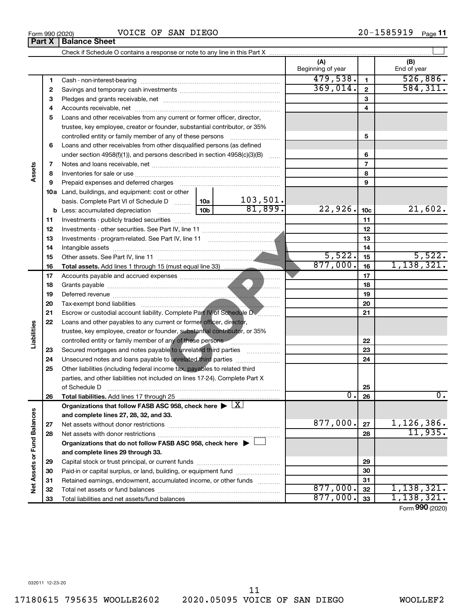$\blacktriangleright$ ~~~~~~~~~~~~~~~~~~~~ ~~~~~~~~~~~~~~~~~~~~~~  $\blacktriangleright$ ……………………………………………… ……………………… ~~~~~~~~~~  $\lfloor x \rfloor$  $\Box$ X

Form 990 (2020) Page VOICE OF SAN DIEGO 20-1585919

|                             |    |                                                                                                                                           |  |          | (A)<br>Beginning of year |                 | (B)<br>End of year           |
|-----------------------------|----|-------------------------------------------------------------------------------------------------------------------------------------------|--|----------|--------------------------|-----------------|------------------------------|
|                             | 1  |                                                                                                                                           |  |          | 479,538.                 | $\mathbf{1}$    | 526,886.                     |
|                             | 2  |                                                                                                                                           |  |          | 369,014.                 | $\overline{2}$  | 584, 311.                    |
|                             | З  |                                                                                                                                           |  |          |                          | 3               |                              |
|                             | 4  |                                                                                                                                           |  |          |                          | 4               |                              |
|                             | 5  | Loans and other receivables from any current or former officer, director,                                                                 |  |          |                          |                 |                              |
|                             |    | trustee, key employee, creator or founder, substantial contributor, or 35%                                                                |  |          |                          |                 |                              |
|                             |    | controlled entity or family member of any of these persons                                                                                |  |          |                          | 5               |                              |
|                             | 6  | Loans and other receivables from other disqualified persons (as defined                                                                   |  |          |                          |                 |                              |
|                             |    | under section $4958(f)(1)$ , and persons described in section $4958(c)(3)(B)$                                                             |  | $\ldots$ |                          | 6               |                              |
|                             | 7  |                                                                                                                                           |  |          | $\overline{7}$           |                 |                              |
| Assets                      | 8  |                                                                                                                                           |  |          |                          | 8               |                              |
|                             | 9  | Prepaid expenses and deferred charges                                                                                                     |  |          |                          | 9               |                              |
|                             |    | 10a Land, buildings, and equipment: cost or other                                                                                         |  |          |                          |                 |                              |
|                             |    | basis. Complete Part VI of Schedule D  10a                                                                                                |  | 103,501. |                          |                 |                              |
|                             |    |                                                                                                                                           |  | 81,899.  | 22,926.                  | 10 <sub>c</sub> | 21,602.                      |
|                             | 11 |                                                                                                                                           |  | 11       |                          |                 |                              |
|                             | 12 |                                                                                                                                           |  | 12       |                          |                 |                              |
|                             | 13 |                                                                                                                                           |  | 13       |                          |                 |                              |
|                             | 14 |                                                                                                                                           |  | 14       |                          |                 |                              |
|                             | 15 |                                                                                                                                           |  |          | 5,522.                   | 15              | 5,522.                       |
|                             | 16 |                                                                                                                                           |  |          | 877,000.                 | 16              | 1,138,321.                   |
|                             | 17 |                                                                                                                                           |  |          |                          | 17              |                              |
|                             | 18 |                                                                                                                                           |  | 18       |                          |                 |                              |
|                             | 19 |                                                                                                                                           |  | 19       |                          |                 |                              |
|                             | 20 |                                                                                                                                           |  |          |                          | 20              |                              |
|                             | 21 | Escrow or custodial account liability. Complete Part IV of Schedule DV                                                                    |  |          |                          | 21              |                              |
|                             | 22 | Loans and other payables to any current or former officer, director,                                                                      |  |          |                          |                 |                              |
| Liabilities                 |    | trustee, key employee, creator or founder, substantial contributor, or 35%                                                                |  |          |                          |                 |                              |
|                             |    | controlled entity or family member of any of these persons <b>Constitution</b> controlled entity or family member of any of these persons |  |          |                          | 22              |                              |
|                             | 23 | Secured mortgages and notes payable to unrelated third parties                                                                            |  |          |                          | 23              |                              |
|                             | 24 | Unsecured notes and loans payable to unrelated third parties                                                                              |  |          |                          | 24              |                              |
|                             | 25 | Other liabilities (including federal income tax, payables to related third                                                                |  |          |                          |                 |                              |
|                             |    | parties, and other liabilities not included on lines 17-24). Complete Part X                                                              |  |          |                          |                 |                              |
|                             |    | of Schedule D                                                                                                                             |  |          |                          | 25              |                              |
|                             | 26 | Total liabilities. Add lines 17 through 25.                                                                                               |  |          | $\overline{0.}$          | 26              | Ο.                           |
|                             |    | Organizations that follow FASB ASC 958, check here $\blacktriangleright \lfloor \underline{X} \rfloor$                                    |  |          |                          |                 |                              |
|                             |    | and complete lines 27, 28, 32, and 33.                                                                                                    |  |          |                          |                 |                              |
|                             | 27 |                                                                                                                                           |  |          | 877,000.                 | 27              | $\frac{1,126,386.}{11,935.}$ |
|                             | 28 |                                                                                                                                           |  |          |                          | 28              |                              |
|                             |    | Organizations that do not follow FASB ASC 958, check here $\blacktriangleright$                                                           |  |          |                          |                 |                              |
| Net Assets or Fund Balances |    | and complete lines 29 through 33.                                                                                                         |  |          |                          |                 |                              |
|                             | 29 |                                                                                                                                           |  |          |                          | 29              |                              |
|                             | 30 | Paid-in or capital surplus, or land, building, or equipment fund                                                                          |  |          |                          | 30              |                              |
|                             | 31 | Retained earnings, endowment, accumulated income, or other funds                                                                          |  |          |                          | 31              |                              |
|                             | 32 |                                                                                                                                           |  |          | 877,000.                 | 32              | 1,138,321.                   |
|                             | 33 |                                                                                                                                           |  |          | 877,000.                 | 33              | 1,138,321.                   |

Form (2020) **990**

# **Part X** | Balance Sheet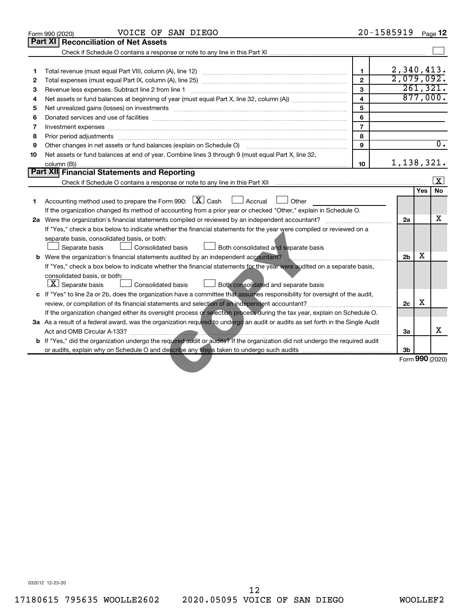|    | VOICE OF SAN DIEGO<br>Form 990 (2020)                                                                                                                                                                                          | 20-1585919              |                 |     | Page 12          |
|----|--------------------------------------------------------------------------------------------------------------------------------------------------------------------------------------------------------------------------------|-------------------------|-----------------|-----|------------------|
|    | <b>Part XI</b><br><b>Reconciliation of Net Assets</b>                                                                                                                                                                          |                         |                 |     |                  |
|    |                                                                                                                                                                                                                                |                         |                 |     |                  |
|    |                                                                                                                                                                                                                                |                         |                 |     |                  |
| 1  |                                                                                                                                                                                                                                | $\mathbf{1}$            | 2,340,413.      |     |                  |
| 2  |                                                                                                                                                                                                                                | $\mathbf{2}$            | 2,079,092.      |     |                  |
| З  |                                                                                                                                                                                                                                | $\mathbf{3}$            | 261, 321.       |     |                  |
| 4  |                                                                                                                                                                                                                                | $\overline{\mathbf{4}}$ |                 |     | 877,000.         |
| 5  | Net unrealized gains (losses) on investments [11] matter in the contract of the contract of the contract of the contract of the contract of the contract of the contract of the contract of the contract of the contract of th | 5                       |                 |     |                  |
| 6  |                                                                                                                                                                                                                                | 6                       |                 |     |                  |
| 7  | Investment expenses www.communication.com/www.communication.com/www.communication.com/www.com                                                                                                                                  | $\overline{7}$          |                 |     |                  |
| 8  | Prior period adjustments [111] matter contracts and adjustments and account contract of the contract of the contract of the contract of the contract of the contract of the contract of the contract of the contract of the co | 8                       |                 |     |                  |
| 9  | Other changes in net assets or fund balances (explain on Schedule O) [11] [11] manument changes in net assets or fund balances (explain on Schedule O) [11] manument changes in net assets or fund balances (explain on Schedu | 9                       |                 |     | $\overline{0}$ . |
| 10 | Net assets or fund balances at end of year. Combine lines 3 through 9 (must equal Part X, line 32,                                                                                                                             |                         |                 |     |                  |
|    |                                                                                                                                                                                                                                | 10                      | 1,138,321.      |     |                  |
|    | Part XII Financial Statements and Reporting                                                                                                                                                                                    |                         |                 |     |                  |
|    |                                                                                                                                                                                                                                |                         |                 |     | l x              |
|    |                                                                                                                                                                                                                                |                         |                 | Yes | <b>No</b>        |
| 1. | Accounting method used to prepare the Form 990: $X \subset X$ Cash<br>$\Box$ Accrual<br>Other                                                                                                                                  |                         |                 |     |                  |
|    | If the organization changed its method of accounting from a prior year or checked "Other," explain in Schedule O.                                                                                                              |                         |                 |     |                  |
|    |                                                                                                                                                                                                                                |                         | 2a              |     | х                |
|    | If "Yes," check a box below to indicate whether the financial statements for the year were compiled or reviewed on a                                                                                                           |                         |                 |     |                  |
|    | separate basis, consolidated basis, or both:                                                                                                                                                                                   |                         |                 |     |                  |
|    | Separate basis<br><b>Consolidated basis</b><br>Both consolidated and separate basis                                                                                                                                            |                         |                 |     |                  |
|    | <b>b</b> Were the organization's financial statements audited by an independent accountant?                                                                                                                                    |                         | 2 <sub>b</sub>  | X   |                  |
|    | If "Yes," check a box below to indicate whether the financial statements for the year were audited on a separate basis,                                                                                                        |                         |                 |     |                  |
|    | consolidated basis, or both:                                                                                                                                                                                                   |                         |                 |     |                  |
|    | $ \mathbf{X} $ Separate basis<br>Consolidated basis<br>Both consolidated and separate basis                                                                                                                                    |                         |                 |     |                  |
|    | c If "Yes" to line 2a or 2b, does the organization have a committee that assumes responsibility for oversight of the audit,                                                                                                    |                         |                 |     |                  |
|    |                                                                                                                                                                                                                                |                         | 2c              | X   |                  |
|    | If the organization changed either its oversight process or selection process during the tax year, explain on Schedule O.                                                                                                      |                         |                 |     |                  |
|    | 3a As a result of a federal award, was the organization required to undergo an audit or audits as set forth in the Single Audit                                                                                                |                         |                 |     |                  |
|    |                                                                                                                                                                                                                                |                         | 3a              |     | X                |
|    | b If "Yes," did the organization undergo the required audit or audits? If the organization did not undergo the required audit                                                                                                  |                         |                 |     |                  |
|    |                                                                                                                                                                                                                                |                         | 3b              |     |                  |
|    |                                                                                                                                                                                                                                |                         | Form 990 (2020) |     |                  |
|    |                                                                                                                                                                                                                                |                         |                 |     |                  |
|    |                                                                                                                                                                                                                                |                         |                 |     |                  |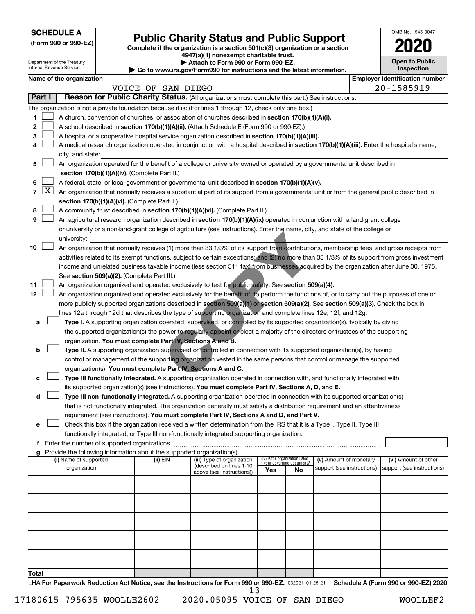**SCHEDULE A**

Department of the Treasury Internal Revenue Service

# Form 990 or 990-EZ) **Public Charity Status and Public Support**<br>
Complete if the organization is a section 501(c)(3) organization or a section<br> **2020**

**4947(a)(1) nonexempt charitable trust. | Attach to Form 990 or Form 990-EZ.** 

**| Go to www.irs.gov/Form990 for instructions and the latest information.**

| OMB No 1545-0047                    |
|-------------------------------------|
| 2020                                |
| <b>Open to Public</b><br>Inspection |

| Name of the organization |  |
|--------------------------|--|
|--------------------------|--|

|       |        | Name of the organization                                                                                                                                                              |                    |                                                       |                             |                                 |                            |  | <b>Employer identification number</b> |
|-------|--------|---------------------------------------------------------------------------------------------------------------------------------------------------------------------------------------|--------------------|-------------------------------------------------------|-----------------------------|---------------------------------|----------------------------|--|---------------------------------------|
|       |        |                                                                                                                                                                                       | VOICE OF SAN DIEGO |                                                       |                             |                                 |                            |  | 20-1585919                            |
|       | Part I | Reason for Public Charity Status. (All organizations must complete this part.) See instructions.                                                                                      |                    |                                                       |                             |                                 |                            |  |                                       |
|       |        | The organization is not a private foundation because it is: (For lines 1 through 12, check only one box.)                                                                             |                    |                                                       |                             |                                 |                            |  |                                       |
| 1.    |        | A church, convention of churches, or association of churches described in section 170(b)(1)(A)(i).                                                                                    |                    |                                                       |                             |                                 |                            |  |                                       |
| 2     |        | A school described in section 170(b)(1)(A)(ii). (Attach Schedule E (Form 990 or 990-EZ).)                                                                                             |                    |                                                       |                             |                                 |                            |  |                                       |
| з     |        | A hospital or a cooperative hospital service organization described in section 170(b)(1)(A)(iii).                                                                                     |                    |                                                       |                             |                                 |                            |  |                                       |
| 4     |        | A medical research organization operated in conjunction with a hospital described in section 170(b)(1)(A)(iii). Enter the hospital's name,                                            |                    |                                                       |                             |                                 |                            |  |                                       |
|       |        | city, and state:                                                                                                                                                                      |                    |                                                       |                             |                                 |                            |  |                                       |
| 5.    |        | An organization operated for the benefit of a college or university owned or operated by a governmental unit described in                                                             |                    |                                                       |                             |                                 |                            |  |                                       |
|       |        | section 170(b)(1)(A)(iv). (Complete Part II.)                                                                                                                                         |                    |                                                       |                             |                                 |                            |  |                                       |
| 6.    |        | A federal, state, or local government or governmental unit described in section 170(b)(1)(A)(v).                                                                                      |                    |                                                       |                             |                                 |                            |  |                                       |
|       |        | 7 $ X $ An organization that normally receives a substantial part of its support from a governmental unit or from the general public described in                                     |                    |                                                       |                             |                                 |                            |  |                                       |
|       |        | section 170(b)(1)(A)(vi). (Complete Part II.)                                                                                                                                         |                    |                                                       |                             |                                 |                            |  |                                       |
| 8     |        | A community trust described in section 170(b)(1)(A)(vi). (Complete Part II.)                                                                                                          |                    |                                                       |                             |                                 |                            |  |                                       |
| 9     |        | An agricultural research organization described in section 170(b)(1)(A)(ix) operated in conjunction with a land-grant college                                                         |                    |                                                       |                             |                                 |                            |  |                                       |
|       |        | or university or a non-land-grant college of agriculture (see instructions). Enter the name, city, and state of the college or                                                        |                    |                                                       |                             |                                 |                            |  |                                       |
|       |        | university:                                                                                                                                                                           |                    |                                                       |                             |                                 |                            |  |                                       |
| 10    |        | An organization that normally receives (1) more than 33 1/3% of its support from contributions, membership fees, and gross receipts from                                              |                    |                                                       |                             |                                 |                            |  |                                       |
|       |        | activities related to its exempt functions, subject to certain exceptions; and (2) no more than 33 1/3% of its support from gross investment                                          |                    |                                                       |                             |                                 |                            |  |                                       |
|       |        | income and unrelated business taxable income (less section 511 tax) from businesses acquired by the organization after June 30, 1975.                                                 |                    |                                                       |                             |                                 |                            |  |                                       |
|       |        | See section 509(a)(2). (Complete Part III.)                                                                                                                                           |                    |                                                       |                             |                                 |                            |  |                                       |
| 11    |        | An organization organized and operated exclusively to test for public safety. See section 509(a)(4).                                                                                  |                    |                                                       |                             |                                 |                            |  |                                       |
| 12    |        | An organization organized and operated exclusively for the benefit of, to perform the functions of, or to carry out the purposes of one or                                            |                    |                                                       |                             |                                 |                            |  |                                       |
|       |        | more publicly supported organizations described in section 509(a)(1) or section 509(a)(2). See section 509(a)(3). Check the box in                                                    |                    |                                                       |                             |                                 |                            |  |                                       |
|       |        | lines 12a through 12d that describes the type of supporting organization and complete lines 12e, 12f, and 12g.                                                                        |                    |                                                       |                             |                                 |                            |  |                                       |
| а     |        | Type I. A supporting organization operated, supervised, or controlled by its supported organization(s), typically by giving                                                           |                    |                                                       |                             |                                 |                            |  |                                       |
|       |        | the supported organization(s) the power to regularly appoint or elect a majority of the directors or trustees of the supporting                                                       |                    |                                                       |                             |                                 |                            |  |                                       |
|       |        | organization. You must complete Part IV, Sections A and B.                                                                                                                            |                    |                                                       |                             |                                 |                            |  |                                       |
| b     |        | Type II. A supporting organization supervised or controlled in connection with its supported organization(s), by having                                                               |                    |                                                       |                             |                                 |                            |  |                                       |
|       |        | control or management of the supporting organization vested in the same persons that control or manage the supported<br>organization(s). You must complete Part IV, Sections A and C. |                    |                                                       |                             |                                 |                            |  |                                       |
| с     |        | Type III functionally integrated. A supporting organization operated in connection with, and functionally integrated with,                                                            |                    |                                                       |                             |                                 |                            |  |                                       |
|       |        | its supported organization(s) (see instructions). You must complete Part IV, Sections A, D, and E.                                                                                    |                    |                                                       |                             |                                 |                            |  |                                       |
| d     |        | Type III non-functionally integrated. A supporting organization operated in connection with its supported organization(s)                                                             |                    |                                                       |                             |                                 |                            |  |                                       |
|       |        | that is not functionally integrated. The organization generally must satisfy a distribution requirement and an attentiveness                                                          |                    |                                                       |                             |                                 |                            |  |                                       |
|       |        | requirement (see instructions). You must complete Part IV, Sections A and D, and Part V.                                                                                              |                    |                                                       |                             |                                 |                            |  |                                       |
|       |        | Check this box if the organization received a written determination from the IRS that it is a Type I, Type II, Type III                                                               |                    |                                                       |                             |                                 |                            |  |                                       |
|       |        | functionally integrated, or Type III non-functionally integrated supporting organization.                                                                                             |                    |                                                       |                             |                                 |                            |  |                                       |
|       |        | f Enter the number of supported organizations                                                                                                                                         |                    |                                                       |                             |                                 |                            |  |                                       |
|       |        | g Provide the following information about the supported organization(s).                                                                                                              |                    |                                                       |                             |                                 |                            |  |                                       |
|       |        | (i) Name of supported                                                                                                                                                                 | (ii) EIN           | (iii) Type of organization                            | in your governing document? | (iv) Is the organization listed | (v) Amount of monetary     |  | (vi) Amount of other                  |
|       |        | organization                                                                                                                                                                          |                    | (described on lines 1-10<br>above (see instructions)) | Yes                         | No                              | support (see instructions) |  | support (see instructions)            |
|       |        |                                                                                                                                                                                       |                    |                                                       |                             |                                 |                            |  |                                       |
|       |        |                                                                                                                                                                                       |                    |                                                       |                             |                                 |                            |  |                                       |
|       |        |                                                                                                                                                                                       |                    |                                                       |                             |                                 |                            |  |                                       |
|       |        |                                                                                                                                                                                       |                    |                                                       |                             |                                 |                            |  |                                       |
|       |        |                                                                                                                                                                                       |                    |                                                       |                             |                                 |                            |  |                                       |
|       |        |                                                                                                                                                                                       |                    |                                                       |                             |                                 |                            |  |                                       |
|       |        |                                                                                                                                                                                       |                    |                                                       |                             |                                 |                            |  |                                       |
|       |        |                                                                                                                                                                                       |                    |                                                       |                             |                                 |                            |  |                                       |
|       |        |                                                                                                                                                                                       |                    |                                                       |                             |                                 |                            |  |                                       |
|       |        |                                                                                                                                                                                       |                    |                                                       |                             |                                 |                            |  |                                       |
| Total |        | LHA For Paperwork Reduction Act Notice, see the Instructions for Form 990 or 990-EZ. 032021 01-25-21                                                                                  |                    |                                                       |                             |                                 |                            |  |                                       |
|       |        |                                                                                                                                                                                       |                    |                                                       |                             |                                 |                            |  | Schedule A (Form 990 or 990-EZ) 2020  |

17180615 795635 WOOLLE2602 2020.05095 VOICE OF SAN DIEGO WOOLLEF2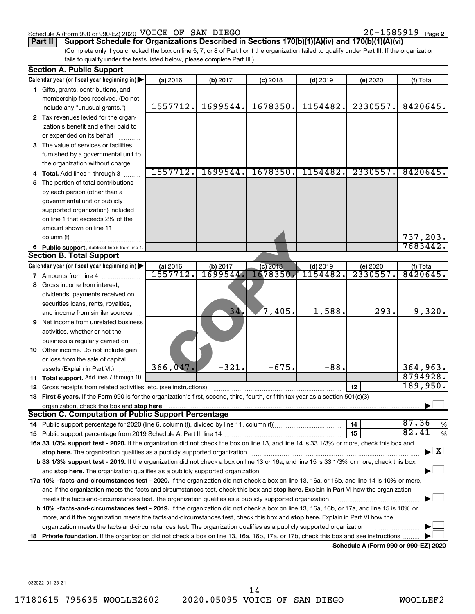#### Schedule A (Form 990 or 990-EZ) 2020 Page VOICE OF SAN DIEGO 20-1585919

# **Part II** | Support Schedule for Organizations Described in Sections 170(b)(1)(A)(iv) and 170(b)(1)(A)(vi)

(Complete only if you checked the box on line 5, 7, or 8 of Part I or if the organization failed to qualify under Part III. If the organization fails to qualify under the tests listed below, please complete Part III.)

| Calendar year (or fiscal year beginning in)<br>(a) 2016<br>$(d)$ 2019<br>(b) 2017<br>$(c)$ 2018<br>(e) 2020<br>1 Gifts, grants, contributions, and<br>membership fees received. (Do not<br>1557712.<br>1699544.<br>1678350.<br>1154482.<br>2330557.<br>include any "unusual grants.") | (f) Total                                |
|---------------------------------------------------------------------------------------------------------------------------------------------------------------------------------------------------------------------------------------------------------------------------------------|------------------------------------------|
|                                                                                                                                                                                                                                                                                       |                                          |
|                                                                                                                                                                                                                                                                                       |                                          |
|                                                                                                                                                                                                                                                                                       |                                          |
|                                                                                                                                                                                                                                                                                       | 8420645.                                 |
| 2 Tax revenues levied for the organ-                                                                                                                                                                                                                                                  |                                          |
| ization's benefit and either paid to                                                                                                                                                                                                                                                  |                                          |
| or expended on its behalf                                                                                                                                                                                                                                                             |                                          |
| 3 The value of services or facilities                                                                                                                                                                                                                                                 |                                          |
| furnished by a governmental unit to                                                                                                                                                                                                                                                   |                                          |
| the organization without charge                                                                                                                                                                                                                                                       |                                          |
| 1557712.<br>1699544.<br>1678350.<br>2330557.<br>1154482.<br>4 Total. Add lines 1 through 3                                                                                                                                                                                            | 8420645.                                 |
| 5 The portion of total contributions                                                                                                                                                                                                                                                  |                                          |
| by each person (other than a                                                                                                                                                                                                                                                          |                                          |
| governmental unit or publicly                                                                                                                                                                                                                                                         |                                          |
| supported organization) included                                                                                                                                                                                                                                                      |                                          |
| on line 1 that exceeds 2% of the                                                                                                                                                                                                                                                      |                                          |
| amount shown on line 11,                                                                                                                                                                                                                                                              |                                          |
| column (f)                                                                                                                                                                                                                                                                            | 737,203.                                 |
| 6 Public support. Subtract line 5 from line 4.                                                                                                                                                                                                                                        | 7683442.                                 |
| <b>Section B. Total Support</b>                                                                                                                                                                                                                                                       |                                          |
| Calendar year (or fiscal year beginning in)<br>(b) 2017<br>$(c)$ 2018<br>$(d)$ 2019<br>(a) 2016<br>(e) 2020                                                                                                                                                                           | (f) Total                                |
| <u> 1557712.</u><br>1699544.<br>1154482<br>2330557.<br>1678350<br><b>7</b> Amounts from line 4                                                                                                                                                                                        | 8420645.                                 |
| Gross income from interest,<br>8                                                                                                                                                                                                                                                      |                                          |
| dividends, payments received on                                                                                                                                                                                                                                                       |                                          |
| securities loans, rents, royalties,                                                                                                                                                                                                                                                   |                                          |
| 34.<br>$7,405$ .<br>1,588.<br>293.<br>and income from similar sources                                                                                                                                                                                                                 | 9,320.                                   |
| <b>9</b> Net income from unrelated business                                                                                                                                                                                                                                           |                                          |
| activities, whether or not the                                                                                                                                                                                                                                                        |                                          |
| business is regularly carried on                                                                                                                                                                                                                                                      |                                          |
| 10 Other income. Do not include gain                                                                                                                                                                                                                                                  |                                          |
| or loss from the sale of capital                                                                                                                                                                                                                                                      |                                          |
| 366,047<br>$-321.$<br>$-675.$<br>$-88.$<br>assets (Explain in Part VI.)                                                                                                                                                                                                               | 364,963.                                 |
| 11 Total support. Add lines 7 through 10                                                                                                                                                                                                                                              | 8794928.                                 |
| 12<br><b>12</b> Gross receipts from related activities, etc. (see instructions)                                                                                                                                                                                                       | 189,950.                                 |
| 13 First 5 years. If the Form 990 is for the organization's first, second, third, fourth, or fifth tax year as a section 501(c)(3)                                                                                                                                                    |                                          |
| organization, check this box and stop here                                                                                                                                                                                                                                            |                                          |
| <b>Section C. Computation of Public Support Percentage</b>                                                                                                                                                                                                                            |                                          |
| 14                                                                                                                                                                                                                                                                                    | 87.36<br>$\%$                            |
| 15                                                                                                                                                                                                                                                                                    | 82.41<br>$\%$                            |
| 16a 33 1/3% support test - 2020. If the organization did not check the box on line 13, and line 14 is 33 1/3% or more, check this box and                                                                                                                                             |                                          |
| stop here. The organization qualifies as a publicly supported organization manufaction manufacture or manufacture or the organization manufacture or the state of the state of the state of the state of the state of the stat                                                        | $\blacktriangleright$ $\boxed{\text{X}}$ |
| b 33 1/3% support test - 2019. If the organization did not check a box on line 13 or 16a, and line 15 is 33 1/3% or more, check this box                                                                                                                                              |                                          |
|                                                                                                                                                                                                                                                                                       |                                          |
| 17a 10% -facts-and-circumstances test - 2020. If the organization did not check a box on line 13, 16a, or 16b, and line 14 is 10% or more,                                                                                                                                            |                                          |
| and if the organization meets the facts-and-circumstances test, check this box and stop here. Explain in Part VI how the organization                                                                                                                                                 |                                          |
| meets the facts-and-circumstances test. The organization qualifies as a publicly supported organization                                                                                                                                                                               |                                          |
| b 10% -facts-and-circumstances test - 2019. If the organization did not check a box on line 13, 16a, 16b, or 17a, and line 15 is 10% or                                                                                                                                               |                                          |
| more, and if the organization meets the facts-and-circumstances test, check this box and stop here. Explain in Part VI how the                                                                                                                                                        |                                          |
| organization meets the facts-and-circumstances test. The organization qualifies as a publicly supported organization                                                                                                                                                                  |                                          |
| Private foundation. If the organization did not check a box on line 13, 16a, 16b, 17a, or 17b, check this box and see instructions<br>18<br>Schedule A (Form 990 or 990-F7) 2020                                                                                                      |                                          |

**Schedule A (Form 990 or 990-EZ) 2020**

032022 01-25-21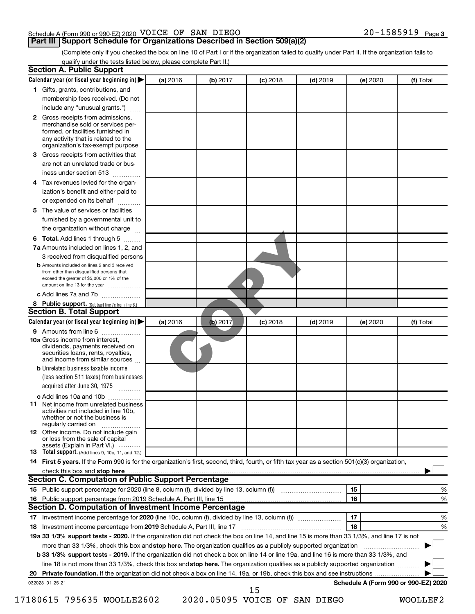#### Schedule A (Form 990 or 990-EZ) 2020 Page VOICE OF SAN DIEGO 20-1585919

#### **Part III | Support Schedule for Organizations Described in Section 509(a)(2)**

(Complete only if you checked the box on line 10 of Part I or if the organization failed to qualify under Part II. If the organization fails to qualify under the tests listed below, please complete Part II.)

| <b>Section A. Public Support</b>                                                                                                                                                 |          |          |            |            |          |                                      |
|----------------------------------------------------------------------------------------------------------------------------------------------------------------------------------|----------|----------|------------|------------|----------|--------------------------------------|
| Calendar year (or fiscal year beginning in)                                                                                                                                      | (a) 2016 | (b) 2017 | $(c)$ 2018 | $(d)$ 2019 | (e) 2020 | (f) Total                            |
| 1 Gifts, grants, contributions, and                                                                                                                                              |          |          |            |            |          |                                      |
| membership fees received. (Do not                                                                                                                                                |          |          |            |            |          |                                      |
| include any "unusual grants.")                                                                                                                                                   |          |          |            |            |          |                                      |
| 2 Gross receipts from admissions,<br>merchandise sold or services per-<br>formed, or facilities furnished in<br>any activity that is related to the                              |          |          |            |            |          |                                      |
| organization's tax-exempt purpose                                                                                                                                                |          |          |            |            |          |                                      |
| 3 Gross receipts from activities that                                                                                                                                            |          |          |            |            |          |                                      |
| are not an unrelated trade or bus-                                                                                                                                               |          |          |            |            |          |                                      |
| iness under section 513                                                                                                                                                          |          |          |            |            |          |                                      |
| 4 Tax revenues levied for the organ-                                                                                                                                             |          |          |            |            |          |                                      |
| ization's benefit and either paid to                                                                                                                                             |          |          |            |            |          |                                      |
| or expended on its behalf                                                                                                                                                        |          |          |            |            |          |                                      |
| 5 The value of services or facilities                                                                                                                                            |          |          |            |            |          |                                      |
| furnished by a governmental unit to                                                                                                                                              |          |          |            |            |          |                                      |
| the organization without charge                                                                                                                                                  |          |          |            |            |          |                                      |
| <b>6 Total.</b> Add lines 1 through 5                                                                                                                                            |          |          |            |            |          |                                      |
| 7a Amounts included on lines 1, 2, and                                                                                                                                           |          |          |            |            |          |                                      |
| 3 received from disqualified persons                                                                                                                                             |          |          |            |            |          |                                      |
| <b>b</b> Amounts included on lines 2 and 3 received<br>from other than disqualified persons that<br>exceed the greater of \$5,000 or 1% of the<br>amount on line 13 for the year |          |          |            |            |          |                                      |
| c Add lines 7a and 7b                                                                                                                                                            |          |          |            |            |          |                                      |
| 8 Public support. (Subtract line 7c from line 6.)                                                                                                                                |          |          |            |            |          |                                      |
| <b>Section B. Total Support</b>                                                                                                                                                  |          |          |            |            |          |                                      |
| Calendar year (or fiscal year beginning in)                                                                                                                                      | (a) 2016 | (b) 2017 | $(c)$ 2018 | $(d)$ 2019 | (e) 2020 | (f) Total                            |
| <b>9</b> Amounts from line 6                                                                                                                                                     |          |          |            |            |          |                                      |
| <b>10a</b> Gross income from interest,<br>dividends, payments received on<br>securities loans, rents, royalties,<br>and income from similar sources                              |          |          |            |            |          |                                      |
| <b>b</b> Unrelated business taxable income                                                                                                                                       |          |          |            |            |          |                                      |
| (less section 511 taxes) from businesses<br>acquired after June 30, 1975<br>1.1.1.1.1.1.1.1.1                                                                                    |          |          |            |            |          |                                      |
| c Add lines 10a and 10b                                                                                                                                                          |          |          |            |            |          |                                      |
| <b>11</b> Net income from unrelated business<br>activities not included in line 10b.<br>whether or not the business is<br>regularly carried on                                   |          |          |            |            |          |                                      |
| <b>12</b> Other income. Do not include gain<br>or loss from the sale of capital<br>assets (Explain in Part VI.)                                                                  |          |          |            |            |          |                                      |
| <b>13</b> Total support. (Add lines 9, 10c, 11, and 12.)                                                                                                                         |          |          |            |            |          |                                      |
| 14 First 5 years. If the Form 990 is for the organization's first, second, third, fourth, or fifth tax year as a section 501(c)(3) organization,                                 |          |          |            |            |          |                                      |
|                                                                                                                                                                                  |          |          |            |            |          |                                      |
| <b>Section C. Computation of Public Support Percentage</b>                                                                                                                       |          |          |            |            |          |                                      |
|                                                                                                                                                                                  |          |          |            |            | 15       | ℅                                    |
| 16 Public support percentage from 2019 Schedule A, Part III, line 15                                                                                                             |          |          |            |            | 16       | %                                    |
| Section D. Computation of Investment Income Percentage                                                                                                                           |          |          |            |            |          |                                      |
|                                                                                                                                                                                  |          |          |            |            | 17       | %                                    |
| 18 Investment income percentage from 2019 Schedule A, Part III, line 17                                                                                                          |          |          |            |            | 18       | %                                    |
| 19a 33 1/3% support tests - 2020. If the organization did not check the box on line 14, and line 15 is more than 33 1/3%, and line 17 is not                                     |          |          |            |            |          |                                      |
| more than 33 1/3%, check this box and stop here. The organization qualifies as a publicly supported organization                                                                 |          |          |            |            |          |                                      |
| b 33 1/3% support tests - 2019. If the organization did not check a box on line 14 or line 19a, and line 16 is more than 33 1/3%, and                                            |          |          |            |            |          |                                      |
| line 18 is not more than 33 1/3%, check this box and stop here. The organization qualifies as a publicly supported organization                                                  |          |          |            |            |          |                                      |
|                                                                                                                                                                                  |          |          |            |            |          |                                      |
| 032023 01-25-21                                                                                                                                                                  |          |          |            |            |          | Schedule A (Form 990 or 990-EZ) 2020 |
|                                                                                                                                                                                  |          |          | 15         |            |          |                                      |

17180615 795635 WOOLLE2602 2020.05095 VOICE OF SAN DIEGO WOOLLEF2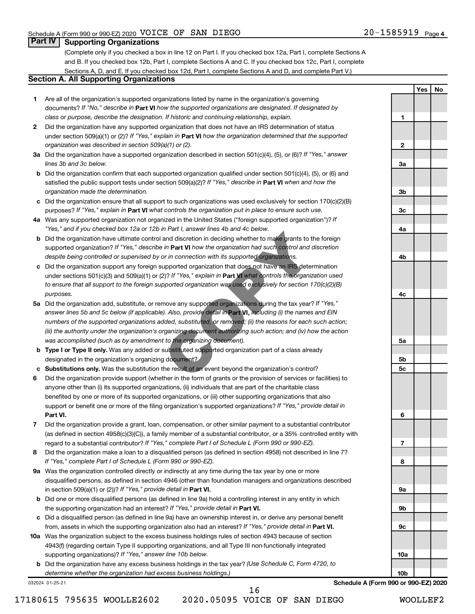### **Part IV Supporting Organizations**

(Complete only if you checked a box in line 12 on Part I. If you checked box 12a, Part I, complete Sections A and B. If you checked box 12b, Part I, complete Sections A and C. If you checked box 12c, Part I, complete Sections A, D, and E. If you checked box 12d, Part I, complete Sections A and D, and complete Part V.)

### **Section A. All Supporting Organizations**

- **1** Are all of the organization's supported organizations listed by name in the organization's governing documents? If "No," describe in Part VI how the supported organizations are designated. If designated by *class or purpose, describe the designation. If historic and continuing relationship, explain.*
- **2** Did the organization have any supported organization that does not have an IRS determination of status under section 509(a)(1) or (2)? If "Yes," explain in Part **VI** how the organization determined that the supported *organization was described in section 509(a)(1) or (2).*
- **3a** Did the organization have a supported organization described in section 501(c)(4), (5), or (6)? If "Yes," answer *lines 3b and 3c below.*
- **b** Did the organization confirm that each supported organization qualified under section 501(c)(4), (5), or (6) and satisfied the public support tests under section 509(a)(2)? If "Yes," describe in Part VI when and how the *organization made the determination.*
- **c** Did the organization ensure that all support to such organizations was used exclusively for section 170(c)(2)(B) purposes? If "Yes," explain in Part VI what controls the organization put in place to ensure such use.
- **4 a** *If* Was any supported organization not organized in the United States ("foreign supported organization")? *"Yes," and if you checked box 12a or 12b in Part I, answer lines 4b and 4c below.*
- **b** Did the organization have ultimate control and discretion in deciding whether to make grants to the foreign supported organization? If "Yes," describe in Part VI how the organization had such control and discretion *despite being controlled or supervised by or in connection with its supported organizations.*
- **c** Did the organization support any foreign supported organization that does not have an IRS determination under sections 501(c)(3) and 509(a)(1) or (2)? If "Yes," explain in Part VI what controls the organization used *to ensure that all support to the foreign supported organization was used exclusively for section 170(c)(2)(B) purposes.*
- **5a** Did the organization add, substitute, or remove any supported organizations during the tax year? If "Yes," answer lines 5b and 5c below (if applicable). Also, provide detail in **Part VI, inclu**ding (i) the names and EIN *numbers of the supported organizations added, substituted, or removed; (ii) the reasons for each such action; (iii) the authority under the organization's organizing document authorizing such action; and (iv) how the action was accomplished (such as by amendment to the organizing document).* The art of the discretion in deciding whether to make grants to t<br>and discretion in deciding whether to make grants to t<br>in **Part VI** how the organization had such control and or<br>in connection with its supported organizati
- **b Type I or Type II only.** Was any added or substituted supported organization part of a class already designated in the organization's organizing document?
- **c Substitutions only.**  Was the substitution the result of an event beyond the organization's control?
- **6** Did the organization provide support (whether in the form of grants or the provision of services or facilities) to **Part VI.** support or benefit one or more of the filing organization's supported organizations? If "Yes," provide detail in anyone other than (i) its supported organizations, (ii) individuals that are part of the charitable class benefited by one or more of its supported organizations, or (iii) other supporting organizations that also
- **7** Did the organization provide a grant, loan, compensation, or other similar payment to a substantial contributor regard to a substantial contributor? If "Yes," complete Part I of Schedule L (Form 990 or 990-EZ). (as defined in section 4958(c)(3)(C)), a family member of a substantial contributor, or a 35% controlled entity with
- **8** Did the organization make a loan to a disqualified person (as defined in section 4958) not described in line 7? *If "Yes," complete Part I of Schedule L (Form 990 or 990-EZ).*
- **9 a** Was the organization controlled directly or indirectly at any time during the tax year by one or more in section 509(a)(1) or (2))? If "Yes," provide detail in **Part VI.** disqualified persons, as defined in section 4946 (other than foundation managers and organizations described
- **b** Did one or more disqualified persons (as defined in line 9a) hold a controlling interest in any entity in which the supporting organization had an interest? If "Yes," provide detail in Part VI.
- **c** Did a disqualified person (as defined in line 9a) have an ownership interest in, or derive any personal benefit from, assets in which the supporting organization also had an interest? If "Yes," provide detail in Part VI.
- **10 a** Was the organization subject to the excess business holdings rules of section 4943 because of section supporting organizations)? If "Yes," answer line 10b below. 4943(f) (regarding certain Type II supporting organizations, and all Type III non-functionally integrated
	- **b** Did the organization have any excess business holdings in the tax year? (Use Schedule C, Form 4720, to *determine whether the organization had excess business holdings.)*

032024 01-25-21

**Schedule A (Form 990 or 990-EZ) 2020**

16

**Yes No 1 2 3a 3b 3c 4a 4b 4c 5a 5b 5c 6 7 8 9a 9b 9c 10a 10b**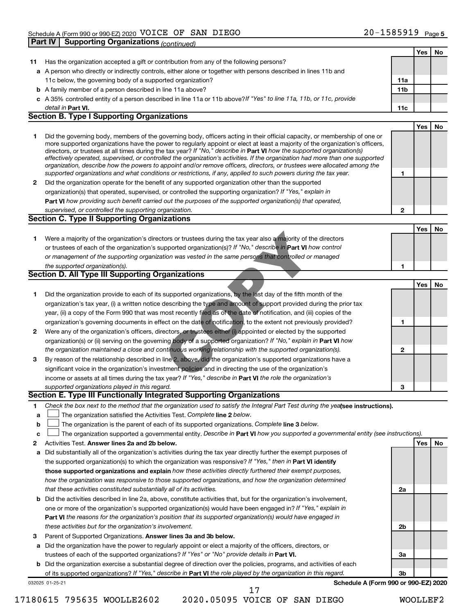|        |                                                                                                                                                                                                                                                           |     | Yes | No |
|--------|-----------------------------------------------------------------------------------------------------------------------------------------------------------------------------------------------------------------------------------------------------------|-----|-----|----|
| 11     | Has the organization accepted a gift or contribution from any of the following persons?                                                                                                                                                                   |     |     |    |
|        | a A person who directly or indirectly controls, either alone or together with persons described in lines 11b and                                                                                                                                          |     |     |    |
|        | 11c below, the governing body of a supported organization?                                                                                                                                                                                                | 11a |     |    |
|        | <b>b</b> A family member of a person described in line 11a above?                                                                                                                                                                                         | 11b |     |    |
|        | c A 35% controlled entity of a person described in line 11a or 11b above?If "Yes" to line 11a, 11b, or 11c, provide                                                                                                                                       |     |     |    |
|        | detail in <b>Part VI.</b>                                                                                                                                                                                                                                 | 11c |     |    |
|        | <b>Section B. Type I Supporting Organizations</b>                                                                                                                                                                                                         |     |     |    |
|        |                                                                                                                                                                                                                                                           |     | Yes | No |
| 1      | Did the governing body, members of the governing body, officers acting in their official capacity, or membership of one or                                                                                                                                |     |     |    |
|        | more supported organizations have the power to regularly appoint or elect at least a majority of the organization's officers,                                                                                                                             |     |     |    |
|        | directors, or trustees at all times during the tax year? If "No," describe in Part VI how the supported organization(s)<br>effectively operated, supervised, or controlled the organization's activities. If the organization had more than one supported |     |     |    |
|        | organization, describe how the powers to appoint and/or remove officers, directors, or trustees were allocated among the                                                                                                                                  |     |     |    |
|        | supported organizations and what conditions or restrictions, if any, applied to such powers during the tax year.                                                                                                                                          | 1   |     |    |
| 2      | Did the organization operate for the benefit of any supported organization other than the supported                                                                                                                                                       |     |     |    |
|        | organization(s) that operated, supervised, or controlled the supporting organization? If "Yes," explain in                                                                                                                                                |     |     |    |
|        | Part VI how providing such benefit carried out the purposes of the supported organization(s) that operated,                                                                                                                                               |     |     |    |
|        | supervised, or controlled the supporting organization.                                                                                                                                                                                                    | 2   |     |    |
|        | <b>Section C. Type II Supporting Organizations</b>                                                                                                                                                                                                        |     |     |    |
|        |                                                                                                                                                                                                                                                           |     | Yes | No |
| 1      | Were a majority of the organization's directors or trustees during the tax year also a majority of the directors                                                                                                                                          |     |     |    |
|        | or trustees of each of the organization's supported organization(s)? If "No," describe in Part VI how control                                                                                                                                             |     |     |    |
|        | or management of the supporting organization was vested in the same persons that controlled or managed                                                                                                                                                    |     |     |    |
|        | the supported organization(s).                                                                                                                                                                                                                            | 1   |     |    |
|        | <b>Section D. All Type III Supporting Organizations</b>                                                                                                                                                                                                   |     |     |    |
|        |                                                                                                                                                                                                                                                           |     | Yes | No |
| 1      | Did the organization provide to each of its supported organizations, by the last day of the fifth month of the                                                                                                                                            |     |     |    |
|        | organization's tax year, (i) a written notice describing the type and amount of support provided during the prior tax                                                                                                                                     |     |     |    |
|        | year, (ii) a copy of the Form 990 that was most recently filed as of the date of notification, and (iii) copies of the                                                                                                                                    |     |     |    |
|        | organization's governing documents in effect on the date of notification, to the extent not previously provided?                                                                                                                                          | 1   |     |    |
| 2      | Were any of the organization's officers, directors, or trustees either (i) appointed or elected by the supported                                                                                                                                          |     |     |    |
|        | organization(s) or (ii) serving on the governing body of a supported organization? If "No," explain in Part VI how                                                                                                                                        |     |     |    |
|        | the organization maintained a close and continuous working relationship with the supported organization(s).                                                                                                                                               | 2   |     |    |
| З      | By reason of the relationship described in line 2, above, did the organization's supported organizations have a                                                                                                                                           |     |     |    |
|        | significant voice in the organization's investment policies and in directing the use of the organization's                                                                                                                                                |     |     |    |
|        | income or assets at all times during the tax year? If "Yes," describe in Part VI the role the organization's<br>supported organizations played in this regard.                                                                                            |     |     |    |
|        | Section E. Type III Functionally Integrated Supporting Organizations                                                                                                                                                                                      | 3   |     |    |
|        | Check the box next to the method that the organization used to satisfy the Integral Part Test during the yealsee instructions).                                                                                                                           |     |     |    |
| 1<br>a | The organization satisfied the Activities Test. Complete line 2 below.                                                                                                                                                                                    |     |     |    |
| b      | The organization is the parent of each of its supported organizations. Complete line 3 below.                                                                                                                                                             |     |     |    |
| C      | The organization supported a governmental entity. Describe in Part VI how you supported a governmental entity (see instructions).                                                                                                                         |     |     |    |
| 2      | Activities Test. Answer lines 2a and 2b below.                                                                                                                                                                                                            |     | Yes | No |
| а      | Did substantially all of the organization's activities during the tax year directly further the exempt purposes of                                                                                                                                        |     |     |    |
|        | the supported organization(s) to which the organization was responsive? If "Yes," then in Part VI identify                                                                                                                                                |     |     |    |
|        | those supported organizations and explain how these activities directly furthered their exempt purposes,                                                                                                                                                  |     |     |    |
|        | how the organization was responsive to those supported organizations, and how the organization determined                                                                                                                                                 |     |     |    |
|        | that these activities constituted substantially all of its activities.                                                                                                                                                                                    | 2a  |     |    |
|        | <b>b</b> Did the activities described in line 2a, above, constitute activities that, but for the organization's involvement,                                                                                                                              |     |     |    |
|        | one or more of the organization's supported organization(s) would have been engaged in? If "Yes," explain in                                                                                                                                              |     |     |    |
|        | Part VI the reasons for the organization's position that its supported organization(s) would have engaged in                                                                                                                                              |     |     |    |
|        | these activities but for the organization's involvement.                                                                                                                                                                                                  | 2b  |     |    |
| з      | Parent of Supported Organizations. Answer lines 3a and 3b below.                                                                                                                                                                                          |     |     |    |
| а      | Did the organization have the power to regularly appoint or elect a majority of the officers, directors, or                                                                                                                                               |     |     |    |
|        | trustees of each of the supported organizations? If "Yes" or "No" provide details in Part VI.                                                                                                                                                             | За  |     |    |
|        | <b>b</b> Did the organization exercise a substantial degree of direction over the policies, programs, and activities of each                                                                                                                              |     |     |    |
|        | of its supported organizations? If "Yes," describe in Part VI the role played by the organization in this regard.                                                                                                                                         | Зb  |     |    |
|        | Schedule A (Form 990 or 990-EZ) 2020<br>032025 01-25-21                                                                                                                                                                                                   |     |     |    |
|        | 17                                                                                                                                                                                                                                                        |     |     |    |

17180615 795635 WOOLLE2602 2020.05095 VOICE OF SAN DIEGO WOOLLEF2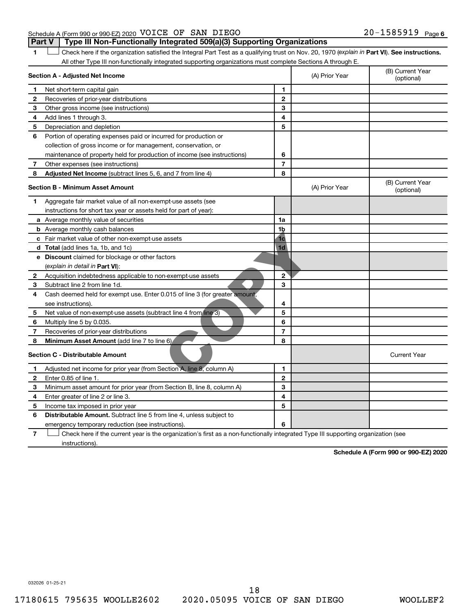#### Schedule A (Form 990 or 990-EZ) 2020 Page VOICE OF SAN DIEGO 20-1585919 **Part V** | Type III Non-Functionally Integrated 509(a)(3) Supporting Organizations

1 **I** Check here if the organization satisfied the Integral Part Test as a qualifying trust on Nov. 20, 1970 (explain in Part VI). See instructions. All other Type III non-functionally integrated supporting organizations must complete Sections A through E.

|   | Section A - Adjusted Net Income                                                                                                   |                | (A) Prior Year | (B) Current Year<br>(optional) |
|---|-----------------------------------------------------------------------------------------------------------------------------------|----------------|----------------|--------------------------------|
| 1 | Net short-term capital gain                                                                                                       | 1              |                |                                |
| 2 | Recoveries of prior-year distributions                                                                                            | $\mathbf{2}$   |                |                                |
| 3 | Other gross income (see instructions)                                                                                             | 3              |                |                                |
| 4 | Add lines 1 through 3.                                                                                                            | 4              |                |                                |
| 5 | Depreciation and depletion                                                                                                        | 5              |                |                                |
| 6 | Portion of operating expenses paid or incurred for production or                                                                  |                |                |                                |
|   | collection of gross income or for management, conservation, or                                                                    |                |                |                                |
|   | maintenance of property held for production of income (see instructions)                                                          | 6              |                |                                |
| 7 | Other expenses (see instructions)                                                                                                 | $\overline{7}$ |                |                                |
| 8 | Adjusted Net Income (subtract lines 5, 6, and 7 from line 4)                                                                      | 8              |                |                                |
|   | <b>Section B - Minimum Asset Amount</b>                                                                                           |                | (A) Prior Year | (B) Current Year<br>(optional) |
| 1 | Aggregate fair market value of all non-exempt-use assets (see                                                                     |                |                |                                |
|   | instructions for short tax year or assets held for part of year):                                                                 |                |                |                                |
|   | a Average monthly value of securities                                                                                             | 1a             |                |                                |
|   | <b>b</b> Average monthly cash balances                                                                                            | 1 <sub>b</sub> |                |                                |
|   | c Fair market value of other non-exempt-use assets                                                                                | 1 <sub>c</sub> |                |                                |
|   | d Total (add lines 1a, 1b, and 1c)                                                                                                | 1 <sub>d</sub> |                |                                |
|   | e Discount claimed for blockage or other factors                                                                                  |                |                |                                |
|   | (explain in detail in Part VI):                                                                                                   |                |                |                                |
| 2 | Acquisition indebtedness applicable to non-exempt-use assets                                                                      | $\overline{2}$ |                |                                |
| 3 | Subtract line 2 from line 1d.                                                                                                     | 3              |                |                                |
| 4 | Cash deemed held for exempt use. Enter 0.015 of line 3 (for greater amount,                                                       |                |                |                                |
|   | see instructions).                                                                                                                | 4              |                |                                |
| 5 | Net value of non-exempt-use assets (subtract line 4 from line 3)                                                                  | 5              |                |                                |
| 6 | Multiply line 5 by 0.035.                                                                                                         | 6              |                |                                |
| 7 | Recoveries of prior-year distributions                                                                                            | $\overline{7}$ |                |                                |
| 8 | Minimum Asset Amount (add line 7 to line 6)                                                                                       | 8              |                |                                |
|   | <b>Section C - Distributable Amount</b>                                                                                           |                |                | <b>Current Year</b>            |
| 1 | Adjusted net income for prior year (from Section A, line 8, column A)                                                             | $\mathbf{1}$   |                |                                |
| 2 | Enter 0.85 of line 1.                                                                                                             | $\mathbf{2}$   |                |                                |
| з | Minimum asset amount for prior year (from Section B, line 8, column A)                                                            | 3              |                |                                |
| 4 | Enter greater of line 2 or line 3.                                                                                                | 4              |                |                                |
| 5 | Income tax imposed in prior year                                                                                                  | 5              |                |                                |
| 6 | <b>Distributable Amount.</b> Subtract line 5 from line 4, unless subject to                                                       |                |                |                                |
|   | emergency temporary reduction (see instructions).                                                                                 | 6              |                |                                |
| 7 | Check here if the current year is the organization's first as a non-functionally integrated Type III supporting organization (see |                |                |                                |

instructions).

**Schedule A (Form 990 or 990-EZ) 2020**

032026 01-25-21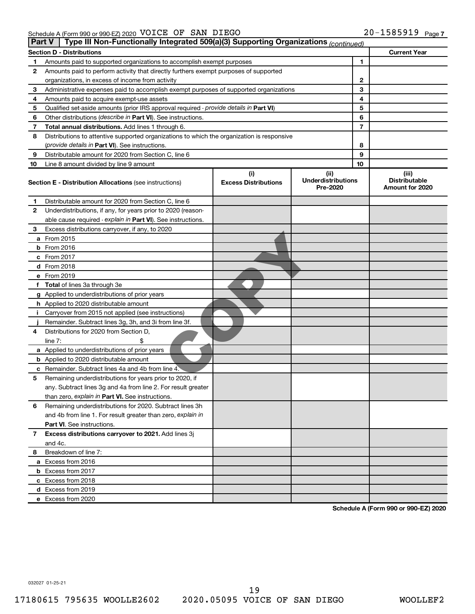| Type III Non-Functionally Integrated 509(a)(3) Supporting Organizations (continued)<br>Part V |                                                                                            |                             |                                       |    |                                         |  |  |
|-----------------------------------------------------------------------------------------------|--------------------------------------------------------------------------------------------|-----------------------------|---------------------------------------|----|-----------------------------------------|--|--|
|                                                                                               | <b>Section D - Distributions</b>                                                           |                             |                                       |    | <b>Current Year</b>                     |  |  |
| 1                                                                                             | Amounts paid to supported organizations to accomplish exempt purposes                      |                             |                                       | 1  |                                         |  |  |
| 2                                                                                             | Amounts paid to perform activity that directly furthers exempt purposes of supported       |                             |                                       |    |                                         |  |  |
|                                                                                               | organizations, in excess of income from activity                                           |                             |                                       | 2  |                                         |  |  |
| 3                                                                                             | Administrative expenses paid to accomplish exempt purposes of supported organizations      |                             |                                       |    |                                         |  |  |
| 4                                                                                             | Amounts paid to acquire exempt-use assets                                                  |                             |                                       | 4  |                                         |  |  |
| 5                                                                                             | Qualified set-aside amounts (prior IRS approval required - provide details in Part VI)     |                             |                                       | 5  |                                         |  |  |
| 6                                                                                             | Other distributions ( <i>describe in Part VI</i> ). See instructions.                      |                             |                                       | 6  |                                         |  |  |
| 7                                                                                             | Total annual distributions. Add lines 1 through 6.                                         |                             |                                       |    |                                         |  |  |
| 8                                                                                             | Distributions to attentive supported organizations to which the organization is responsive |                             |                                       |    |                                         |  |  |
|                                                                                               | ( <i>provide details in Part VI</i> ). See instructions.                                   |                             |                                       | 8  |                                         |  |  |
| 9                                                                                             | Distributable amount for 2020 from Section C, line 6                                       |                             |                                       |    |                                         |  |  |
| 10                                                                                            | Line 8 amount divided by line 9 amount                                                     |                             |                                       | 10 |                                         |  |  |
|                                                                                               |                                                                                            | (i)                         | (ii)                                  |    | (iii)                                   |  |  |
|                                                                                               | <b>Section E - Distribution Allocations (see instructions)</b>                             | <b>Excess Distributions</b> | <b>Underdistributions</b><br>Pre-2020 |    | <b>Distributable</b><br>Amount for 2020 |  |  |
| 1                                                                                             | Distributable amount for 2020 from Section C, line 6                                       |                             |                                       |    |                                         |  |  |
| 2                                                                                             | Underdistributions, if any, for years prior to 2020 (reason-                               |                             |                                       |    |                                         |  |  |
|                                                                                               | able cause required - explain in Part VI). See instructions.                               |                             |                                       |    |                                         |  |  |
| З                                                                                             | Excess distributions carryover, if any, to 2020                                            |                             |                                       |    |                                         |  |  |
|                                                                                               | a From 2015                                                                                |                             |                                       |    |                                         |  |  |
|                                                                                               | $b$ From 2016                                                                              |                             |                                       |    |                                         |  |  |
|                                                                                               | c From 2017                                                                                |                             |                                       |    |                                         |  |  |
|                                                                                               | <b>d</b> From 2018                                                                         |                             |                                       |    |                                         |  |  |
|                                                                                               | e From 2019                                                                                |                             |                                       |    |                                         |  |  |
|                                                                                               | f Total of lines 3a through 3e                                                             |                             |                                       |    |                                         |  |  |
|                                                                                               | g Applied to underdistributions of prior years                                             |                             |                                       |    |                                         |  |  |
|                                                                                               | <b>h</b> Applied to 2020 distributable amount                                              |                             |                                       |    |                                         |  |  |
| j.                                                                                            | Carryover from 2015 not applied (see instructions)                                         |                             |                                       |    |                                         |  |  |
|                                                                                               | Remainder. Subtract lines 3g, 3h, and 3i from line 3f.                                     |                             |                                       |    |                                         |  |  |
| 4                                                                                             | Distributions for 2020 from Section D,                                                     |                             |                                       |    |                                         |  |  |
|                                                                                               | line $7:$                                                                                  |                             |                                       |    |                                         |  |  |
|                                                                                               | a Applied to underdistributions of prior years                                             |                             |                                       |    |                                         |  |  |
|                                                                                               | <b>b</b> Applied to 2020 distributable amount                                              |                             |                                       |    |                                         |  |  |
|                                                                                               | c Remainder. Subtract lines 4a and 4b from line 4.                                         |                             |                                       |    |                                         |  |  |
| 5                                                                                             | Remaining underdistributions for years prior to 2020, if                                   |                             |                                       |    |                                         |  |  |
|                                                                                               | any. Subtract lines 3g and 4a from line 2. For result greater                              |                             |                                       |    |                                         |  |  |
|                                                                                               | than zero, explain in Part VI. See instructions.                                           |                             |                                       |    |                                         |  |  |
| 6                                                                                             | Remaining underdistributions for 2020. Subtract lines 3h                                   |                             |                                       |    |                                         |  |  |
|                                                                                               | and 4b from line 1. For result greater than zero, explain in                               |                             |                                       |    |                                         |  |  |
|                                                                                               | <b>Part VI.</b> See instructions.                                                          |                             |                                       |    |                                         |  |  |
| 7                                                                                             | Excess distributions carryover to 2021. Add lines 3j                                       |                             |                                       |    |                                         |  |  |
|                                                                                               | and 4c.                                                                                    |                             |                                       |    |                                         |  |  |
| 8                                                                                             | Breakdown of line 7:                                                                       |                             |                                       |    |                                         |  |  |
|                                                                                               | a Excess from 2016                                                                         |                             |                                       |    |                                         |  |  |
|                                                                                               | <b>b</b> Excess from 2017                                                                  |                             |                                       |    |                                         |  |  |
|                                                                                               | c Excess from 2018                                                                         |                             |                                       |    |                                         |  |  |
|                                                                                               | d Excess from 2019                                                                         |                             |                                       |    |                                         |  |  |
|                                                                                               | e Excess from 2020                                                                         |                             |                                       |    |                                         |  |  |
|                                                                                               |                                                                                            |                             |                                       |    |                                         |  |  |

**Schedule A (Form 990 or 990-EZ) 2020**

032027 01-25-21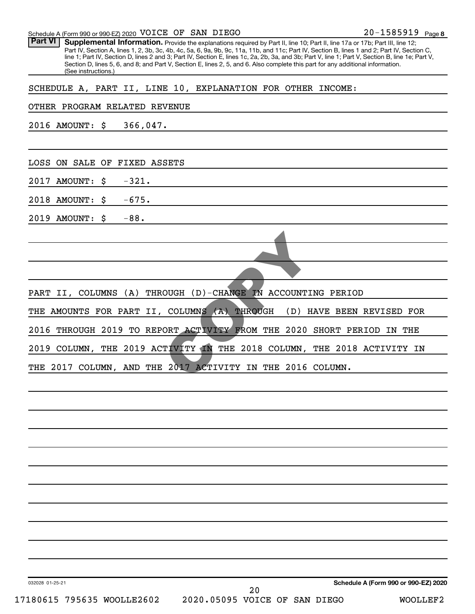| Schedule A (Form 990 or 990-EZ) 2020 VOICE OF SAN DIEGO                                                                                                                                                                                                                                                                                                                                                                                                                                                                                                                                                       | 20-1585919 Page 8                    |
|---------------------------------------------------------------------------------------------------------------------------------------------------------------------------------------------------------------------------------------------------------------------------------------------------------------------------------------------------------------------------------------------------------------------------------------------------------------------------------------------------------------------------------------------------------------------------------------------------------------|--------------------------------------|
| <b>Part VI</b><br>Supplemental Information. Provide the explanations required by Part II, line 10; Part II, line 17a or 17b; Part III, line 12;<br>Part IV, Section A, lines 1, 2, 3b, 3c, 4b, 4c, 5a, 6, 9a, 9b, 9c, 11a, 11b, and 11c; Part IV, Section B, lines 1 and 2; Part IV, Section C,<br>line 1; Part IV, Section D, lines 2 and 3; Part IV, Section E, lines 1c, 2a, 2b, 3a, and 3b; Part V, line 1; Part V, Section B, line 1e; Part V,<br>Section D, lines 5, 6, and 8; and Part V, Section E, lines 2, 5, and 6. Also complete this part for any additional information.<br>(See instructions.) |                                      |
| SCHEDULE A, PART II, LINE 10, EXPLANATION FOR OTHER INCOME:                                                                                                                                                                                                                                                                                                                                                                                                                                                                                                                                                   |                                      |
| OTHER PROGRAM RELATED REVENUE                                                                                                                                                                                                                                                                                                                                                                                                                                                                                                                                                                                 |                                      |
| 2016 AMOUNT: \$<br>366,047.                                                                                                                                                                                                                                                                                                                                                                                                                                                                                                                                                                                   |                                      |
|                                                                                                                                                                                                                                                                                                                                                                                                                                                                                                                                                                                                               |                                      |
| LOSS ON SALE OF FIXED ASSETS                                                                                                                                                                                                                                                                                                                                                                                                                                                                                                                                                                                  |                                      |
| $-321.$<br>2017 AMOUNT:<br>\$                                                                                                                                                                                                                                                                                                                                                                                                                                                                                                                                                                                 |                                      |
| $-675.$<br>2018 AMOUNT:<br>\$                                                                                                                                                                                                                                                                                                                                                                                                                                                                                                                                                                                 |                                      |
| 2019 AMOUNT:<br>$-88.$<br>\$                                                                                                                                                                                                                                                                                                                                                                                                                                                                                                                                                                                  |                                      |
|                                                                                                                                                                                                                                                                                                                                                                                                                                                                                                                                                                                                               |                                      |
|                                                                                                                                                                                                                                                                                                                                                                                                                                                                                                                                                                                                               |                                      |
|                                                                                                                                                                                                                                                                                                                                                                                                                                                                                                                                                                                                               |                                      |
| PART II, COLUMNS (A) THROUGH (D)-CHANGE IN ACCOUNTING PERIOD                                                                                                                                                                                                                                                                                                                                                                                                                                                                                                                                                  |                                      |
| THE AMOUNTS FOR PART II, COLUMNS (A) THROUGH<br>(D) HAVE BEEN REVISED FOR                                                                                                                                                                                                                                                                                                                                                                                                                                                                                                                                     |                                      |
| 2016<br>THROUGH 2019 TO REPORT ACTIVITY FROM THE 2020 SHORT PERIOD IN THE                                                                                                                                                                                                                                                                                                                                                                                                                                                                                                                                     |                                      |
| 2019 COLUMN, THE 2019 ACTIVITY IN THE 2018 COLUMN, THE 2018 ACTIVITY IN                                                                                                                                                                                                                                                                                                                                                                                                                                                                                                                                       |                                      |
| THE 2017 COLUMN, AND THE 2017 ACTIVITY IN THE 2016 COLUMN.                                                                                                                                                                                                                                                                                                                                                                                                                                                                                                                                                    |                                      |
|                                                                                                                                                                                                                                                                                                                                                                                                                                                                                                                                                                                                               |                                      |
|                                                                                                                                                                                                                                                                                                                                                                                                                                                                                                                                                                                                               |                                      |
|                                                                                                                                                                                                                                                                                                                                                                                                                                                                                                                                                                                                               |                                      |
|                                                                                                                                                                                                                                                                                                                                                                                                                                                                                                                                                                                                               |                                      |
|                                                                                                                                                                                                                                                                                                                                                                                                                                                                                                                                                                                                               |                                      |
|                                                                                                                                                                                                                                                                                                                                                                                                                                                                                                                                                                                                               |                                      |
|                                                                                                                                                                                                                                                                                                                                                                                                                                                                                                                                                                                                               |                                      |
|                                                                                                                                                                                                                                                                                                                                                                                                                                                                                                                                                                                                               |                                      |
|                                                                                                                                                                                                                                                                                                                                                                                                                                                                                                                                                                                                               |                                      |
|                                                                                                                                                                                                                                                                                                                                                                                                                                                                                                                                                                                                               |                                      |
|                                                                                                                                                                                                                                                                                                                                                                                                                                                                                                                                                                                                               |                                      |
| 032028 01-25-21<br>20                                                                                                                                                                                                                                                                                                                                                                                                                                                                                                                                                                                         | Schedule A (Form 990 or 990-EZ) 2020 |
| 17180615 795635 WOOLLE2602<br>2020.05095 VOICE OF SAN DIEGO                                                                                                                                                                                                                                                                                                                                                                                                                                                                                                                                                   | WOOLLEF2                             |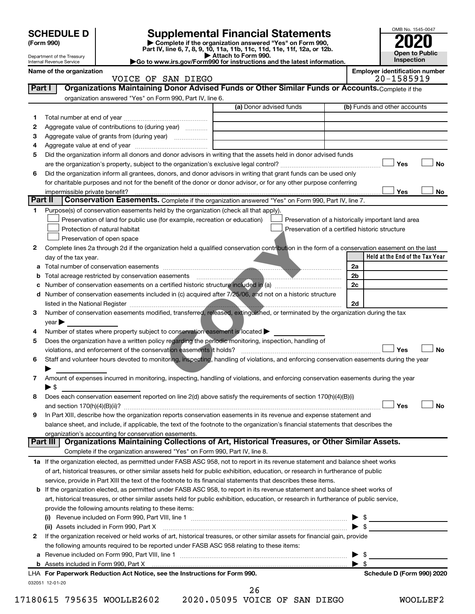|         | <b>Supplemental Financial Statements</b><br><b>SCHEDULE D</b><br>Complete if the organization answered "Yes" on Form 990,<br>(Form 990) |                                                                                                                                                |                     |                                                    |  | OMB No. 1545-0047   |                                       |           |  |
|---------|-----------------------------------------------------------------------------------------------------------------------------------------|------------------------------------------------------------------------------------------------------------------------------------------------|---------------------|----------------------------------------------------|--|---------------------|---------------------------------------|-----------|--|
|         |                                                                                                                                         | Part IV, line 6, 7, 8, 9, 10, 11a, 11b, 11c, 11d, 11e, 11f, 12a, or 12b.                                                                       |                     |                                                    |  |                     | <b>Open to Public</b>                 |           |  |
|         | Department of the Treasury<br>Internal Revenue Service                                                                                  | Go to www.irs.gov/Form990 for instructions and the latest information.                                                                         | Attach to Form 990. |                                                    |  |                     | <b>Inspection</b>                     |           |  |
|         | Name of the organization                                                                                                                |                                                                                                                                                |                     |                                                    |  |                     | <b>Employer identification number</b> |           |  |
|         |                                                                                                                                         | VOICE OF SAN DIEGO                                                                                                                             |                     |                                                    |  |                     | 20-1585919                            |           |  |
| Part I  |                                                                                                                                         | Organizations Maintaining Donor Advised Funds or Other Similar Funds or Accounts. Complete if the                                              |                     |                                                    |  |                     |                                       |           |  |
|         |                                                                                                                                         | organization answered "Yes" on Form 990, Part IV, line 6.                                                                                      |                     |                                                    |  |                     |                                       |           |  |
|         |                                                                                                                                         |                                                                                                                                                |                     | (a) Donor advised funds                            |  |                     | (b) Funds and other accounts          |           |  |
| 1       |                                                                                                                                         |                                                                                                                                                |                     |                                                    |  |                     |                                       |           |  |
| 2       |                                                                                                                                         | Aggregate value of contributions to (during year)                                                                                              |                     |                                                    |  |                     |                                       |           |  |
| 3<br>4  |                                                                                                                                         |                                                                                                                                                |                     |                                                    |  |                     |                                       |           |  |
| 5       |                                                                                                                                         | Did the organization inform all donors and donor advisors in writing that the assets held in donor advised funds                               |                     |                                                    |  |                     |                                       |           |  |
|         |                                                                                                                                         |                                                                                                                                                |                     |                                                    |  |                     | Yes                                   | <b>No</b> |  |
| 6       |                                                                                                                                         | Did the organization inform all grantees, donors, and donor advisors in writing that grant funds can be used only                              |                     |                                                    |  |                     |                                       |           |  |
|         |                                                                                                                                         | for charitable purposes and not for the benefit of the donor or donor advisor, or for any other purpose conferring                             |                     |                                                    |  |                     |                                       |           |  |
|         | impermissible private benefit?                                                                                                          |                                                                                                                                                |                     |                                                    |  |                     | Yes                                   | No        |  |
| Part II |                                                                                                                                         | Conservation Easements. Complete if the organization answered "Yes" on Form 990, Part IV, line 7.                                              |                     |                                                    |  |                     |                                       |           |  |
| 1       |                                                                                                                                         | Purpose(s) of conservation easements held by the organization (check all that apply).                                                          |                     |                                                    |  |                     |                                       |           |  |
|         |                                                                                                                                         | Preservation of land for public use (for example, recreation or education)                                                                     |                     | Preservation of a historically important land area |  |                     |                                       |           |  |
|         |                                                                                                                                         | Protection of natural habitat                                                                                                                  |                     | Preservation of a certified historic structure     |  |                     |                                       |           |  |
|         |                                                                                                                                         | Preservation of open space                                                                                                                     |                     |                                                    |  |                     |                                       |           |  |
| 2       |                                                                                                                                         | Complete lines 2a through 2d if the organization held a qualified conservation contribution in the form of a conservation easement on the last |                     |                                                    |  |                     | Held at the End of the Tax Year       |           |  |
|         | day of the tax year.                                                                                                                    |                                                                                                                                                |                     |                                                    |  | 2a                  |                                       |           |  |
| b       |                                                                                                                                         |                                                                                                                                                |                     |                                                    |  | 2b                  |                                       |           |  |
|         |                                                                                                                                         |                                                                                                                                                |                     |                                                    |  | 2c                  |                                       |           |  |
|         |                                                                                                                                         | d Number of conservation easements included in (c) acquired after 7/25/06, and not on a historic structure                                     |                     |                                                    |  |                     |                                       |           |  |
|         |                                                                                                                                         |                                                                                                                                                |                     |                                                    |  | 2d                  |                                       |           |  |
| 3       |                                                                                                                                         | Number of conservation easements modified, transferred, released, extinguished, or terminated by the organization during the tax               |                     |                                                    |  |                     |                                       |           |  |
|         | $year \triangleright$                                                                                                                   |                                                                                                                                                |                     |                                                    |  |                     |                                       |           |  |
| 4       |                                                                                                                                         | Number of states where property subject to conservation easement is located                                                                    |                     |                                                    |  |                     |                                       |           |  |
| 5       |                                                                                                                                         | Does the organization have a written policy regarding the periodic monitoring, inspection, handling of                                         |                     |                                                    |  |                     |                                       |           |  |
|         |                                                                                                                                         | violations, and enforcement of the conservation easements it holds?                                                                            |                     |                                                    |  |                     | Yes                                   | <b>No</b> |  |
| 6       |                                                                                                                                         | Staff and volunteer hours devoted to monitoring, inspecting, handling of violations, and enforcing conservation easements during the year      |                     |                                                    |  |                     |                                       |           |  |
|         |                                                                                                                                         |                                                                                                                                                |                     |                                                    |  |                     |                                       |           |  |
| 7       | ► \$                                                                                                                                    | Amount of expenses incurred in monitoring, inspecting, handling of violations, and enforcing conservation easements during the year            |                     |                                                    |  |                     |                                       |           |  |
| 8       |                                                                                                                                         | Does each conservation easement reported on line 2(d) above satisfy the requirements of section 170(h)(4)(B)(i)                                |                     |                                                    |  |                     |                                       |           |  |
|         |                                                                                                                                         |                                                                                                                                                |                     |                                                    |  |                     | Yes                                   | <b>No</b> |  |
| 9       |                                                                                                                                         | In Part XIII, describe how the organization reports conservation easements in its revenue and expense statement and                            |                     |                                                    |  |                     |                                       |           |  |
|         |                                                                                                                                         | balance sheet, and include, if applicable, the text of the footnote to the organization's financial statements that describes the              |                     |                                                    |  |                     |                                       |           |  |
|         |                                                                                                                                         | organization's accounting for conservation easements.                                                                                          |                     |                                                    |  |                     |                                       |           |  |
|         | Part III                                                                                                                                | Organizations Maintaining Collections of Art, Historical Treasures, or Other Similar Assets.                                                   |                     |                                                    |  |                     |                                       |           |  |
|         |                                                                                                                                         | Complete if the organization answered "Yes" on Form 990, Part IV, line 8.                                                                      |                     |                                                    |  |                     |                                       |           |  |
|         |                                                                                                                                         | 1a If the organization elected, as permitted under FASB ASC 958, not to report in its revenue statement and balance sheet works                |                     |                                                    |  |                     |                                       |           |  |
|         |                                                                                                                                         | of art, historical treasures, or other similar assets held for public exhibition, education, or research in furtherance of public              |                     |                                                    |  |                     |                                       |           |  |
|         |                                                                                                                                         | service, provide in Part XIII the text of the footnote to its financial statements that describes these items.                                 |                     |                                                    |  |                     |                                       |           |  |
|         |                                                                                                                                         | <b>b</b> If the organization elected, as permitted under FASB ASC 958, to report in its revenue statement and balance sheet works of           |                     |                                                    |  |                     |                                       |           |  |
|         |                                                                                                                                         | art, historical treasures, or other similar assets held for public exhibition, education, or research in furtherance of public service,        |                     |                                                    |  |                     |                                       |           |  |
|         |                                                                                                                                         | provide the following amounts relating to these items:                                                                                         |                     |                                                    |  |                     |                                       |           |  |
|         |                                                                                                                                         |                                                                                                                                                |                     |                                                    |  | $\triangleright$ \$ |                                       |           |  |
| 2       |                                                                                                                                         | If the organization received or held works of art, historical treasures, or other similar assets for financial gain, provide                   |                     |                                                    |  |                     |                                       |           |  |
|         |                                                                                                                                         | the following amounts required to be reported under FASB ASC 958 relating to these items:                                                      |                     |                                                    |  |                     |                                       |           |  |
| а       |                                                                                                                                         | Revenue included on Form 990, Part VIII, line 1 manual content in the content of the content of the set of the                                 |                     |                                                    |  | - \$                |                                       |           |  |
|         |                                                                                                                                         |                                                                                                                                                |                     |                                                    |  | \$                  |                                       |           |  |
|         |                                                                                                                                         | LHA For Paperwork Reduction Act Notice, see the Instructions for Form 990.                                                                     |                     |                                                    |  |                     | Schedule D (Form 990) 2020            |           |  |
|         | 032051 12-01-20                                                                                                                         |                                                                                                                                                |                     |                                                    |  |                     |                                       |           |  |
|         |                                                                                                                                         |                                                                                                                                                | 26                  |                                                    |  |                     |                                       |           |  |

17180615 795635 WOOLLE2602 2020.05095 VOICE OF SAN DIEGO WOOLLEF2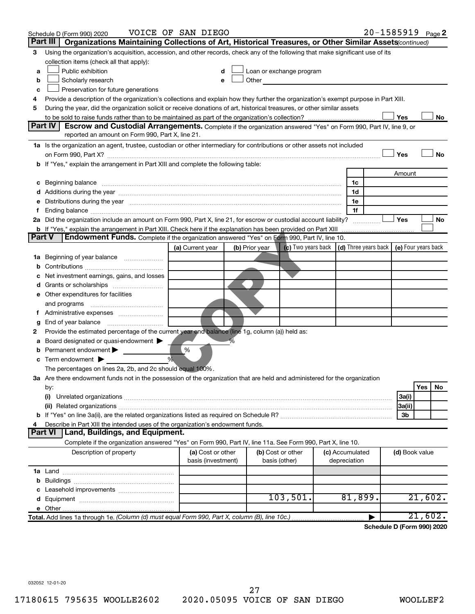|               | Schedule D (Form 990) 2020                                                                                                                                                                                                     | VOICE OF SAN DIEGO |                |                   |                                                                             |                 |   |                | 20-1585919 Page 2 |
|---------------|--------------------------------------------------------------------------------------------------------------------------------------------------------------------------------------------------------------------------------|--------------------|----------------|-------------------|-----------------------------------------------------------------------------|-----------------|---|----------------|-------------------|
|               | Part III<br>Organizations Maintaining Collections of Art, Historical Treasures, or Other Similar Assets (continued)                                                                                                            |                    |                |                   |                                                                             |                 |   |                |                   |
| 3             | Using the organization's acquisition, accession, and other records, check any of the following that make significant use of its                                                                                                |                    |                |                   |                                                                             |                 |   |                |                   |
|               | collection items (check all that apply):                                                                                                                                                                                       |                    |                |                   |                                                                             |                 |   |                |                   |
| a             | Public exhibition                                                                                                                                                                                                              |                    |                |                   | Loan or exchange program                                                    |                 |   |                |                   |
| b             | Scholarly research                                                                                                                                                                                                             |                    | Other          |                   |                                                                             |                 |   |                |                   |
| с             | Preservation for future generations                                                                                                                                                                                            |                    |                |                   |                                                                             |                 |   |                |                   |
| 4             | Provide a description of the organization's collections and explain how they further the organization's exempt purpose in Part XIII.                                                                                           |                    |                |                   |                                                                             |                 |   |                |                   |
| 5             | During the year, did the organization solicit or receive donations of art, historical treasures, or other similar assets                                                                                                       |                    |                |                   |                                                                             |                 |   |                |                   |
|               |                                                                                                                                                                                                                                |                    |                |                   |                                                                             |                 |   | Yes            | No                |
|               | Part IV I<br><b>Escrow and Custodial Arrangements.</b> Complete if the organization answered "Yes" on Form 990, Part IV, line 9, or<br>reported an amount on Form 990, Part X, line 21.                                        |                    |                |                   |                                                                             |                 |   |                |                   |
|               |                                                                                                                                                                                                                                |                    |                |                   |                                                                             |                 |   |                |                   |
|               | 1a Is the organization an agent, trustee, custodian or other intermediary for contributions or other assets not included                                                                                                       |                    |                |                   |                                                                             |                 |   | Yes            | <b>No</b>         |
|               | b If "Yes," explain the arrangement in Part XIII and complete the following table:                                                                                                                                             |                    |                |                   |                                                                             |                 |   |                |                   |
|               |                                                                                                                                                                                                                                |                    |                |                   |                                                                             |                 |   | Amount         |                   |
|               |                                                                                                                                                                                                                                |                    |                |                   |                                                                             | 1c              |   |                |                   |
|               |                                                                                                                                                                                                                                |                    |                |                   |                                                                             | 1d              |   |                |                   |
|               | e Distributions during the year measurement contained and all the control of the set of the set of the set of the set of the set of the set of the set of the set of the set of the set of the set of the set of the set of th |                    |                |                   |                                                                             | 1e              |   |                |                   |
|               |                                                                                                                                                                                                                                |                    |                |                   |                                                                             | 1f              |   |                |                   |
|               | 2a Did the organization include an amount on Form 990, Part X, line 21, for escrow or custodial account liability?                                                                                                             |                    |                |                   |                                                                             |                 |   | Yes            | No                |
|               | <b>b</b> If "Yes," explain the arrangement in Part XIII. Check here if the explanation has been provided on Part XIII                                                                                                          |                    |                |                   |                                                                             |                 |   |                |                   |
| <b>Part V</b> | <b>Endowment Funds.</b> Complete if the organization answered "Yes" on Form 990, Part IV, line 10.                                                                                                                             |                    |                |                   |                                                                             |                 |   |                |                   |
|               |                                                                                                                                                                                                                                | (a) Current year   | (b) Prior year |                   | (c) Two years back $\vert$ (d) Three years back $\vert$ (e) Four years back |                 |   |                |                   |
|               | <b>1a</b> Beginning of year balance <i>manumumum</i>                                                                                                                                                                           |                    |                |                   |                                                                             |                 |   |                |                   |
| b             |                                                                                                                                                                                                                                |                    |                |                   |                                                                             |                 |   |                |                   |
|               | Net investment earnings, gains, and losses                                                                                                                                                                                     |                    |                |                   |                                                                             |                 |   |                |                   |
|               |                                                                                                                                                                                                                                |                    |                |                   |                                                                             |                 |   |                |                   |
|               | e Other expenditures for facilities                                                                                                                                                                                            |                    |                |                   |                                                                             |                 |   |                |                   |
|               | and programs                                                                                                                                                                                                                   |                    |                |                   |                                                                             |                 |   |                |                   |
|               |                                                                                                                                                                                                                                |                    |                |                   |                                                                             |                 |   |                |                   |
| g             |                                                                                                                                                                                                                                |                    |                |                   |                                                                             |                 |   |                |                   |
| 2             | Provide the estimated percentage of the current year end balance (line 1g, column (a)) held as:                                                                                                                                |                    |                |                   |                                                                             |                 |   |                |                   |
| а             | Board designated or quasi-endowment                                                                                                                                                                                            |                    |                |                   |                                                                             |                 |   |                |                   |
|               | Permanent endowment                                                                                                                                                                                                            | %<br>%             |                |                   |                                                                             |                 |   |                |                   |
| с             | Term endowment $\blacktriangleright$                                                                                                                                                                                           |                    |                |                   |                                                                             |                 |   |                |                   |
|               | The percentages on lines 2a, 2b, and 2c should equal 100%.<br>3a Are there endowment funds not in the possession of the organization that are held and administered for the organization                                       |                    |                |                   |                                                                             |                 |   |                |                   |
|               |                                                                                                                                                                                                                                |                    |                |                   |                                                                             |                 |   |                | Yes<br>No         |
|               | by:<br>(i)                                                                                                                                                                                                                     |                    |                |                   |                                                                             |                 |   | 3a(i)          |                   |
|               |                                                                                                                                                                                                                                |                    |                |                   |                                                                             |                 |   | 3a(ii)         |                   |
|               |                                                                                                                                                                                                                                |                    |                |                   |                                                                             |                 |   | 3b             |                   |
| 4             | Describe in Part XIII the intended uses of the organization's endowment funds.                                                                                                                                                 |                    |                |                   |                                                                             |                 |   |                |                   |
|               | Land, Buildings, and Equipment.<br><b>Part VI</b>                                                                                                                                                                              |                    |                |                   |                                                                             |                 |   |                |                   |
|               | Complete if the organization answered "Yes" on Form 990, Part IV, line 11a. See Form 990, Part X, line 10.                                                                                                                     |                    |                |                   |                                                                             |                 |   |                |                   |
|               | Description of property                                                                                                                                                                                                        | (a) Cost or other  |                | (b) Cost or other |                                                                             | (c) Accumulated |   | (d) Book value |                   |
|               |                                                                                                                                                                                                                                | basis (investment) |                | basis (other)     |                                                                             | depreciation    |   |                |                   |
|               |                                                                                                                                                                                                                                |                    |                |                   |                                                                             |                 |   |                |                   |
| b             |                                                                                                                                                                                                                                |                    |                |                   |                                                                             |                 |   |                |                   |
|               |                                                                                                                                                                                                                                |                    |                |                   |                                                                             |                 |   |                |                   |
|               |                                                                                                                                                                                                                                |                    |                |                   | 103,501.                                                                    | 81,899.         |   |                | 21,602.           |
|               |                                                                                                                                                                                                                                |                    |                |                   |                                                                             |                 |   |                |                   |
|               | Total. Add lines 1a through 1e. (Column (d) must equal Form 990, Part X, column (B), line 10c.)                                                                                                                                |                    |                |                   |                                                                             |                 | ▶ |                | 21,602.           |

**Schedule D (Form 990) 2020**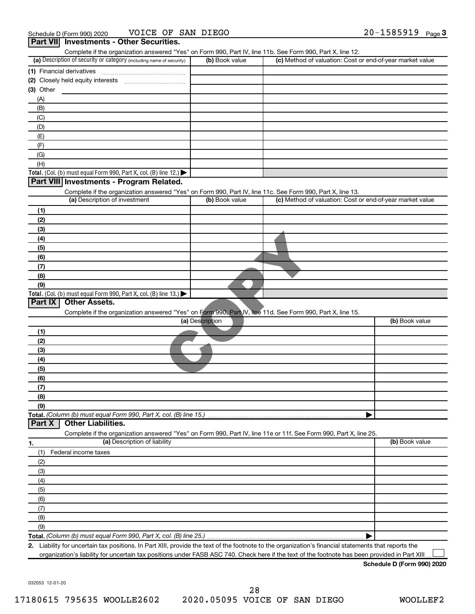|                                                                                                                                                   |                 | Complete if the organization answered "Yes" on Form 990, Part IV, line 11b. See Form 990, Part X, line 12. |
|---------------------------------------------------------------------------------------------------------------------------------------------------|-----------------|------------------------------------------------------------------------------------------------------------|
| (a) Description of security or category (including name of security)                                                                              | (b) Book value  | (c) Method of valuation: Cost or end-of-year market value                                                  |
|                                                                                                                                                   |                 |                                                                                                            |
|                                                                                                                                                   |                 |                                                                                                            |
| $(3)$ Other                                                                                                                                       |                 |                                                                                                            |
| (A)                                                                                                                                               |                 |                                                                                                            |
| (B)                                                                                                                                               |                 |                                                                                                            |
| (C)                                                                                                                                               |                 |                                                                                                            |
| (D)                                                                                                                                               |                 |                                                                                                            |
| (E)                                                                                                                                               |                 |                                                                                                            |
| (F)                                                                                                                                               |                 |                                                                                                            |
| (G)                                                                                                                                               |                 |                                                                                                            |
| (H)                                                                                                                                               |                 |                                                                                                            |
| Total. (Col. (b) must equal Form 990, Part X, col. (B) line 12.)                                                                                  |                 |                                                                                                            |
| Part VIII Investments - Program Related.                                                                                                          |                 |                                                                                                            |
| Complete if the organization answered "Yes" on Form 990, Part IV, line 11c. See Form 990, Part X, line 13.                                        |                 |                                                                                                            |
| (a) Description of investment                                                                                                                     | (b) Book value  | (c) Method of valuation: Cost or end-of-year market value                                                  |
| (1)                                                                                                                                               |                 |                                                                                                            |
| (2)                                                                                                                                               |                 |                                                                                                            |
| (3)                                                                                                                                               |                 |                                                                                                            |
| (4)                                                                                                                                               |                 |                                                                                                            |
| (5)                                                                                                                                               |                 |                                                                                                            |
| (6)                                                                                                                                               |                 |                                                                                                            |
| (7)                                                                                                                                               |                 |                                                                                                            |
| (8)                                                                                                                                               |                 |                                                                                                            |
| (9)                                                                                                                                               |                 |                                                                                                            |
| Total. (Col. (b) must equal Form 990, Part X, col. (B) line 13.)                                                                                  |                 |                                                                                                            |
| Part IX<br><b>Other Assets.</b>                                                                                                                   |                 |                                                                                                            |
| Complete if the organization answered "Yes" on Form 990, Part IV, line 11d. See Form 990, Part X, line 15.                                        |                 |                                                                                                            |
|                                                                                                                                                   | (a) Description | (b) Book value                                                                                             |
| (1)                                                                                                                                               |                 |                                                                                                            |
| (2)                                                                                                                                               |                 |                                                                                                            |
| (3)                                                                                                                                               |                 |                                                                                                            |
| (4)                                                                                                                                               |                 |                                                                                                            |
| (5)                                                                                                                                               |                 |                                                                                                            |
|                                                                                                                                                   |                 |                                                                                                            |
|                                                                                                                                                   |                 |                                                                                                            |
|                                                                                                                                                   |                 |                                                                                                            |
|                                                                                                                                                   |                 |                                                                                                            |
|                                                                                                                                                   |                 |                                                                                                            |
|                                                                                                                                                   |                 |                                                                                                            |
| <b>Other Liabilities.</b>                                                                                                                         |                 |                                                                                                            |
|                                                                                                                                                   |                 |                                                                                                            |
| Complete if the organization answered "Yes" on Form 990, Part IV, line 11e or 11f. See Form 990, Part X, line 25.<br>(a) Description of liability |                 | (b) Book value                                                                                             |
|                                                                                                                                                   |                 |                                                                                                            |
| Federal income taxes                                                                                                                              |                 |                                                                                                            |
|                                                                                                                                                   |                 |                                                                                                            |
|                                                                                                                                                   |                 |                                                                                                            |
| (6)<br>(7)<br>(8)<br>(9)<br>Total. (Column (b) must equal Form 990, Part X, col. (B) line 15.)<br>Part X<br>(1)<br>(2)<br>(3)<br>(4)              |                 |                                                                                                            |
|                                                                                                                                                   |                 |                                                                                                            |
|                                                                                                                                                   |                 |                                                                                                            |
|                                                                                                                                                   |                 |                                                                                                            |
| (5)<br>(6)<br>(7)<br>(8)                                                                                                                          |                 |                                                                                                            |
| (9)                                                                                                                                               |                 |                                                                                                            |

organization's liability for uncertain tax positions under FASB ASC 740. Check here if the text of the footnote has been provided in Part XIII...

**Schedule D (Form 990) 2020**

032053 12-01-20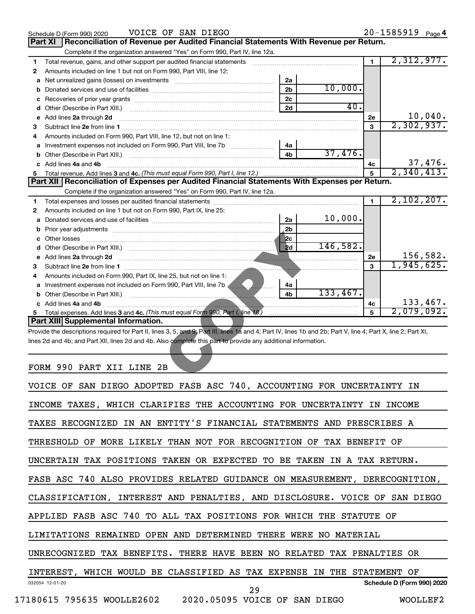| VOICE OF SAN DIEGO<br>Schedule D (Form 990) 2020 |                                                                                                                                                                                                                                      |                |           |                | $20 - 1585919$ Page 4       |
|--------------------------------------------------|--------------------------------------------------------------------------------------------------------------------------------------------------------------------------------------------------------------------------------------|----------------|-----------|----------------|-----------------------------|
|                                                  | Reconciliation of Revenue per Audited Financial Statements With Revenue per Return.<br>Part XI                                                                                                                                       |                |           |                |                             |
|                                                  | Complete if the organization answered "Yes" on Form 990, Part IV, line 12a.                                                                                                                                                          |                |           |                |                             |
| 1                                                | Total revenue, gains, and other support per audited financial statements                                                                                                                                                             |                |           | $\blacksquare$ | 2,312,977.                  |
| 2                                                | Amounts included on line 1 but not on Form 990, Part VIII, line 12:                                                                                                                                                                  |                |           |                |                             |
| a                                                | Net unrealized gains (losses) on investments [11] matter contracts and the unrealized gains (losses) on investments                                                                                                                  | 2a             |           |                |                             |
| b                                                |                                                                                                                                                                                                                                      | 2 <sub>b</sub> | 10,000.   |                |                             |
| c                                                |                                                                                                                                                                                                                                      | 2c             |           |                |                             |
| d                                                |                                                                                                                                                                                                                                      | 2d             | 40.       |                |                             |
| е                                                | Add lines 2a through 2d                                                                                                                                                                                                              |                |           | 2е             | $\frac{10,040}{2,302,937}$  |
| З                                                |                                                                                                                                                                                                                                      |                |           | 3              |                             |
| 4                                                | Amounts included on Form 990. Part VIII. line 12, but not on line 1:                                                                                                                                                                 |                |           |                |                             |
| a                                                |                                                                                                                                                                                                                                      | 4a             |           |                |                             |
| b                                                |                                                                                                                                                                                                                                      | 4b             | 37,476.   |                |                             |
| c                                                | Add lines 4a and 4b                                                                                                                                                                                                                  |                |           | 4с             | $\frac{37,476}{2,340,413.}$ |
| 5                                                |                                                                                                                                                                                                                                      | 5              |           |                |                             |
|                                                  | Part XII   Reconciliation of Expenses per Audited Financial Statements With Expenses per Return.                                                                                                                                     |                |           |                |                             |
|                                                  | Complete if the organization answered "Yes" on Form 990, Part IV, line 12a.                                                                                                                                                          |                |           |                |                             |
| 1                                                |                                                                                                                                                                                                                                      |                |           | $\blacksquare$ | 2,102,207.                  |
| 2                                                | Amounts included on line 1 but not on Form 990, Part IX, line 25:                                                                                                                                                                    |                |           |                |                             |
| a                                                |                                                                                                                                                                                                                                      | 2a             | 10,000.   |                |                             |
| b                                                |                                                                                                                                                                                                                                      | 2 <sub>b</sub> |           |                |                             |
| с                                                |                                                                                                                                                                                                                                      | 2c             |           |                |                             |
| d                                                |                                                                                                                                                                                                                                      | 2d             | 146, 582. |                |                             |
| е                                                | Add lines 2a through 2d <b>contract and a contract of the contract of the contract of the contract of the contract of the contract of the contract of the contract of the contract of the contract of the contract of the contra</b> |                |           | <b>2e</b>      | 156,582.                    |
| З                                                |                                                                                                                                                                                                                                      |                |           | 3              | 1,945,625.                  |
| 4                                                | Amounts included on Form 990, Part IX, line 25, but not on line 1:                                                                                                                                                                   |                |           |                |                             |
|                                                  | a Investment expenses not included on Form 990, Part VIII, line 7b <b>Allenary Marson</b>                                                                                                                                            | 4a             |           |                |                             |
| b                                                |                                                                                                                                                                                                                                      | 4b             | 133,467.  |                |                             |
|                                                  | c Add lines 4a and 4b                                                                                                                                                                                                                |                |           | 4с             | 133,467.                    |
| 5                                                |                                                                                                                                                                                                                                      |                |           | 5              | 2,079,092.                  |
|                                                  | Part XIII Supplemental Information.                                                                                                                                                                                                  |                |           |                |                             |
|                                                  | Provide the descriptions required for Part II, lines 3, 5, and 9; Part III, lines 1a and 4; Part IV, lines 1b and 2b; Part V, line 4; Part X, line 2; Part XI,                                                                       |                |           |                |                             |
|                                                  | lines 2d and 4b; and Part XII, lines 2d and 4b. Also complete this part to provide any additional information.                                                                                                                       |                |           |                |                             |
|                                                  | FORM 990 PART XII LINE 2B                                                                                                                                                                                                            |                |           |                |                             |

### FORM 990 PART XII LINE 2B

| VOICE OF SAN DIEGO ADOPTED FASB ASC 740, ACCOUNTING FOR UNCERTAINTY IN     |
|----------------------------------------------------------------------------|
| INCOME TAXES, WHICH CLARIFIES THE ACCOUNTING FOR UNCERTAINTY IN INCOME     |
| TAXES RECOGNIZED IN AN ENTITY'S FINANCIAL STATEMENTS AND PRESCRIBES A      |
| THRESHOLD OF MORE LIKELY THAN NOT FOR RECOGNITION OF TAX BENEFIT OF        |
| UNCERTAIN TAX POSITIONS TAKEN OR EXPECTED TO BE TAKEN IN A TAX RETURN.     |
| FASB ASC 740 ALSO PROVIDES RELATED GUIDANCE ON MEASUREMENT, DERECOGNITION, |
| CLASSIFICATION, INTEREST AND PENALTIES, AND DISCLOSURE. VOICE OF SAN DIEGO |
| APPLIED FASB ASC 740 TO ALL TAX POSITIONS FOR WHICH THE STATUTE OF         |
| LIMITATIONS REMAINED OPEN AND DETERMINED THERE WERE NO MATERIAL            |
| UNRECOGNIZED TAX BENEFITS. THERE HAVE BEEN NO RELATED TAX PENALTIES OR     |
| INTEREST, WHICH WOULD BE CLASSIFIED AS TAX EXPENSE IN THE STATEMENT OF     |
| Schedule D (Form 990) 2020<br>032054 12-01-20<br>29                        |
| 17180615 795635 WOOLLE2602 2020.05095 VOICE OF SAN DIEGO<br>WOOLLEF2       |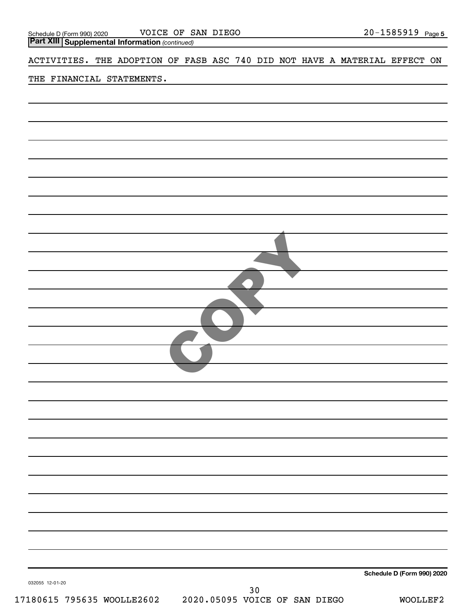| VOICE OF SAN DIEGO         | 20-1585919 |
|----------------------------|------------|
| Schedule D (Form 990) 2020 | Page 5     |

*(continued)* **Part XIII Supplemental Information** 

ACTIVITIES. THE ADOPTION OF FASB ASC 740 DID NOT HAVE A MATERIAL EFFECT ON

### THE FINANCIAL STATEMENTS.

|                            |                               | Schedule D (Form 990) 2020 |
|----------------------------|-------------------------------|----------------------------|
| 032055 12-01-20            | $30$                          |                            |
| 17180615 795635 WOOLLE2602 | 2020.05095 VOICE OF SAN DIEGO | WOOLLEF2                   |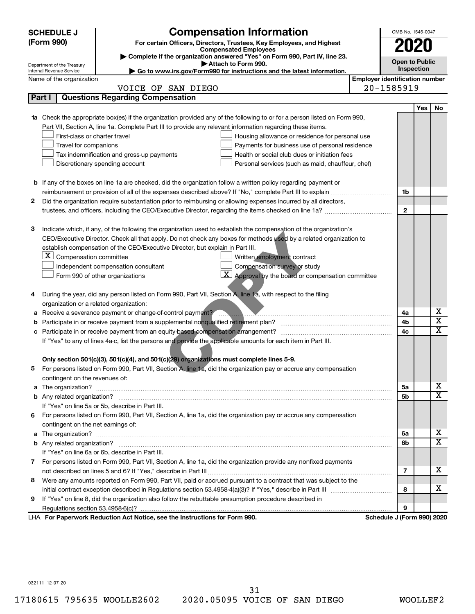|        | <b>SCHEDULE J</b>                                                                   | <b>Compensation Information</b>                                                                                                                                                                                                         |                                       | OMB No. 1545-0047          |     |                         |  |  |
|--------|-------------------------------------------------------------------------------------|-----------------------------------------------------------------------------------------------------------------------------------------------------------------------------------------------------------------------------------------|---------------------------------------|----------------------------|-----|-------------------------|--|--|
|        | (Form 990)                                                                          | For certain Officers, Directors, Trustees, Key Employees, and Highest                                                                                                                                                                   |                                       | 2020                       |     |                         |  |  |
|        |                                                                                     | <b>Compensated Employees</b><br>Complete if the organization answered "Yes" on Form 990, Part IV, line 23.                                                                                                                              |                                       |                            |     |                         |  |  |
|        | Department of the Treasury                                                          | Attach to Form 990.                                                                                                                                                                                                                     |                                       | <b>Open to Public</b>      |     |                         |  |  |
|        | Internal Revenue Service                                                            | Go to www.irs.gov/Form990 for instructions and the latest information.                                                                                                                                                                  |                                       | Inspection                 |     |                         |  |  |
|        | Name of the organization                                                            |                                                                                                                                                                                                                                         | <b>Employer identification number</b> |                            |     |                         |  |  |
| Part I |                                                                                     | VOICE OF SAN DIEGO<br><b>Questions Regarding Compensation</b>                                                                                                                                                                           |                                       | 20-1585919                 |     |                         |  |  |
|        |                                                                                     |                                                                                                                                                                                                                                         |                                       |                            |     |                         |  |  |
|        |                                                                                     |                                                                                                                                                                                                                                         |                                       |                            | Yes | No                      |  |  |
|        |                                                                                     | 1a Check the appropriate box(es) if the organization provided any of the following to or for a person listed on Form 990,<br>Part VII, Section A, line 1a. Complete Part III to provide any relevant information regarding these items. |                                       |                            |     |                         |  |  |
|        | First-class or charter travel                                                       |                                                                                                                                                                                                                                         |                                       |                            |     |                         |  |  |
|        | Travel for companions                                                               | Housing allowance or residence for personal use<br>Payments for business use of personal residence                                                                                                                                      |                                       |                            |     |                         |  |  |
|        |                                                                                     | Tax indemnification and gross-up payments<br>Health or social club dues or initiation fees                                                                                                                                              |                                       |                            |     |                         |  |  |
|        | Discretionary spending account<br>Personal services (such as maid, chauffeur, chef) |                                                                                                                                                                                                                                         |                                       |                            |     |                         |  |  |
|        |                                                                                     |                                                                                                                                                                                                                                         |                                       |                            |     |                         |  |  |
|        |                                                                                     | <b>b</b> If any of the boxes on line 1a are checked, did the organization follow a written policy regarding payment or                                                                                                                  |                                       |                            |     |                         |  |  |
|        |                                                                                     | reimbursement or provision of all of the expenses described above? If "No," complete Part III to explain                                                                                                                                |                                       | 1b                         |     |                         |  |  |
| 2      |                                                                                     | Did the organization require substantiation prior to reimbursing or allowing expenses incurred by all directors,                                                                                                                        |                                       |                            |     |                         |  |  |
|        |                                                                                     |                                                                                                                                                                                                                                         |                                       | 2                          |     |                         |  |  |
|        |                                                                                     |                                                                                                                                                                                                                                         |                                       |                            |     |                         |  |  |
| з      |                                                                                     | Indicate which, if any, of the following the organization used to establish the compensation of the organization's                                                                                                                      |                                       |                            |     |                         |  |  |
|        |                                                                                     | CEO/Executive Director. Check all that apply. Do not check any boxes for methods used by a related organization to                                                                                                                      |                                       |                            |     |                         |  |  |
|        |                                                                                     | establish compensation of the CEO/Executive Director, but explain in Part III.                                                                                                                                                          |                                       |                            |     |                         |  |  |
|        | $\lfloor \underline{\textbf{X}} \rfloor$ Compensation committee                     | Written employment contract                                                                                                                                                                                                             |                                       |                            |     |                         |  |  |
|        |                                                                                     | Compensation survey or study<br>Independent compensation consultant                                                                                                                                                                     |                                       |                            |     |                         |  |  |
|        |                                                                                     | $\mathbf{X}$ Approval by the board or compensation committee<br>Form 990 of other organizations                                                                                                                                         |                                       |                            |     |                         |  |  |
|        |                                                                                     |                                                                                                                                                                                                                                         |                                       |                            |     |                         |  |  |
| 4      |                                                                                     | During the year, did any person listed on Form 990, Part VII, Section A, line 1a, with respect to the filing                                                                                                                            |                                       |                            |     |                         |  |  |
|        | organization or a related organization:                                             |                                                                                                                                                                                                                                         |                                       |                            |     |                         |  |  |
| а      |                                                                                     | Receive a severance payment or change-of-control payment?                                                                                                                                                                               |                                       | 4a                         |     | х                       |  |  |
| b      |                                                                                     |                                                                                                                                                                                                                                         |                                       | 4b                         |     | $\overline{\mathbf{X}}$ |  |  |
| c      |                                                                                     |                                                                                                                                                                                                                                         |                                       | 4c                         |     | $\overline{\texttt{x}}$ |  |  |
|        |                                                                                     | If "Yes" to any of lines 4a c, list the persons and provide the applicable amounts for each item in Part III.                                                                                                                           |                                       |                            |     |                         |  |  |
|        |                                                                                     |                                                                                                                                                                                                                                         |                                       |                            |     |                         |  |  |
|        |                                                                                     | Only section 501(c)(3), 501(c)(4), and 501(c)(29) organizations must complete lines 5-9.                                                                                                                                                |                                       |                            |     |                         |  |  |
|        |                                                                                     | For persons listed on Form 990, Part VII, Section A, line 1a, did the organization pay or accrue any compensation                                                                                                                       |                                       |                            |     |                         |  |  |
|        | contingent on the revenues of:                                                      |                                                                                                                                                                                                                                         |                                       |                            |     |                         |  |  |
|        |                                                                                     |                                                                                                                                                                                                                                         |                                       | 5a                         |     | x                       |  |  |
|        |                                                                                     |                                                                                                                                                                                                                                         |                                       | 5b                         |     | $\overline{\text{X}}$   |  |  |
|        |                                                                                     | If "Yes" on line 5a or 5b, describe in Part III.                                                                                                                                                                                        |                                       |                            |     |                         |  |  |
| 6.     |                                                                                     | For persons listed on Form 990, Part VII, Section A, line 1a, did the organization pay or accrue any compensation                                                                                                                       |                                       |                            |     |                         |  |  |
|        | contingent on the net earnings of:                                                  |                                                                                                                                                                                                                                         |                                       |                            |     |                         |  |  |
|        |                                                                                     |                                                                                                                                                                                                                                         |                                       | 6a                         |     | x                       |  |  |
|        |                                                                                     |                                                                                                                                                                                                                                         |                                       | 6b                         |     | $\overline{\text{X}}$   |  |  |
|        |                                                                                     | If "Yes" on line 6a or 6b, describe in Part III.                                                                                                                                                                                        |                                       |                            |     |                         |  |  |
|        |                                                                                     | 7 For persons listed on Form 990, Part VII, Section A, line 1a, did the organization provide any nonfixed payments                                                                                                                      |                                       |                            |     |                         |  |  |
|        |                                                                                     |                                                                                                                                                                                                                                         |                                       | 7                          |     | x                       |  |  |
| 8      |                                                                                     | Were any amounts reported on Form 990, Part VII, paid or accrued pursuant to a contract that was subject to the                                                                                                                         |                                       |                            |     |                         |  |  |
|        |                                                                                     |                                                                                                                                                                                                                                         |                                       | 8                          |     | х                       |  |  |
| 9      |                                                                                     | If "Yes" on line 8, did the organization also follow the rebuttable presumption procedure described in                                                                                                                                  |                                       |                            |     |                         |  |  |
|        |                                                                                     |                                                                                                                                                                                                                                         |                                       | 9                          |     |                         |  |  |
|        |                                                                                     | LHA For Paperwork Reduction Act Notice, see the Instructions for Form 990.                                                                                                                                                              |                                       | Schedule J (Form 990) 2020 |     |                         |  |  |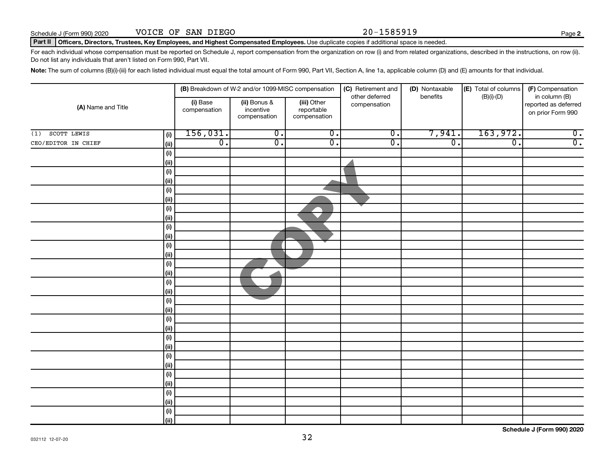#### Part II | Officers, Directors, Trustees, Key Employees, and Highest Compensated Employees. Use duplicate copies if additional space is needed.

For each individual whose compensation must be reported on Schedule J, report compensation from the organization on row (i) and from related organizations, described in the instructions, on row (ii). Do not list any individuals that aren't listed on Form 990, Part VII.

Note: The sum of columns (B)(i)-(iii) for each listed individual must equal the total amount of Form 990, Part VII, Section A, line 1a, applicable column (D) and (E) amounts for that individual.

|                             |                          | (B) Breakdown of W-2 and/or 1099-MISC compensation |                                           | (C) Retirement and             | (D) Nontaxable<br>benefits | (E) Total of columns | (F) Compensation                                           |
|-----------------------------|--------------------------|----------------------------------------------------|-------------------------------------------|--------------------------------|----------------------------|----------------------|------------------------------------------------------------|
| (A) Name and Title          | (i) Base<br>compensation | (ii) Bonus &<br>incentive<br>compensation          | (iii) Other<br>reportable<br>compensation | other deferred<br>compensation |                            | $(B)(i)$ - $(D)$     | in column (B)<br>reported as deferred<br>on prior Form 990 |
| SCOTT LEWIS<br>(1)<br>(i)   | 156,031.                 | $\overline{0}$ .                                   | $\overline{0}$ .                          | $\overline{0}$ .               | 7,941.                     | 163,972.             | $\overline{0}$ .                                           |
| CEO/EDITOR IN CHIEF<br>(ii) | $\overline{0}$ .         | $\overline{0}$ .                                   | $\overline{0}$ .                          | $\overline{0}$ .               | $\overline{0}$ .           | $\overline{0}$ .     | $\overline{0}$ .                                           |
| (i)                         |                          |                                                    |                                           |                                |                            |                      |                                                            |
| (ii)                        |                          |                                                    |                                           |                                |                            |                      |                                                            |
| (i)                         |                          |                                                    |                                           |                                |                            |                      |                                                            |
| (ii)                        |                          |                                                    |                                           |                                |                            |                      |                                                            |
| (i)                         |                          |                                                    |                                           |                                |                            |                      |                                                            |
| (ii)                        |                          |                                                    |                                           |                                |                            |                      |                                                            |
| (i)                         |                          |                                                    |                                           |                                |                            |                      |                                                            |
| (ii)                        |                          |                                                    |                                           |                                |                            |                      |                                                            |
| (i)                         |                          |                                                    |                                           |                                |                            |                      |                                                            |
| (ii)                        |                          |                                                    |                                           |                                |                            |                      |                                                            |
| (i)                         |                          |                                                    |                                           |                                |                            |                      |                                                            |
| (ii)                        |                          |                                                    |                                           |                                |                            |                      |                                                            |
| (i)                         |                          |                                                    |                                           |                                |                            |                      |                                                            |
| (ii)                        |                          |                                                    |                                           |                                |                            |                      |                                                            |
| (i)                         |                          |                                                    |                                           |                                |                            |                      |                                                            |
| (ii)                        |                          |                                                    |                                           |                                |                            |                      |                                                            |
| (i)<br>(ii)                 |                          |                                                    |                                           |                                |                            |                      |                                                            |
| (i)                         |                          |                                                    |                                           |                                |                            |                      |                                                            |
| (ii)                        |                          |                                                    |                                           |                                |                            |                      |                                                            |
| (i)                         |                          |                                                    |                                           |                                |                            |                      |                                                            |
| (ii)                        |                          |                                                    |                                           |                                |                            |                      |                                                            |
| (i)                         |                          |                                                    |                                           |                                |                            |                      |                                                            |
| (ii)                        |                          |                                                    |                                           |                                |                            |                      |                                                            |
| (i)                         |                          |                                                    |                                           |                                |                            |                      |                                                            |
| (ii)                        |                          |                                                    |                                           |                                |                            |                      |                                                            |
| (i)                         |                          |                                                    |                                           |                                |                            |                      |                                                            |
| (ii)                        |                          |                                                    |                                           |                                |                            |                      |                                                            |
| (i)                         |                          |                                                    |                                           |                                |                            |                      |                                                            |
|                             | (ii)                     |                                                    |                                           |                                |                            |                      |                                                            |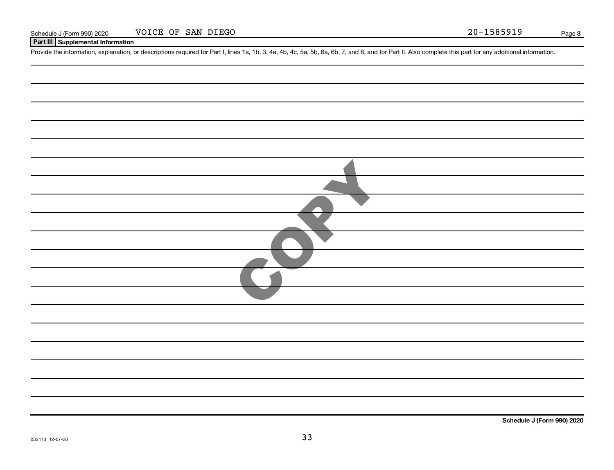| Schedule J | le J (Form 990) 2020 | <b>VOICE</b> | OF | SAN DIEGO | .<br>ZU∸ |  | . 1 5 8 5 9 1 9 1<br>TACOCT. |  | Page |  |
|------------|----------------------|--------------|----|-----------|----------|--|------------------------------|--|------|--|
|------------|----------------------|--------------|----|-----------|----------|--|------------------------------|--|------|--|

### **Part III Supplemental Information**

Provide the information, explanation, or descriptions required for Part I, lines 1a, 1b, 3, 4a, 4b, 4c, 5a, 5b, 6a, 6b, 7, and 8, and for Part II. Also complete this part for any additional information.

| $\overline{\phantom{a}}$ |
|--------------------------|
|                          |
|                          |
|                          |
|                          |
|                          |
|                          |
|                          |
|                          |
|                          |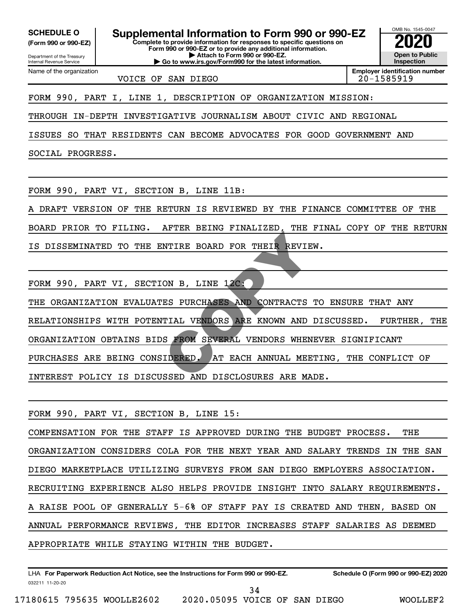**(Form 990 or 990-EZ)**

Name of the organization

**Complete to provide information for responses to specific questions on SCHEDULE O Supplemental Information to Form 990 or 990-EZ 2020**<br>(Form 990 or 990-EZ) Complete to provide information for responses to specific questions on

Department of the Treasury Internal Revenue Service **Form 990 or 990-EZ or to provide any additional information.**

**| Attach to Form 990 or 990-EZ. | Go to www.irs.gov/Form990 for the latest information.**

VOICE OF SAN DIEGO
and the contract of 20-1585919

OMB No. 1545-0047 **Open to Public Inspection**

**Employer identification number**

FORM 990, PART I, LINE 1, DESCRIPTION OF ORGANIZATION MISSION:

THROUGH IN-DEPTH INVESTIGATIVE JOURNALISM ABOUT CIVIC AND REGIONAL

ISSUES SO THAT RESIDENTS CAN BECOME ADVOCATES FOR GOOD GOVERNMENT AND

SOCIAL PROGRESS.

FORM 990, PART VI, SECTION B, LINE 11B:

A DRAFT VERSION OF THE RETURN IS REVIEWED BY THE FINANCE COMMITTEE OF THE

BOARD PRIOR TO FILING. AFTER BEING FINALIZED, THE FINAL COPY OF THE RETURN IS DISSEMINATED TO THE ENTIRE BOARD FOR THEIR REVIEW.

FORM 990, PART VI, SECTION B, LINE 12C:

THE ORGANIZATION EVALUATES PURCHASES AND CONTRACTS TO ENSURE THAT ANY RELATIONSHIPS WITH POTENTIAL VENDORS ARE KNOWN AND DISCUSSED. FURTHER, THE ORGANIZATION OBTAINS BIDS FROM SEVERAL VENDORS WHENEVER SIGNIFICANT PURCHASES ARE BEING CONSIDERED. AT EACH ANNUAL MEETING, THE CONFLICT OF INTEREST POLICY IS DISCUSSED AND DISCLOSURES ARE MADE. NTIRE BOARD FOR THEIR REVIE<br>
ON B, LINE 12C:<br>
ES PURCHASES AND CONTRACTS<br>
TIAL VENDORS ARE KNOWN AND<br>
S FROM SEVERAL VENDORS WHEN<br>
IDERED. AT EACH ANNUAL MEE<br>
SSED AND DISCLOSURES ARE MA

FORM 990, PART VI, SECTION B, LINE 15:

COMPENSATION FOR THE STAFF IS APPROVED DURING THE BUDGET PROCESS. THE ORGANIZATION CONSIDERS COLA FOR THE NEXT YEAR AND SALARY TRENDS IN THE SAN DIEGO MARKETPLACE UTILIZING SURVEYS FROM SAN DIEGO EMPLOYERS ASSOCIATION. RECRUITING EXPERIENCE ALSO HELPS PROVIDE INSIGHT INTO SALARY REQUIREMENTS. A RAISE POOL OF GENERALLY 5-6% OF STAFF PAY IS CREATED AND THEN, BASED ON ANNUAL PERFORMANCE REVIEWS, THE EDITOR INCREASES STAFF SALARIES AS DEEMED APPROPRIATE WHILE STAYING WITHIN THE BUDGET.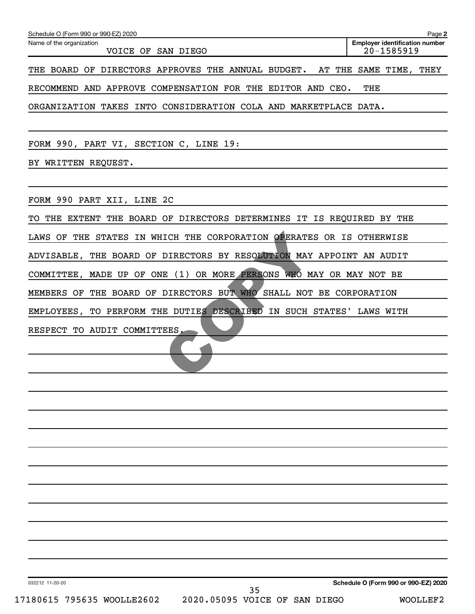| Schedule O (Form 990 or 990-EZ) 2020                                      | Page 2                                              |
|---------------------------------------------------------------------------|-----------------------------------------------------|
| Name of the organization<br>VOICE OF SAN DIEGO                            | <b>Employer identification number</b><br>20-1585919 |
| THE BOARD OF DIRECTORS APPROVES THE ANNUAL BUDGET. AT THE SAME TIME, THEY |                                                     |
| RECOMMEND AND APPROVE COMPENSATION FOR THE EDITOR AND CEO.                | THE                                                 |
| ORGANIZATION TAKES INTO CONSIDERATION COLA AND MARKETPLACE DATA.          |                                                     |
|                                                                           |                                                     |
| FORM 990, PART VI, SECTION C, LINE 19:                                    |                                                     |
| BY WRITTEN REQUEST.                                                       |                                                     |
|                                                                           |                                                     |
| FORM 990 PART XII, LINE 2C                                                |                                                     |
| TO THE EXTENT THE BOARD OF DIRECTORS DETERMINES IT IS REQUIRED BY THE     |                                                     |
| LAWS OF THE STATES IN WHICH THE CORPORATION OPERATES OR IS OTHERWISE      |                                                     |
| ADVISABLE, THE BOARD OF DIRECTORS BY RESOLUTION MAY APPOINT AN AUDIT      |                                                     |
| COMMITTEE, MADE UP OF ONE (1) OR MORE PERSONS WHO MAY OR MAY NOT BE       |                                                     |
| MEMBERS OF THE BOARD OF DIRECTORS BUT WHO SHALL NOT BE CORPORATION        |                                                     |
| EMPLOYEES, TO PERFORM THE DUTIES DESCRIBED IN SUCH STATES' LAWS WITH      |                                                     |
| RESPECT TO AUDIT COMMITTEES.                                              |                                                     |
|                                                                           |                                                     |
|                                                                           |                                                     |
|                                                                           |                                                     |
|                                                                           |                                                     |
|                                                                           |                                                     |
|                                                                           |                                                     |
|                                                                           |                                                     |
|                                                                           |                                                     |
|                                                                           |                                                     |
|                                                                           |                                                     |
|                                                                           |                                                     |
|                                                                           |                                                     |
|                                                                           |                                                     |
| 032212 11-20-20<br>35                                                     | Schedule O (Form 990 or 990-EZ) 2020                |

17180615 795635 WOOLLE2602 2020.05095 VOICE OF SAN DIEGO WOOLLEF2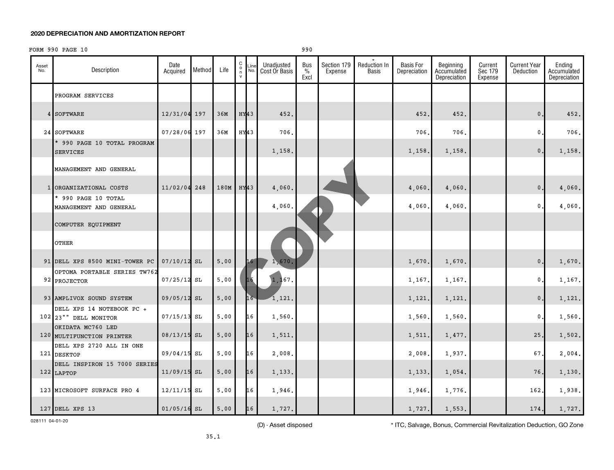FORM 990 PAGE 10 990

| Asset<br>No. | Description                                       | Date<br>Acquired | Method | Life | C<br>$\frac{0}{n}$<br>$\mathsf{v}$ | Line<br>No. | Unadjusted<br>Cost Or Basis | Bus<br>$\frac{9}{6}$<br>Excl | Section 179<br>Expense | <b>Reduction In</b><br><b>Basis</b> | <b>Basis For</b><br>Depreciation | Beginning<br>Accumulated<br>Depreciation | Current<br>Sec 179<br>Expense | <b>Current Year</b><br>Deduction | Ending<br>Accumulated<br>Depreciation |
|--------------|---------------------------------------------------|------------------|--------|------|------------------------------------|-------------|-----------------------------|------------------------------|------------------------|-------------------------------------|----------------------------------|------------------------------------------|-------------------------------|----------------------------------|---------------------------------------|
|              | PROGRAM SERVICES                                  |                  |        |      |                                    |             |                             |                              |                        |                                     |                                  |                                          |                               |                                  |                                       |
|              | 4 SOFTWARE                                        | 12/31/04 197     |        | 36M  | $HY$ 43                            |             | 452.                        |                              |                        |                                     | 452                              | 452.                                     |                               | $\mathbf{0}$ .                   | 452.                                  |
|              | 24 SOFTWARE                                       | 07/28/06 197     |        | 36M  | HY43                               |             | 706.                        |                              |                        |                                     | 706                              | 706.                                     |                               | 0                                | 706.                                  |
|              | * 990 PAGE 10 TOTAL PROGRAM<br><b>SERVICES</b>    |                  |        |      |                                    |             | 1,158.                      |                              |                        |                                     | 1,158                            | 1,158.                                   |                               | $\mathbf{0}$ .                   | 1,158.                                |
|              | MANAGEMENT AND GENERAL                            |                  |        |      |                                    |             |                             |                              |                        |                                     |                                  |                                          |                               |                                  |                                       |
|              | 1 ORGANIZATIONAL COSTS                            | 11/02/04         | 248    | 180M | HY <sub>43</sub>                   |             | 4,060                       |                              |                        |                                     | 4,060                            | 4,060.                                   |                               | $\mathbf 0$ .                    | 4,060.                                |
|              | * 990 PAGE 10 TOTAL<br>MANAGEMENT AND GENERAL     |                  |        |      |                                    |             | 4,060                       |                              |                        |                                     | 4,060                            | 4,060.                                   |                               | $\mathbf{0}$                     | 4,060.                                |
|              | COMPUTER EQUIPMENT                                |                  |        |      |                                    |             |                             |                              |                        |                                     |                                  |                                          |                               |                                  |                                       |
|              | OTHER                                             |                  |        |      |                                    |             |                             |                              |                        |                                     |                                  |                                          |                               |                                  |                                       |
|              | 91 DELL XPS 8500 MINI-TOWER PC                    | 07/10/12         | SL     | 5,00 |                                    | 16          | 1,670                       |                              |                        |                                     | 1,670.                           | 1,670.                                   |                               | 0.                               | 1,670.                                |
|              | OPTOMA PORTABLE SERIES TW762<br>92 PROJECTOR      | $07/25/12$ SL    |        | 5.00 |                                    | 16          | 1, 167.                     |                              |                        |                                     | 1,167                            | 1,167.                                   |                               | $\mathbf{0}$ .                   | 1,167.                                |
|              | 93 AMPLIVOX SOUND SYSTEM                          | 09/05/12 SL      |        | 5,00 |                                    | 16          | 1,121.                      |                              |                        |                                     | 1,121                            | 1,121.                                   |                               | 0.                               | 1,121.                                |
|              | DELL XPS 14 NOTEBOOK PC +<br>102 23" DELL MONITOR | 07/15/13         | SL     | 5,00 |                                    | 16          | 1,560.                      |                              |                        |                                     | 1,560                            | 1,560.                                   |                               | $\mathbf 0$                      | 1,560.                                |
|              | OKIDATA MC760 LED<br>120 MULTIFUNCTION PRINTER    | $08/13/15$ SL    |        | 5.00 |                                    | 16          | 1,511.                      |                              |                        |                                     | 1,511                            | 1,477.                                   |                               | 25.                              | 1,502.                                |
|              | DELL XPS 2720 ALL IN ONE<br>121 DESKTOP           | 09/04/15 SL      |        | 5,00 |                                    | 16          | 2,008                       |                              |                        |                                     | 2,008                            | 1,937.                                   |                               | 67,                              | 2,004.                                |
|              | DELL INSPIRON 15 7000 SERIES<br>122 LAPTOP        | $11/09/15$ SL    |        | 5.00 |                                    | 16          | 1,133.                      |                              |                        |                                     | 1,133                            | 1,054.                                   |                               | 76                               | 1,130.                                |
|              | 123 MICROSOFT SURFACE PRO 4                       | $12/11/15$ SL    |        | 5,00 |                                    | 16          | 1,946.                      |                              |                        |                                     | 1,946                            | 1,776.                                   |                               | 162                              | 1,938.                                |
|              | 127 DELL XPS 13                                   | $01/05/16$ SL    |        | 5,00 |                                    | 16          | 1.727.                      |                              |                        |                                     | 1,727.                           | 1,553.                                   |                               | 174.                             | 1,727.                                |

028111 04-01-20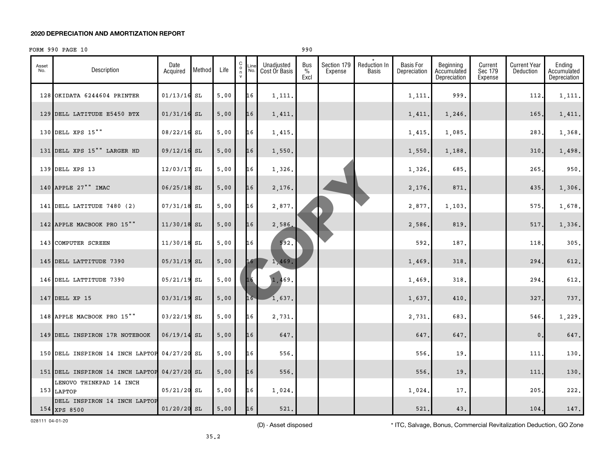#### FORM 990 PAGE 10 990

| Asset<br>No. | Description                                  | Date<br>Acquired | Method | Life | $_{\rm o}^{\rm C}$<br>n<br>$\mathsf{v}$ | Line<br>No.     | Unadjusted<br>Cost Or Basis | Bus<br>$\%$<br>Excl | Section 179<br>Expense | <b>Reduction In</b><br>Basis | Basis For<br>Depreciation | Beginning<br>Accumulated<br>Depreciation | Current<br>Sec 179<br>Expense | <b>Current Year</b><br>Deduction | Ending<br>Accumulated<br>Depreciation |
|--------------|----------------------------------------------|------------------|--------|------|-----------------------------------------|-----------------|-----------------------------|---------------------|------------------------|------------------------------|---------------------------|------------------------------------------|-------------------------------|----------------------------------|---------------------------------------|
|              | 128 OKIDATA 6244604 PRINTER                  | $01/13/16$ SL    |        | 5.00 |                                         | 16              | 1,111.                      |                     |                        |                              | 1,111.                    | 999.                                     |                               | 112.                             | 1,111.                                |
|              | 129 DELL LATITUDE E5450 BTX                  | $01/31/16$ SL    |        | 5.00 |                                         | 16              | 1,411.                      |                     |                        |                              | 1,411.                    | 1,246.                                   |                               | 165.                             | 1,411.                                |
|              | 130 DELL XPS 15""                            | 08/22/16 SL      |        | 5,00 |                                         | 16              | 1,415.                      |                     |                        |                              | 1,415.                    | 1,085.                                   |                               | 283.                             | 1,368.                                |
|              | 131 DELL XPS 15"" LARGER HD                  | 09/12/16 SL      |        | 5.00 |                                         | 16              | 1,550.                      |                     |                        |                              | 1,550.                    | 1,188.                                   |                               | 310.                             | 1,498.                                |
|              | 139 DELL XPS 13                              | $12/03/17$ SL    |        | 5,00 |                                         | 16              | 1,326.                      |                     |                        |                              | 1,326                     | 685.                                     |                               | 265.                             | 950.                                  |
|              | 140 APPLE 27"" IMAC                          | $06/25/18$ SL    |        | 5,00 |                                         | 16              | 2,176.                      |                     |                        |                              | 2,176.                    | 871.                                     |                               | 435.                             | 1,306.                                |
|              | 141 DELL LATITUDE 7480 (2)                   | $07/31/18$ SL    |        | 5,00 |                                         | 16              | 2,877.                      |                     |                        |                              | 2,877.                    | 1,103.                                   |                               | 575.                             | 1,678.                                |
|              | 142 APPLE MACBOOK PRO 15""                   | 11/30/18 SL      |        | 5.00 |                                         | 16              | 2,586.                      |                     |                        |                              | 2,586.                    | 819.                                     |                               | 517.                             | 1,336.                                |
|              | 143 COMPUTER SCREEN                          | $11/30/18$ SL    |        | 5,00 |                                         | 16              | 592.                        |                     |                        |                              | 592                       | 187.                                     |                               | 118,                             | 305.                                  |
|              | 145 DELL LATTITUDE 7390                      | 05/31/19 SL      |        | 5.00 |                                         | 16 <sup>1</sup> | 1,469.                      |                     |                        |                              | 1,469.                    | 318.                                     |                               | 294.                             | 612.                                  |
|              | 146 DELL LATTITUDE 7390                      | 05/21/19 SL      |        | 5.00 |                                         | 16              | 1,469.                      |                     |                        |                              | 1,469.                    | 318.                                     |                               | 294.                             | 612.                                  |
|              | 147 DELL XP 15                               | 03/31/19 SL      |        | 5.00 |                                         | 16              | 1,637.                      |                     |                        |                              | 1,637.                    | 410.                                     |                               | 327.                             | 737.                                  |
|              | 148 APPLE MACBOOK PRO 15""                   | $03/22/19$ SL    |        | 5,00 |                                         | 16              | 2,731.                      |                     |                        |                              | 2,731.                    | 683.                                     |                               | 546.                             | 1,229.                                |
|              | 149 DELL INSPIRON 17R NOTEBOOK               | 06/19/14 SL      |        | 5.00 |                                         | 16              | 647.                        |                     |                        |                              | 647.                      | 647.                                     |                               | $\mathbf{0}$                     | 647.                                  |
|              | 150 DELL INSPIRON 14 INCH LAPTOP 04/27/20 SL |                  |        | 5.00 |                                         | 16              | 556.                        |                     |                        |                              | 556                       | 19.                                      |                               | 111                              | 130.                                  |
|              | 151 DELL INSPIRON 14 INCH LAPTOP 04/27/20 SL |                  |        | 5,00 |                                         | 16              | 556.                        |                     |                        |                              | 556.                      | 19.                                      |                               | 111                              | 130.                                  |
|              | LENOVO THINKPAD 14 INCH<br>153 LAPTOP        | $05/21/20$ SL    |        | 5,00 |                                         | 16              | 1,024.                      |                     |                        |                              | 1,024                     | 17.                                      |                               | 205.                             | 222.                                  |
|              | DELL INSPIRON 14 INCH LAPTOP<br>154 XPS 8500 | $01/20/20$ SL    |        | 5.00 |                                         | 16              | 521.                        |                     |                        |                              | 521.                      | 43.                                      |                               | 104.                             | 147.                                  |

028111 04-01-20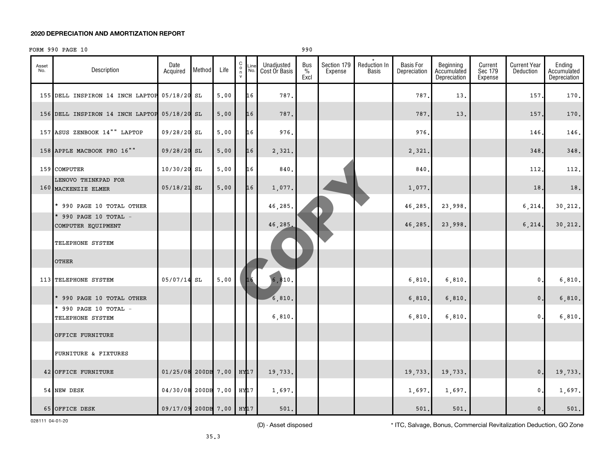#### FORM 990 PAGE 10 990

| Asset<br>No. | Description                                  | Date<br>Acquired           | Method | Life                        | $\begin{smallmatrix} 0 \\ 0 \\ 7 \end{smallmatrix}$ | Line<br>No. | Unadjusted<br>Cost Or Basis | <b>Bus</b><br>$\%$<br>Excl | Section 179<br>Expense | $\star$<br>Reduction In<br><b>Basis</b> | <b>Basis For</b><br>Depreciation | Beginning<br>Accumulated<br>Depreciation | Current<br>Sec 179<br>Expense | <b>Current Year</b><br>Deduction | Ending<br>Accumulated<br>Depreciation |
|--------------|----------------------------------------------|----------------------------|--------|-----------------------------|-----------------------------------------------------|-------------|-----------------------------|----------------------------|------------------------|-----------------------------------------|----------------------------------|------------------------------------------|-------------------------------|----------------------------------|---------------------------------------|
|              | 155 DELL INSPIRON 14 INCH LAPTOP 05/18/20 SL |                            |        | 5.00                        |                                                     | 16          | 787.                        |                            |                        |                                         | 787.                             | 13.                                      |                               | 157                              | 170.                                  |
|              | 156 DELL INSPIRON 14 INCH LAPTOP 05/18/20 SL |                            |        | 5.00                        |                                                     | 16          | 787.                        |                            |                        |                                         | 787.                             | 13.                                      |                               | 157                              | 170.                                  |
|              | 157 ASUS ZENBOOK 14"" LAPTOP                 | 09/28/20 SL                |        | 5.00                        |                                                     | 16          | 976.                        |                            |                        |                                         | 976                              |                                          |                               | 146                              | 146.                                  |
|              | 158 APPLE MACBOOK PRO 16""                   | 09/28/20 SL                |        | 5.00                        |                                                     | 16          | 2,321.                      |                            |                        |                                         | 2,321                            |                                          |                               | 348                              | 348.                                  |
|              | 159 COMPUTER                                 | 10/30/20 SL                |        | 5.00                        |                                                     | 16          | 840.                        |                            |                        |                                         | 840                              |                                          |                               | 112,                             | 112.                                  |
|              | LENOVO THINKPAD FOR<br>160 MACKENZIE ELMER   | $05/18/21$ SL              |        | 5.00                        |                                                     | 16          | 1,077.                      |                            |                        |                                         | 1,077.                           |                                          |                               | 18                               | 18.                                   |
|              | * 990 PAGE 10 TOTAL OTHER                    |                            |        |                             |                                                     |             | 46,285.                     |                            |                        |                                         | 46,285                           | 23,998.                                  |                               | 6, 214                           | 30,212.                               |
|              | * 990 PAGE 10 TOTAL -<br>COMPUTER EQUIPMENT  |                            |        |                             |                                                     |             | 46,285.                     |                            |                        |                                         | 46,285                           | 23,998.                                  |                               | 6, 214.                          | 30, 212.                              |
|              | TELEPHONE SYSTEM                             |                            |        |                             |                                                     |             |                             |                            |                        |                                         |                                  |                                          |                               |                                  |                                       |
|              | <b>OTHER</b>                                 |                            |        |                             |                                                     |             |                             |                            |                        |                                         |                                  |                                          |                               |                                  |                                       |
|              | 113 TELEPHONE SYSTEM                         | $05/07/14$ SL              |        | 5.00                        |                                                     | 16          | 6, 810.                     |                            |                        |                                         | 6,810                            | 6,810.                                   |                               | 0.                               | 6,810.                                |
|              | * 990 PAGE 10 TOTAL OTHER                    |                            |        |                             |                                                     |             | 6,810.                      |                            |                        |                                         | 6,810.                           | 6,810.                                   |                               | $\mathbf{0}$                     | 6,810.                                |
|              | * 990 PAGE 10 TOTAL -<br>TELEPHONE SYSTEM    |                            |        |                             |                                                     |             | 6,810.                      |                            |                        |                                         | 6,810                            | 6,810.                                   |                               | $\mathbf{0}$ .                   | 6,810.                                |
|              | OFFICE FURNITURE                             |                            |        |                             |                                                     |             |                             |                            |                        |                                         |                                  |                                          |                               |                                  |                                       |
|              | FURNITURE & FIXTURES                         |                            |        |                             |                                                     |             |                             |                            |                        |                                         |                                  |                                          |                               |                                  |                                       |
|              | 42 OFFICE FURNITURE                          | 01/25/08                   |        | 200DB 7.00 HY <sub>17</sub> |                                                     |             | 19,733.                     |                            |                        |                                         | 19,733.                          | 19,733.                                  |                               | $\mathbf{0}$ .                   | 19,733.                               |
|              | 54 NEW DESK                                  | 04/30/08 200DB 7.00        |        |                             | HY17                                                |             | 1,697.                      |                            |                        |                                         | 1,697.                           | 1,697.                                   |                               | 0.                               | 1,697.                                |
|              | 65 OFFICE DESK                               | $09/17/09$ 200DB 7.00 HY17 |        |                             |                                                     |             | 501.                        |                            |                        |                                         | 501.                             | 501.                                     |                               | 0.                               | $501.$                                |

028111 04-01-20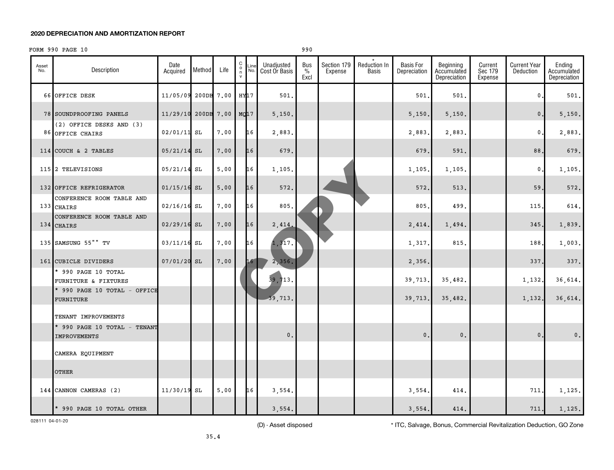#### FORM 990 PAGE 10 990

| Asset<br>No. | Description                                         | Date<br>Acquired | Method | Life       | 0000<br>Line<br>No. | Unadjusted<br>Cost Or Basis | <b>Bus</b><br>$\frac{0}{0}$<br>Excl | Section 179<br>Expense | Reduction In<br>Basis | <b>Basis For</b><br>Depreciation | Beginning<br>Accumulated<br>Depreciation | Current<br>Sec 179<br>Expense | <b>Current Year</b><br>Deduction | Ending<br>Accumulated<br>Depreciation |
|--------------|-----------------------------------------------------|------------------|--------|------------|---------------------|-----------------------------|-------------------------------------|------------------------|-----------------------|----------------------------------|------------------------------------------|-------------------------------|----------------------------------|---------------------------------------|
|              | 66 OFFICE DESK                                      | 11/05/09         |        | 200DB 7.00 | HY17                | 501.                        |                                     |                        |                       | 501                              | 501,                                     |                               | 0                                | 501.                                  |
|              | 78 SOUNDPROOFING PANELS                             | 11/29/10         |        | 200DB 7.00 | MQ17                | 5,150.                      |                                     |                        |                       | 5,150.                           | 5,150.                                   |                               | $\mathsf{0}\,.$                  | 5,150.                                |
|              | (2) OFFICE DESKS AND (3)<br>86 OFFICE CHAIRS        | $02/01/11$ SL    |        | 7.00       | 16                  | 2,883.                      |                                     |                        |                       | 2,883                            | 2,883.                                   |                               | $\mathbf{0}$ .                   | 2,883.                                |
|              | 114 COUCH & 2 TABLES                                | 05/21/14         | SL     | 7,00       | 16                  | 679.                        |                                     |                        |                       | 679                              | 591.                                     |                               | 88                               | 679.                                  |
|              | 115 2 TELEVISIONS                                   | $05/21/14$ SL    |        | 5.00       | 16                  | 1,105.                      |                                     |                        |                       | 1,105                            | 1,105.                                   |                               | $\mathbf{0}$ .                   | 1,105.                                |
|              | 132 OFFICE REFRIGERATOR                             | $01/15/16$ SL    |        | 5.00       | 16                  | 572.                        |                                     |                        |                       | 572                              | 513.                                     |                               | 59                               | 572.                                  |
|              | CONFERENCE ROOM TABLE AND<br>133 CHAIRS             | $02/16/16$ SL    |        | 7.00       | 16                  | 805.                        |                                     |                        |                       | 805                              | 499.                                     |                               | 115.                             | 614.                                  |
|              | CONFERENCE ROOM TABLE AND<br>134 CHAIRS             | $02/29/16$ SL    |        | 7.00       | 16                  | 2,414                       |                                     |                        |                       | 2,414                            | 1,494.                                   |                               | 345.                             | 1,839.                                |
|              | 135 SAMSUNG 55" "TV                                 | $03/11/16$ SL    |        | 7.00       | 16                  | 1,317.                      |                                     |                        |                       | 1,317                            | 815.                                     |                               | 188.                             | 1,003.                                |
|              | 161 CUBICLE DIVIDERS                                | $07/01/20$ SL    |        | 7.00       | 16                  | 2,356.                      |                                     |                        |                       | 2,356.                           |                                          |                               | 337                              | 337.                                  |
|              | * 990 PAGE 10 TOTAL<br>FURNITURE & FIXTURES         |                  |        |            |                     | 39,713.                     |                                     |                        |                       | 39,713                           | 35,482.                                  |                               | 1,132.                           | 36,614.                               |
|              | * 990 PAGE 10 TOTAL - OFFICE<br>FURNITURE           |                  |        |            |                     | 39,713.                     |                                     |                        |                       | 39,713.                          | 35,482.                                  |                               | 1,132.                           | 36,614.                               |
|              | TENANT IMPROVEMENTS                                 |                  |        |            |                     |                             |                                     |                        |                       |                                  |                                          |                               |                                  |                                       |
|              | * 990 PAGE 10 TOTAL - TENANT<br><b>IMPROVEMENTS</b> |                  |        |            |                     | 0.                          |                                     |                        |                       | $\mathbf{0}$ .                   | $\mathsf{0}\,$ .                         |                               | $\mathbf{0}$ .                   | $\mathbf 0$ .                         |
|              | CAMERA EQUIPMENT                                    |                  |        |            |                     |                             |                                     |                        |                       |                                  |                                          |                               |                                  |                                       |
|              | <b>OTHER</b>                                        |                  |        |            |                     |                             |                                     |                        |                       |                                  |                                          |                               |                                  |                                       |
|              | 144 CANNON CAMERAS (2)                              | 11/30/19 SL      |        | 5.00       | 16                  | 3,554.                      |                                     |                        |                       | 3,554                            | 414.                                     |                               | 711                              | 1,125.                                |
|              | * 990 PAGE 10 TOTAL OTHER                           |                  |        |            |                     | 3,554.                      |                                     |                        |                       | 3,554.                           | 414.                                     |                               | 711.                             | 1,125.                                |

028111 04-01-20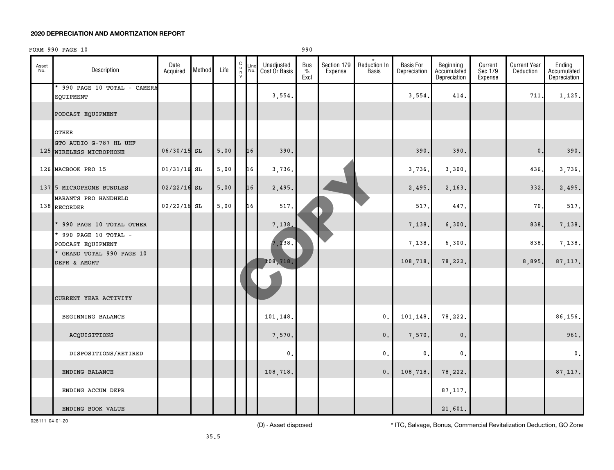#### FORM 990 PAGE 10 990

| Asset<br>No. | Description                                       | Date<br>Acquired | Method | Life           | 00000 | Line<br>No. | Unadjusted<br>Cost Or Basis | Bus<br>$\%$<br>Excl | Section 179<br>Expense | Reduction In<br><b>Basis</b> | <b>Basis For</b><br>Depreciation | Beginning<br>Accumulated<br>Depreciation | Current<br>Sec 179<br>Expense | <b>Current Year</b><br>Deduction | Ending<br>Accumulated<br>Depreciation |
|--------------|---------------------------------------------------|------------------|--------|----------------|-------|-------------|-----------------------------|---------------------|------------------------|------------------------------|----------------------------------|------------------------------------------|-------------------------------|----------------------------------|---------------------------------------|
|              | * 990 PAGE 10 TOTAL - CAMERA<br>EQUIPMENT         |                  |        |                |       |             | 3,554.                      |                     |                        |                              | 3,554.                           | 414.                                     |                               | 711                              | 1,125.                                |
|              | PODCAST EQUIPMENT                                 |                  |        |                |       |             |                             |                     |                        |                              |                                  |                                          |                               |                                  |                                       |
|              | OTHER                                             |                  |        |                |       |             |                             |                     |                        |                              |                                  |                                          |                               |                                  |                                       |
|              | GTO AUDIO G-787 HL UHF<br>125 WIRELESS MICROPHONE | 06/30/15 SL      |        | 5.00           |       | 16          | 390.                        |                     |                        |                              | 390                              | 390.                                     |                               | $\mathbf 0$                      | 390.                                  |
|              | 126 MACBOOK PRO 15                                | $01/31/16$ SL    |        | 5.00           |       | 16          | 3,736.                      |                     |                        |                              | 3,736.                           | 3,300.                                   |                               | 436                              | 3,736.                                |
|              | 137 5 MICROPHONE BUNDLES                          | $02/22/16$ SL    |        | 5.00           |       | 16          | 2,495.                      |                     |                        |                              | 2,495.                           | 2,163.                                   |                               | 332                              | 2,495.                                |
|              | MARANTS PRO HANDHELD<br>138 RECORDER              | 02/22/16 SL      |        | $5 \, . \, 00$ |       | 16          | 517.                        |                     |                        |                              | 517                              | 447.                                     |                               | 70                               | 517.                                  |
|              | * 990 PAGE 10 TOTAL OTHER                         |                  |        |                |       |             | 7,138                       |                     |                        |                              | 7,138.                           | 6,300.                                   |                               | 838                              | 7,138.                                |
|              | * 990 PAGE 10 TOTAL -<br>PODCAST EQUIPMENT        |                  |        |                |       |             | 7,138.                      |                     |                        |                              | 7,138.                           | 6,300.                                   |                               | 838                              | 7,138.                                |
|              | * GRAND TOTAL 990 PAGE 10<br>DEPR & AMORT         |                  |        |                |       |             | 108,718.                    |                     |                        |                              | 108,718.                         | 78,222.                                  |                               | 8,895.                           | 87, 117.                              |
|              |                                                   |                  |        |                |       |             |                             |                     |                        |                              |                                  |                                          |                               |                                  |                                       |
|              | CURRENT YEAR ACTIVITY                             |                  |        |                |       |             |                             |                     |                        |                              |                                  |                                          |                               |                                  |                                       |
|              | BEGINNING BALANCE                                 |                  |        |                |       |             | 101,148.                    |                     |                        | $\mathbf{0}$ .               | 101,148.                         | 78,222.                                  |                               |                                  | 86,156.                               |
|              | ACQUISITIONS                                      |                  |        |                |       |             | 7,570.                      |                     |                        | $\mathbf 0$ .                | 7,570.                           | $\mathbf 0$ .                            |                               |                                  | 961.                                  |
|              | DISPOSITIONS/RETIRED                              |                  |        |                |       |             | 0.                          |                     |                        | 0.                           | $\mathbf 0$ .                    | $\mathbf{0}$ .                           |                               |                                  | 0.                                    |
|              | ENDING BALANCE                                    |                  |        |                |       |             | 108,718.                    |                     |                        | 0.                           | 108,718.                         | 78,222.                                  |                               |                                  | 87, 117.                              |
|              | ENDING ACCUM DEPR                                 |                  |        |                |       |             |                             |                     |                        |                              |                                  | 87, 117.                                 |                               |                                  |                                       |
|              | ENDING BOOK VALUE                                 |                  |        |                |       |             |                             |                     |                        |                              |                                  | 21,601.                                  |                               |                                  |                                       |

028111 04-01-20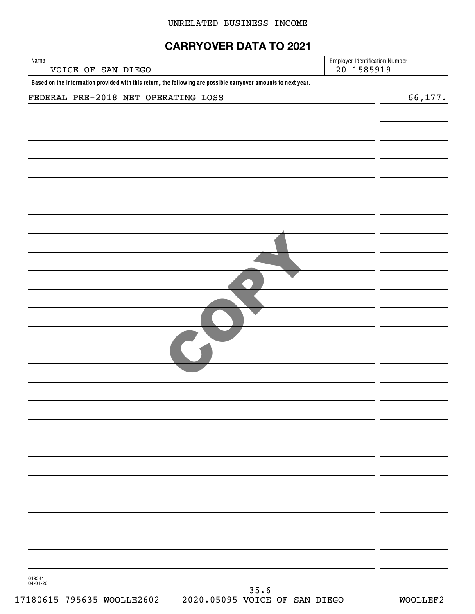#### UNRELATED BUSINESS INCOME

## **CARRYOVER DATA TO 2021**

| Name<br>VOICE OF SAN DIEGO                                                                                     | <b>Employer Identification Number</b><br>$20 - 1585919$ |
|----------------------------------------------------------------------------------------------------------------|---------------------------------------------------------|
| Based on the information provided with this return, the following are possible carryover amounts to next year. |                                                         |
| FEDERAL PRE-2018 NET OPERATING LOSS                                                                            | 66, 177.                                                |
|                                                                                                                |                                                         |
|                                                                                                                |                                                         |
|                                                                                                                |                                                         |
|                                                                                                                |                                                         |
|                                                                                                                |                                                         |
|                                                                                                                |                                                         |
|                                                                                                                |                                                         |
|                                                                                                                |                                                         |
|                                                                                                                |                                                         |
|                                                                                                                |                                                         |
|                                                                                                                |                                                         |
|                                                                                                                |                                                         |
|                                                                                                                |                                                         |
|                                                                                                                |                                                         |
|                                                                                                                |                                                         |
|                                                                                                                |                                                         |
|                                                                                                                |                                                         |
|                                                                                                                |                                                         |
|                                                                                                                |                                                         |

019341 04-01-20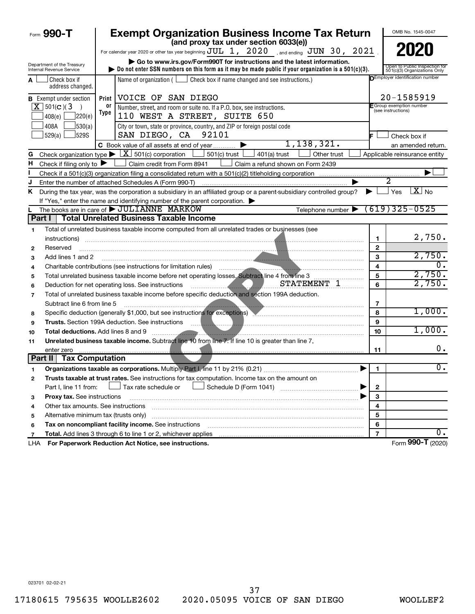| Form 990-T                                             | <b>Exempt Organization Business Income Tax Return</b><br>(and proxy tax under section 6033(e))                                                                    |                         | OMB No. 1545-0047                                             |
|--------------------------------------------------------|-------------------------------------------------------------------------------------------------------------------------------------------------------------------|-------------------------|---------------------------------------------------------------|
|                                                        | For calendar year 2020 or other tax year beginning $JUL$ 1, $2020$ , and ending $JUN$ 30, $2021$                                                                  |                         | 2020                                                          |
|                                                        | Go to www.irs.gov/Form990T for instructions and the latest information.                                                                                           |                         |                                                               |
| Department of the Treasury<br>Internal Revenue Service | bo not enter SSN numbers on this form as it may be made public if your organization is a $501(c)(3)$ .                                                            |                         | Open to Public Inspection for<br>501(c)(3) Organizations Only |
| l Check box if<br>A<br>address changed.                | Name of organization ( $\Box$ Check box if name changed and see instructions.)                                                                                    |                         | DEmployer identification number                               |
| <b>B</b> Exempt under section                          | Print   VOICE OF SAN DIEGO                                                                                                                                        |                         | 20-1585919                                                    |
| $X$ 501(c)(3)<br>$\rightarrow$                         | 0r<br>Number, street, and room or suite no. If a P.O. box, see instructions.                                                                                      |                         | F Group exemption number<br>(see instructions)                |
| ]220(e)<br>408(e)                                      | Type<br>110 WEST A STREET, SUITE 650                                                                                                                              |                         |                                                               |
| 408A<br>530(a)                                         | City or town, state or province, country, and ZIP or foreign postal code                                                                                          |                         |                                                               |
| 529(a)<br>529S                                         | 92101<br>SAN DIEGO, CA                                                                                                                                            | IЕ.                     | Check box if                                                  |
|                                                        | 1, 138, 321.<br>C Book value of all assets at end of year                                                                                                         |                         | an amended return.                                            |
| G                                                      | Check organization type $\blacktriangleright \lfloor \underline{X} \rfloor$ 501(c) corporation<br>$\rfloor$ 501(c) trust $\lfloor$<br>401(a) trust<br>Other trust |                         | Applicable reinsurance entity                                 |
| Check if filing only to $\blacktriangleright$<br>н     | Claim credit from Form 8941<br>Claim a refund shown on Form 2439                                                                                                  |                         |                                                               |
|                                                        |                                                                                                                                                                   |                         |                                                               |
| J                                                      | Enter the number of attached Schedules A (Form 990-T)                                                                                                             |                         |                                                               |
| Κ                                                      | During the tax year, was the corporation a subsidiary in an affiliated group or a parent-subsidiary controlled group?                                             | ▶                       | $X_{N0}$<br>Yes                                               |
|                                                        | If "Yes," enter the name and identifying number of the parent corporation.                                                                                        |                         |                                                               |
|                                                        | The books are in care of $\blacktriangleright$ JULIANNE MARKOW<br>Telephone number $\blacktriangleright$                                                          |                         | $(619)325 - 0525$                                             |
|                                                        | Part I   Total Unrelated Business Taxable Income                                                                                                                  |                         |                                                               |
| 1                                                      | Total of unrelated business taxable income computed from all unrelated trades or businesses (see                                                                  |                         |                                                               |
| instructions)                                          |                                                                                                                                                                   | 1                       | 2,750.                                                        |
| Reserved<br>$\mathbf{2}$                               |                                                                                                                                                                   | $\mathbf{2}$            |                                                               |
| Add lines 1 and 2<br>3                                 |                                                                                                                                                                   | 3                       | 2,750.                                                        |
| 4                                                      | Charitable contributions (see instructions for limitation rules)                                                                                                  | $\overline{\mathbf{4}}$ | $\overline{0}$ .                                              |
| 5                                                      | Total unrelated business taxable income before net operating losses. Subtract line 4 from line 3                                                                  | 5                       | 2,750.                                                        |
| 6                                                      | STATEMENT 1<br>Deduction for net operating loss. See instructions                                                                                                 | 6                       | 2,750.                                                        |
| 7                                                      | Total of unrelated business taxable income before specific deduction and section 199A deduction.                                                                  |                         |                                                               |
| Subtract line 6 from line 5                            |                                                                                                                                                                   | 7                       |                                                               |
| 8                                                      | Specific deduction (generally \$1,000, but see instructions for exceptions)                                                                                       | 8                       | 1,000.                                                        |
| 9                                                      | <b>Trusts.</b> Section 199A deduction. See instructions                                                                                                           | 9                       |                                                               |
| 10                                                     | <b>Total deductions.</b> Add lines 8 and 9                                                                                                                        | 10                      | 1,000.                                                        |
| 11                                                     | Unrelated business taxable income. Subtract line 10 from line 7. If line 10 is greater than line 7,                                                               |                         |                                                               |
| enter zero                                             |                                                                                                                                                                   | 11                      | 0.                                                            |
| Part II   Tax Computation                              |                                                                                                                                                                   |                         |                                                               |
|                                                        | Organizations taxable as corporations. Multiply Part I, line 11 by 21% (0.21)                                                                                     | $\mathbf{1}$            | $\overline{0}$ .                                              |
| 2                                                      | Trusts taxable at trust rates. See instructions for tax computation. Income tax on the amount on                                                                  |                         |                                                               |
| Part I, line 11 from:                                  | Tax rate schedule or                                                                                                                                              | 2                       |                                                               |
| Proxy tax. See instructions<br>з                       |                                                                                                                                                                   | $\mathbf{3}$            |                                                               |
| 4                                                      | Other tax amounts. See instructions                                                                                                                               | 4                       |                                                               |
| 5                                                      | Alternative minimum tax (trusts only)                                                                                                                             | 5                       |                                                               |
| 6                                                      | Tax on noncompliant facility income. See instructions                                                                                                             | 6                       |                                                               |
| $\overline{7}$                                         | Total. Add lines 3 through 6 to line 1 or 2, whichever applies                                                                                                    | $\overline{7}$          | υ.                                                            |
| LHA.                                                   | For Paperwork Reduction Act Notice, see instructions.                                                                                                             |                         | Form 990-T (2020)                                             |

023701 02-02-21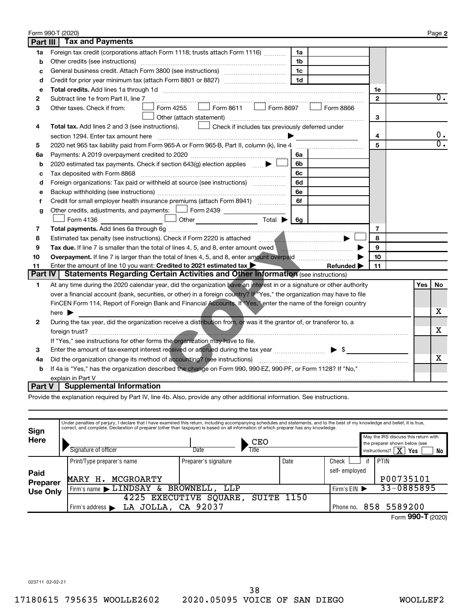|                | Form 990-T (2020)                                                                                                                                                                                                                          |                |     | Page 2           |
|----------------|--------------------------------------------------------------------------------------------------------------------------------------------------------------------------------------------------------------------------------------------|----------------|-----|------------------|
| Part III       | <b>Tax and Payments</b>                                                                                                                                                                                                                    |                |     |                  |
| 1a             | Foreign tax credit (corporations attach Form 1118; trusts attach Form 1116)<br>1a                                                                                                                                                          |                |     |                  |
| b              | Other credits (see instructions)<br>1b                                                                                                                                                                                                     |                |     |                  |
| c              | 1c                                                                                                                                                                                                                                         |                |     |                  |
| d              | 1 <sub>d</sub>                                                                                                                                                                                                                             |                |     |                  |
| e              |                                                                                                                                                                                                                                            | 1e             |     |                  |
| 2              | Subtract line 1e from Part II, line 7                                                                                                                                                                                                      | $\mathbf{2}$   |     | $0$ .            |
| з              | $\mathsf{Form}$ 8611 $\Box$ Form 8697<br>Form 4255<br>Form 8866<br>Other taxes. Check if from:                                                                                                                                             |                |     |                  |
|                | Other (attach statement)                                                                                                                                                                                                                   | 3              |     |                  |
| 4              | $\Box$ Check if includes tax previously deferred under<br>Total tax. Add lines 2 and 3 (see instructions).                                                                                                                                 |                |     |                  |
|                | section 1294. Enter tax amount here                                                                                                                                                                                                        | 4              |     | 0.               |
| 5              | 2020 net 965 tax liability paid from Form 965-A or Form 965-B, Part II, column (k), line 4                                                                                                                                                 | 5              |     | $\overline{0}$ . |
| 6a             | 6a                                                                                                                                                                                                                                         |                |     |                  |
| b              | 2020 estimated tax payments. Check if section 643(g) election applies $\Box$<br>6b                                                                                                                                                         |                |     |                  |
| c              | 6с                                                                                                                                                                                                                                         |                |     |                  |
| d              | Foreign organizations: Tax paid or withheld at source (see instructions)<br>6d                                                                                                                                                             |                |     |                  |
| e              | 6e                                                                                                                                                                                                                                         |                |     |                  |
| f              | 6f<br>Credit for small employer health insurance premiums (attach Form 8941)                                                                                                                                                               |                |     |                  |
| g              | Other credits, adjustments, and payments: $\Box$ Form 2439 $\Box$                                                                                                                                                                          |                |     |                  |
|                | Designed a contract of the contract of the contract of the contract of the contract of the contract of the contract of the contract of the contract of the contract of the contract of the contract of the contract of the co<br>Form 4136 |                |     |                  |
| 7              |                                                                                                                                                                                                                                            | $\overline{7}$ |     |                  |
| 8              |                                                                                                                                                                                                                                            | 8              |     |                  |
| 9              | Tax due. If line 7 is smaller than the total of lines 4, 5, and 8, enter amount owed                                                                                                                                                       | 9              |     |                  |
| 10             |                                                                                                                                                                                                                                            | 10             |     |                  |
| 11             | Enter the amount of line 10 you want: Credited to 2021 estimated tax $\blacktriangleright$<br>Refunded $\blacktriangleright$                                                                                                               | 11             |     |                  |
| <b>Part IV</b> | <b>Statements Regarding Certain Activities and Other Information (see instructions)</b>                                                                                                                                                    |                |     |                  |
| 1              | At any time during the 2020 calendar year, did the organization have an interest in or a signature or other authority                                                                                                                      |                | Yes | No.              |
|                | over a financial account (bank, securities, or other) in a foreign country? If "Yes," the organization may have to file                                                                                                                    |                |     |                  |
|                | FinCEN Form 114, Report of Foreign Bank and Financial Accounts. If "Yes," enter the name of the foreign country                                                                                                                            |                |     |                  |
|                | here $\blacktriangleright$                                                                                                                                                                                                                 |                |     | x.               |
| 2              | During the tax year, did the organization receive a distribution from, or was it the grantor of, or transferor to, a                                                                                                                       |                |     |                  |
|                |                                                                                                                                                                                                                                            |                |     | х                |
|                | If "Yes," see instructions for other forms the organization may have to file.                                                                                                                                                              |                |     |                  |
| 3              | Enter the amount of tax-exempt interest received or accrued during the tax year <i></i> > \$                                                                                                                                               |                |     |                  |
| 4a             |                                                                                                                                                                                                                                            |                |     | х                |
| b              | If 4a is "Yes," has the organization described the change on Form 990, 990-EZ, 990-PF, or Form 1128? If "No,"                                                                                                                              |                |     |                  |
|                | explain in Part V                                                                                                                                                                                                                          |                |     |                  |
| Part V         | <b>Supplemental Information</b>                                                                                                                                                                                                            |                |     |                  |

Provide the explanation required by Part IV, line 4b. Also, provide any other additional information. See instructions.

| Sign            | Under penalties of perjury, I declare that I have examined this return, including accompanying schedules and statements, and to the best of my knowledge and belief, it is true,<br>correct, and complete. Declaration of preparer (other than taxpayer) is based on all information of which preparer has any knowledge. |                      |      |               |    |                                                                                                                           |
|-----------------|---------------------------------------------------------------------------------------------------------------------------------------------------------------------------------------------------------------------------------------------------------------------------------------------------------------------------|----------------------|------|---------------|----|---------------------------------------------------------------------------------------------------------------------------|
| <b>Here</b>     | Signature of officer                                                                                                                                                                                                                                                                                                      | CEO<br>Title<br>Date |      |               |    | May the IRS discuss this return with<br>the preparer shown below (see<br>instructions)? $\boxed{\mathbf{X}}$<br>Yes<br>No |
|                 | Print/Type preparer's name                                                                                                                                                                                                                                                                                                | Preparer's signature | Date | Check         | if | PTIN                                                                                                                      |
| Paid            |                                                                                                                                                                                                                                                                                                                           |                      |      | self-emploved |    |                                                                                                                           |
| <b>Preparer</b> | MCGROARTY<br>MARY<br>н.                                                                                                                                                                                                                                                                                                   |                      |      |               |    | P00735101                                                                                                                 |
| <b>Use Only</b> | $'$ Firm's name $\blacktriangleright$ $\texttt{LINDSAY}$                                                                                                                                                                                                                                                                  | & BROWNELL,<br>LLP   |      | Firm's $EIN$  |    | 33-0885895                                                                                                                |
|                 | 4225<br><b>EXECUTIVE</b>                                                                                                                                                                                                                                                                                                  | SUITE<br>SOUARE      | 1150 |               |    |                                                                                                                           |
|                 | LA JOLLA, CA 92037<br>Firm's address $\blacktriangleright$                                                                                                                                                                                                                                                                |                      |      |               |    | Phone no. 858 5589200                                                                                                     |
|                 |                                                                                                                                                                                                                                                                                                                           |                      |      |               |    | $\sim$ $\sim$ $\sim$                                                                                                      |

Form 990-T (2020)

023711 02-02-21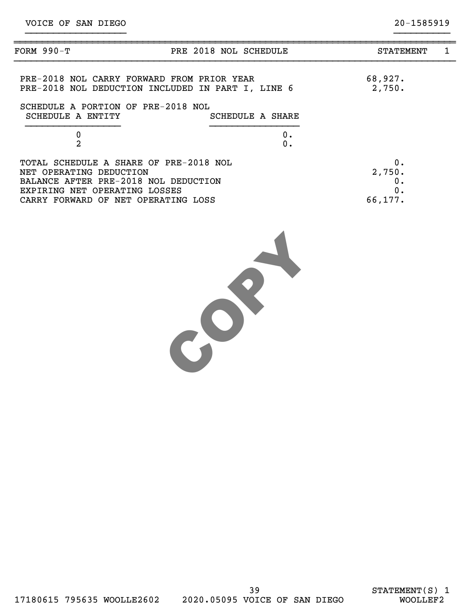| FORM 990-T                                                                                                | PRE 2018 NOL SCHEDULE | <b>STATEMENT</b>   | 1 |
|-----------------------------------------------------------------------------------------------------------|-----------------------|--------------------|---|
| PRE-2018 NOL CARRY FORWARD FROM PRIOR YEAR<br>PRE-2018 NOL DEDUCTION INCLUDED IN PART I, LINE 6           |                       | 68,927.<br>2,750.  |   |
| SCHEDULE A PORTION OF PRE-2018 NOL<br>SCHEDULE A ENTITY                                                   | SCHEDULE A SHARE      |                    |   |
| $\pmb{0}$<br>$\overline{2}$                                                                               | 0.                    |                    |   |
|                                                                                                           | 0.                    |                    |   |
| TOTAL SCHEDULE A SHARE OF PRE-2018 NOL<br>NET OPERATING DEDUCTION<br>BALANCE AFTER PRE-2018 NOL DEDUCTION |                       | 0.<br>2,750.<br>0. |   |
| EXPIRING NET OPERATING LOSSES<br>CARRY FORWARD OF NET OPERATING LOSS                                      |                       | 0.<br>66,177.      |   |
|                                                                                                           |                       |                    |   |

}}}}}}}}}}}}}}}}}} }}}}}}}}}}

COPY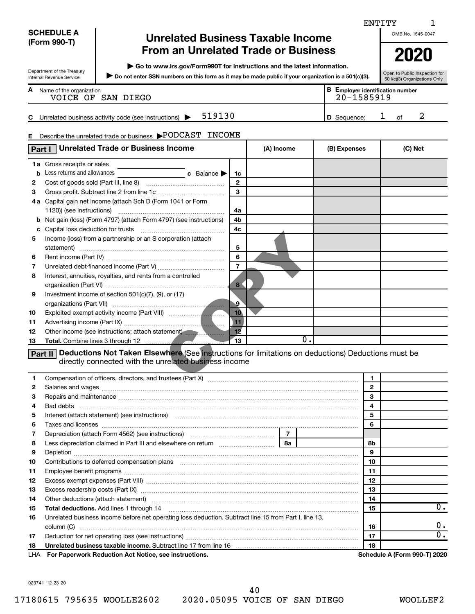|     |                                      |                                                                                                                                                                                                                                      |                 |            |                |       |              | ENTITY       |                                         |                        |
|-----|--------------------------------------|--------------------------------------------------------------------------------------------------------------------------------------------------------------------------------------------------------------------------------------|-----------------|------------|----------------|-------|--------------|--------------|-----------------------------------------|------------------------|
|     | <b>SCHEDULE A</b>                    | <b>Unrelated Business Taxable Income</b>                                                                                                                                                                                             |                 |            |                |       |              |              | OMB No. 1545-0047                       |                        |
|     | (Form 990-T)                         |                                                                                                                                                                                                                                      |                 |            |                |       |              |              |                                         |                        |
|     |                                      | <b>From an Unrelated Trade or Business</b>                                                                                                                                                                                           |                 |            |                |       |              |              | 2020                                    |                        |
|     |                                      | Go to www.irs.gov/Form990T for instructions and the latest information.                                                                                                                                                              |                 |            |                |       |              |              |                                         |                        |
|     | Department of the Treasury           | Do not enter SSN numbers on this form as it may be made public if your organization is a 501(c)(3).                                                                                                                                  |                 |            |                |       |              |              | Open to Public Inspection for           |                        |
|     | Internal Revenue Service             |                                                                                                                                                                                                                                      |                 |            |                |       |              |              | 501(c)(3) Organizations Only            |                        |
|     | <b>A</b> Name of the organization    | VOICE OF SAN DIEGO                                                                                                                                                                                                                   |                 |            |                |       |              | 20-1585919   | <b>B</b> Employer identification number |                        |
|     |                                      |                                                                                                                                                                                                                                      |                 |            |                |       |              |              |                                         |                        |
|     |                                      | 519130<br>C Unrelated business activity code (see instructions) $\blacktriangleright$                                                                                                                                                |                 |            |                |       | D Sequence:  |              | 2<br>ı<br>of                            |                        |
|     |                                      |                                                                                                                                                                                                                                      |                 |            |                |       |              |              |                                         |                        |
| Е   |                                      | Describe the unrelated trade or business PODCAST INCOME                                                                                                                                                                              |                 |            |                |       |              |              |                                         |                        |
|     | Part I                               | <b>Unrelated Trade or Business Income</b>                                                                                                                                                                                            |                 | (A) Income |                |       | (B) Expenses |              | (C) Net                                 |                        |
|     |                                      |                                                                                                                                                                                                                                      |                 |            |                |       |              |              |                                         |                        |
|     | 1a Gross receipts or sales           |                                                                                                                                                                                                                                      |                 |            |                |       |              |              |                                         |                        |
|     | <b>b</b> Less returns and allowances | <b>c</b> Balance                                                                                                                                                                                                                     | 1c              |            |                |       |              |              |                                         |                        |
| 2   |                                      |                                                                                                                                                                                                                                      | $\mathbf{2}$    |            |                |       |              |              |                                         |                        |
| з   |                                      |                                                                                                                                                                                                                                      | 3               |            |                |       |              |              |                                         |                        |
|     |                                      | 4a Capital gain net income (attach Sch D (Form 1041 or Form                                                                                                                                                                          |                 |            |                |       |              |              |                                         |                        |
|     |                                      |                                                                                                                                                                                                                                      | 4a              |            |                |       |              |              |                                         |                        |
|     |                                      | <b>b</b> Net gain (loss) (Form 4797) (attach Form 4797) (see instructions)                                                                                                                                                           | 4b              |            |                |       |              |              |                                         |                        |
|     |                                      |                                                                                                                                                                                                                                      | 4c              |            |                |       |              |              |                                         |                        |
| 5   |                                      | Income (loss) from a partnership or an S corporation (attach                                                                                                                                                                         |                 |            |                |       |              |              |                                         |                        |
|     |                                      |                                                                                                                                                                                                                                      | 5               |            |                |       |              |              |                                         |                        |
| 6   |                                      |                                                                                                                                                                                                                                      | 6               |            |                |       |              |              |                                         |                        |
| 7   |                                      |                                                                                                                                                                                                                                      | $\overline{7}$  |            |                |       |              |              |                                         |                        |
| 8   |                                      | Interest, annuities, royalties, and rents from a controlled                                                                                                                                                                          |                 |            |                |       |              |              |                                         |                        |
|     |                                      |                                                                                                                                                                                                                                      | 8               |            |                |       |              |              |                                         |                        |
| 9   |                                      | Investment income of section 501(c)(7), (9), or (17)                                                                                                                                                                                 |                 |            |                |       |              |              |                                         |                        |
|     |                                      |                                                                                                                                                                                                                                      | $\cdot$ 9       |            |                |       |              |              |                                         |                        |
| 10  |                                      |                                                                                                                                                                                                                                      | 10 <sub>1</sub> |            |                |       |              |              |                                         |                        |
| 11  |                                      |                                                                                                                                                                                                                                      | 11              |            |                |       |              |              |                                         |                        |
| 12  |                                      | Other income (see instructions; attach statement)                                                                                                                                                                                    | 12              |            |                |       |              |              |                                         |                        |
| 13  |                                      |                                                                                                                                                                                                                                      | 13              |            |                | $0$ . |              |              |                                         |                        |
|     |                                      | <b>Part II</b> Deductions Not Taken Elsewhere (See instructions for limitations on deductions) Deductions must be<br>directly connected with the unrelated business income                                                           |                 |            |                |       |              |              |                                         |                        |
|     |                                      |                                                                                                                                                                                                                                      |                 |            |                |       |              |              |                                         |                        |
| 1   |                                      |                                                                                                                                                                                                                                      |                 |            |                |       |              | 1            |                                         |                        |
| 2   |                                      | Salaries and wages <b>construction and construction of the set of the set of the set of the set of the set of the set of the set of the set of the set of the set of the set of the set of the set of the set of the set of the </b> |                 |            |                |       |              | $\mathbf{2}$ |                                         |                        |
| з   |                                      |                                                                                                                                                                                                                                      |                 |            |                |       |              | 3            |                                         |                        |
| 4   |                                      |                                                                                                                                                                                                                                      |                 |            |                |       |              | 4            |                                         |                        |
| 5   |                                      | Interest (attach statement) (see instructions) material content in the content of the content of the content of                                                                                                                      |                 |            |                |       |              | 5            |                                         |                        |
| 6   |                                      |                                                                                                                                                                                                                                      |                 |            |                |       |              | 6            |                                         |                        |
| 7   |                                      | Depreciation (attach Form 4562) (see instructions) maturities and contain the precision of                                                                                                                                           |                 |            | $\overline{7}$ |       |              |              |                                         |                        |
| 8   |                                      |                                                                                                                                                                                                                                      |                 |            | 8a             |       |              | 8b           |                                         |                        |
| 9   |                                      |                                                                                                                                                                                                                                      |                 |            |                |       |              | 9            |                                         |                        |
| 10  |                                      | Contributions to deferred compensation plans [11] matter contracts and the contributions to deferred compensation plans                                                                                                              |                 |            |                |       |              | 10           |                                         |                        |
| 11  |                                      |                                                                                                                                                                                                                                      |                 |            |                |       |              | 11           |                                         |                        |
| 12  |                                      |                                                                                                                                                                                                                                      |                 |            |                |       |              | 12           |                                         |                        |
| 13  |                                      |                                                                                                                                                                                                                                      |                 |            |                |       |              | 13           |                                         |                        |
| 14  |                                      | Other deductions (attach statement) manufactured and according of the deductions (attach statement)                                                                                                                                  |                 |            |                |       |              | 14           |                                         |                        |
| 15  |                                      | Total deductions. Add lines 1 through 14                                                                                                                                                                                             |                 |            |                |       |              | 15           |                                         | 0.                     |
| 16  |                                      | Unrelated business income before net operating loss deduction. Subtract line 15 from Part I, line 13,                                                                                                                                |                 |            |                |       |              |              |                                         |                        |
|     |                                      |                                                                                                                                                                                                                                      |                 |            |                |       |              | 16           |                                         | υ.<br>$\overline{0}$ . |
| 17  |                                      |                                                                                                                                                                                                                                      |                 |            |                |       |              | 17           |                                         |                        |
| 18  |                                      | Unrelated business taxable income. Subtract line 17 from line 16 [11] manufacture incommunications in the Unit                                                                                                                       |                 |            |                |       |              | 18           |                                         |                        |
| LHA |                                      | For Paperwork Reduction Act Notice, see instructions.                                                                                                                                                                                |                 |            |                |       |              |              | Schedule A (Form 990-T) 2020            |                        |

023741 12-23-20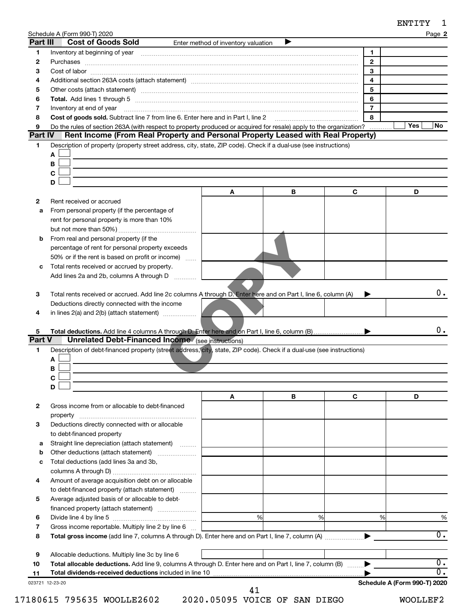| ENTITY |  |
|--------|--|
|--------|--|

|                 | Schedule A (Form 990-T) 2020                                                                                                                                                                                                   |                                     |   |                | 60 1 1 1 1<br>Page 2         |
|-----------------|--------------------------------------------------------------------------------------------------------------------------------------------------------------------------------------------------------------------------------|-------------------------------------|---|----------------|------------------------------|
| Part III        | <b>Cost of Goods Sold</b>                                                                                                                                                                                                      | Enter method of inventory valuation | ▶ |                |                              |
| 1               | Inventory at beginning of year encouragement and the control of year entropy at beginning of year encouragement of the control of the control of the control of the control of the control of the control of the control of th |                                     |   | 1              |                              |
| 2               |                                                                                                                                                                                                                                |                                     |   | $\overline{2}$ |                              |
| з               |                                                                                                                                                                                                                                |                                     |   | 3              |                              |
| 4               |                                                                                                                                                                                                                                |                                     |   | 4<br>5         |                              |
| 5<br>6          |                                                                                                                                                                                                                                |                                     |   | 6              |                              |
| 7               | Inventory at end of year                                                                                                                                                                                                       |                                     |   | $\overline{7}$ |                              |
| 8               | Cost of goods sold. Subtract line 7 from line 6. Enter here and in Part I, line 2                                                                                                                                              |                                     |   | 8              |                              |
| 9               | Do the rules of section 263A (with respect to property produced or acquired for resale) apply to the organization?                                                                                                             |                                     |   |                | Yes<br>No.                   |
| <b>Part IV</b>  | Rent Income (From Real Property and Personal Property Leased with Real Property)                                                                                                                                               |                                     |   |                |                              |
| 1               | Description of property (property street address, city, state, ZIP code). Check if a dual-use (see instructions)                                                                                                               |                                     |   |                |                              |
|                 | A                                                                                                                                                                                                                              |                                     |   |                |                              |
|                 | в                                                                                                                                                                                                                              |                                     |   |                |                              |
|                 | $\mathbf C$                                                                                                                                                                                                                    |                                     |   |                |                              |
|                 | D                                                                                                                                                                                                                              | Α                                   | В | C              | D                            |
| 2               | Rent received or accrued                                                                                                                                                                                                       |                                     |   |                |                              |
| a               | From personal property (if the percentage of                                                                                                                                                                                   |                                     |   |                |                              |
|                 | rent for personal property is more than 10%                                                                                                                                                                                    |                                     |   |                |                              |
|                 |                                                                                                                                                                                                                                |                                     |   |                |                              |
| b               | From real and personal property (if the                                                                                                                                                                                        |                                     |   |                |                              |
|                 | percentage of rent for personal property exceeds                                                                                                                                                                               |                                     |   |                |                              |
|                 | 50% or if the rent is based on profit or income)                                                                                                                                                                               |                                     |   |                |                              |
| с               | Total rents received or accrued by property.                                                                                                                                                                                   |                                     |   |                |                              |
|                 | Add lines 2a and 2b, columns A through D                                                                                                                                                                                       |                                     |   |                |                              |
| 3               | Total rents received or accrued. Add line 2c columns A through D. Enter here and on Part I, line 6, column (A)                                                                                                                 |                                     |   |                | 0.                           |
|                 | Deductions directly connected with the income                                                                                                                                                                                  |                                     |   |                |                              |
| 4               | in lines 2(a) and 2(b) (attach statement)                                                                                                                                                                                      |                                     |   |                |                              |
|                 |                                                                                                                                                                                                                                |                                     |   |                |                              |
| 5               |                                                                                                                                                                                                                                |                                     |   |                | 0.                           |
| Part V          | <b>Unrelated Debt-Financed Income</b> (see instructions)                                                                                                                                                                       |                                     |   |                |                              |
| 1               | Description of debt-financed property (street address, city), state, ZIP code). Check if a dual-use (see instructions)                                                                                                         |                                     |   |                |                              |
|                 | А<br>в                                                                                                                                                                                                                         |                                     |   |                |                              |
|                 | $\mathbf C$                                                                                                                                                                                                                    |                                     |   |                |                              |
|                 | D                                                                                                                                                                                                                              |                                     |   |                |                              |
|                 |                                                                                                                                                                                                                                | A                                   | В | C              | D                            |
| $\mathbf{2}$    | Gross income from or allocable to debt-financed                                                                                                                                                                                |                                     |   |                |                              |
|                 | property                                                                                                                                                                                                                       |                                     |   |                |                              |
| 3               | Deductions directly connected with or allocable                                                                                                                                                                                |                                     |   |                |                              |
|                 | to debt-financed property                                                                                                                                                                                                      |                                     |   |                |                              |
| а               | Straight line depreciation (attach statement)                                                                                                                                                                                  |                                     |   |                |                              |
| b               | Other deductions (attach statement)<br>Total deductions (add lines 3a and 3b,                                                                                                                                                  |                                     |   |                |                              |
| c               |                                                                                                                                                                                                                                |                                     |   |                |                              |
| 4               | Amount of average acquisition debt on or allocable                                                                                                                                                                             |                                     |   |                |                              |
|                 | to debt-financed property (attach statement)                                                                                                                                                                                   |                                     |   |                |                              |
| 5               | Average adjusted basis of or allocable to debt-                                                                                                                                                                                |                                     |   |                |                              |
|                 |                                                                                                                                                                                                                                |                                     |   |                |                              |
| 6               |                                                                                                                                                                                                                                | %                                   | % | %              | %                            |
| 7               | Gross income reportable. Multiply line 2 by line 6                                                                                                                                                                             |                                     |   |                |                              |
| 8               |                                                                                                                                                                                                                                |                                     |   |                | $\overline{0}$ .             |
|                 |                                                                                                                                                                                                                                |                                     |   |                |                              |
| 9               | Allocable deductions. Multiply line 3c by line 6                                                                                                                                                                               |                                     |   |                | $\overline{0}$ .             |
| 10<br>11        | Total allocable deductions. Add line 9, columns A through D. Enter here and on Part I, line 7, column (B)                                                                                                                      |                                     |   |                | $\overline{0}$ .             |
| 023721 12-23-20 |                                                                                                                                                                                                                                |                                     |   |                | Schedule A (Form 990-T) 2020 |
|                 |                                                                                                                                                                                                                                | 41                                  |   |                |                              |

17180615 795635 WOOLLE2602 2020.05095 VOICE OF SAN DIEGO WOOLLEF2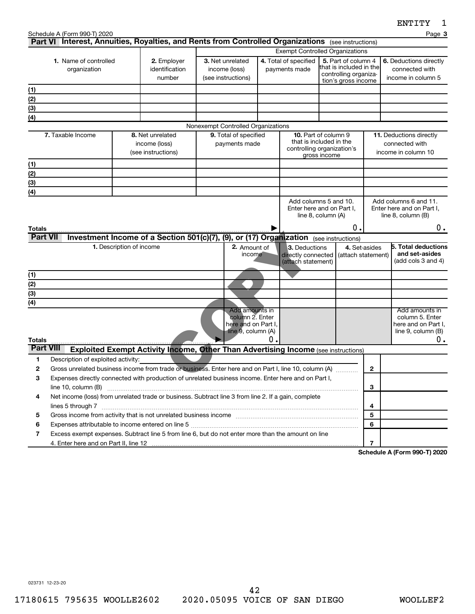|                      | Schedule A (Form 990-T) 2020<br>Part VI Interest, Annuities, Royalties, and Rents from Controlled Organizations (see instructions)                                                                                     |                          |                                                                                        |                                                                                |    |                                                           |                                                                                                      |               | Page 3                                                                               |
|----------------------|------------------------------------------------------------------------------------------------------------------------------------------------------------------------------------------------------------------------|--------------------------|----------------------------------------------------------------------------------------|--------------------------------------------------------------------------------|----|-----------------------------------------------------------|------------------------------------------------------------------------------------------------------|---------------|--------------------------------------------------------------------------------------|
|                      |                                                                                                                                                                                                                        |                          |                                                                                        |                                                                                |    |                                                           | <b>Exempt Controlled Organizations</b>                                                               |               |                                                                                      |
|                      | 1. Name of controlled<br>organization                                                                                                                                                                                  |                          | 2. Employer<br>identification<br>number                                                | 3. Net unrelated<br>income (loss)<br>(see instructions)                        |    | 4. Total of specified<br>payments made                    | 5. Part of column 4<br>that is included in the<br>controlling organiza-<br>tion's gross income       |               | 6. Deductions directly<br>connected with<br>income in column 5                       |
| (1)                  |                                                                                                                                                                                                                        |                          |                                                                                        |                                                                                |    |                                                           |                                                                                                      |               |                                                                                      |
| (2)                  |                                                                                                                                                                                                                        |                          |                                                                                        |                                                                                |    |                                                           |                                                                                                      |               |                                                                                      |
| (3)                  |                                                                                                                                                                                                                        |                          |                                                                                        |                                                                                |    |                                                           |                                                                                                      |               |                                                                                      |
| (4)                  |                                                                                                                                                                                                                        |                          |                                                                                        |                                                                                |    |                                                           |                                                                                                      |               |                                                                                      |
|                      |                                                                                                                                                                                                                        |                          |                                                                                        | Nonexempt Controlled Organizations                                             |    |                                                           |                                                                                                      |               |                                                                                      |
|                      | 7. Taxable Income                                                                                                                                                                                                      |                          | 8. Net unrelated<br>income (loss)<br>(see instructions)                                | 9. Total of specified<br>payments made                                         |    |                                                           | <b>10.</b> Part of column 9<br>that is included in the<br>controlling organization's<br>gross income |               | 11. Deductions directly<br>connected with<br>income in column 10                     |
| (1)                  |                                                                                                                                                                                                                        |                          |                                                                                        |                                                                                |    |                                                           |                                                                                                      |               |                                                                                      |
| (2)                  |                                                                                                                                                                                                                        |                          |                                                                                        |                                                                                |    |                                                           |                                                                                                      |               |                                                                                      |
| (3)                  |                                                                                                                                                                                                                        |                          |                                                                                        |                                                                                |    |                                                           |                                                                                                      |               |                                                                                      |
| (4)                  |                                                                                                                                                                                                                        |                          |                                                                                        |                                                                                |    |                                                           |                                                                                                      |               |                                                                                      |
| Totals               |                                                                                                                                                                                                                        |                          |                                                                                        |                                                                                |    |                                                           | Enter here and on Part I,<br>line 8, column (A)<br>Ο.                                                |               | Enter here and on Part I,<br>line 8, column (B)<br>0.                                |
| <b>Part VII</b>      |                                                                                                                                                                                                                        |                          | Investment Income of a Section 501(c)(7), (9), or (17) Organization (see instructions) |                                                                                |    |                                                           |                                                                                                      |               |                                                                                      |
|                      |                                                                                                                                                                                                                        | 1. Description of income |                                                                                        | 2. Amount of<br>income                                                         |    | 3. Deductions<br>directly connected<br>(attach statement) | (attach statement)                                                                                   | 4. Set-asides | <b>5. Total deductions</b><br>and set-asides<br>(add cols 3 and 4)                   |
| (1)                  |                                                                                                                                                                                                                        |                          |                                                                                        |                                                                                |    |                                                           |                                                                                                      |               |                                                                                      |
| $\overline{(2)}$     |                                                                                                                                                                                                                        |                          |                                                                                        |                                                                                |    |                                                           |                                                                                                      |               |                                                                                      |
| $\overline{(3)}$     |                                                                                                                                                                                                                        |                          |                                                                                        |                                                                                |    |                                                           |                                                                                                      |               |                                                                                      |
| (4)<br><b>Totals</b> |                                                                                                                                                                                                                        |                          |                                                                                        | Add amounts in<br>column 2. Enter<br>here and on Part I,<br>line 9, column (A) | 0. |                                                           |                                                                                                      |               | Add amounts in<br>column 5. Enter<br>here and on Part I,<br>line 9, column (B)<br>0. |
| <b>Part VIII</b>     |                                                                                                                                                                                                                        |                          | Exploited Exempt Activity Income, Other Than Advertising Income (see instructions)     |                                                                                |    |                                                           |                                                                                                      |               |                                                                                      |
| 1                    | Description of exploited activity:                                                                                                                                                                                     |                          |                                                                                        |                                                                                |    |                                                           |                                                                                                      |               |                                                                                      |
| 2                    | Gross unrelated business income from trade or business. Enter here and on Part I, line 10, column (A)                                                                                                                  |                          |                                                                                        |                                                                                |    |                                                           |                                                                                                      | $\mathbf{2}$  |                                                                                      |
| 3                    | Expenses directly connected with production of unrelated business income. Enter here and on Part I,                                                                                                                    |                          |                                                                                        |                                                                                |    |                                                           |                                                                                                      |               |                                                                                      |
|                      | line 10, column (B)                                                                                                                                                                                                    |                          |                                                                                        |                                                                                |    |                                                           |                                                                                                      | 3             |                                                                                      |
| 4                    | Net income (loss) from unrelated trade or business. Subtract line 3 from line 2. If a gain, complete<br>lines 5 through 7 www.assemblance.com/news/community/intervention-community-community-community-community-comm |                          |                                                                                        |                                                                                |    |                                                           |                                                                                                      | 4             |                                                                                      |
| 5                    |                                                                                                                                                                                                                        |                          |                                                                                        |                                                                                |    |                                                           |                                                                                                      | 5             |                                                                                      |
| 6                    |                                                                                                                                                                                                                        |                          |                                                                                        |                                                                                |    |                                                           |                                                                                                      | 6             |                                                                                      |
| 7                    | Excess exempt expenses. Subtract line 5 from line 6, but do not enter more than the amount on line                                                                                                                     |                          |                                                                                        |                                                                                |    |                                                           |                                                                                                      |               |                                                                                      |
|                      |                                                                                                                                                                                                                        |                          |                                                                                        |                                                                                |    |                                                           |                                                                                                      | 7             |                                                                                      |

**Schedule A (Form 990-T) 2020**

023731 12-23-20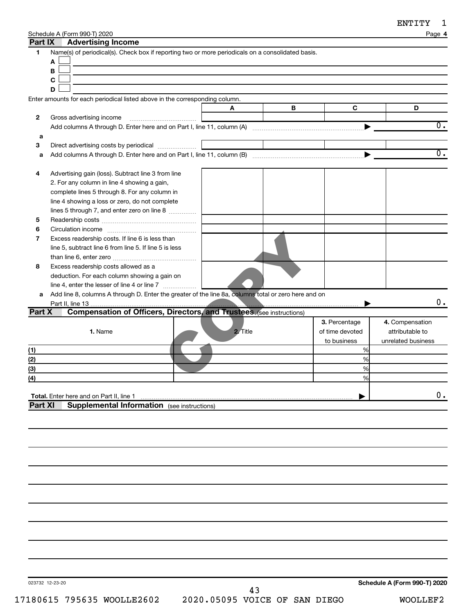|  | Schedule A (Form 990-T) 2020 |
|--|------------------------------|
|--|------------------------------|

|                | Schedule A (Form 990-T) 2020                                                                         |          |   |                 | Page 4             |
|----------------|------------------------------------------------------------------------------------------------------|----------|---|-----------------|--------------------|
| Part IX        | <b>Advertising Income</b>                                                                            |          |   |                 |                    |
| 1              | Name(s) of periodical(s). Check box if reporting two or more periodicals on a consolidated basis.    |          |   |                 |                    |
|                | Α                                                                                                    |          |   |                 |                    |
|                | В                                                                                                    |          |   |                 |                    |
|                | $\mathbf c$                                                                                          |          |   |                 |                    |
|                | D                                                                                                    |          |   |                 |                    |
|                | Enter amounts for each periodical listed above in the corresponding column.                          |          |   |                 |                    |
|                |                                                                                                      | A        | В | $\mathbf c$     | D                  |
| 2              | Gross advertising income                                                                             |          |   |                 |                    |
|                |                                                                                                      |          |   |                 | $\overline{0}$ .   |
| а              |                                                                                                      |          |   |                 |                    |
| З              |                                                                                                      |          |   |                 |                    |
| a              |                                                                                                      |          |   |                 | $\overline{0}$ .   |
|                |                                                                                                      |          |   |                 |                    |
| 4              | Advertising gain (loss). Subtract line 3 from line                                                   |          |   |                 |                    |
|                | 2. For any column in line 4 showing a gain,                                                          |          |   |                 |                    |
|                | complete lines 5 through 8. For any column in                                                        |          |   |                 |                    |
|                | line 4 showing a loss or zero, do not complete                                                       |          |   |                 |                    |
|                | lines 5 through 7, and enter zero on line 8                                                          |          |   |                 |                    |
| 5              |                                                                                                      |          |   |                 |                    |
| 6              |                                                                                                      |          |   |                 |                    |
| 7              | Excess readership costs. If line 6 is less than                                                      |          |   |                 |                    |
|                | line 5, subtract line 6 from line 5. If line 5 is less                                               |          |   |                 |                    |
|                |                                                                                                      |          |   |                 |                    |
| 8              | Excess readership costs allowed as a                                                                 |          |   |                 |                    |
|                | deduction. For each column showing a gain on                                                         |          |   |                 |                    |
|                | line 4, enter the lesser of line 4 or line 7                                                         |          |   |                 |                    |
| а              | Add line 8, columns A through D. Enter the greater of the line 8a, columns total or zero here and on |          |   |                 |                    |
|                |                                                                                                      |          |   |                 | $0$ .              |
| Part X         | <b>Compensation of Officers, Directors, and Trustees. (see instructions)</b>                         |          |   |                 |                    |
|                |                                                                                                      |          |   | 3. Percentage   | 4. Compensation    |
|                | 1. Name                                                                                              | 2. Title |   | of time devoted | attributable to    |
|                |                                                                                                      |          |   | to business     | unrelated business |
| (1)            |                                                                                                      |          |   | %               |                    |
| (2)            |                                                                                                      |          |   | %               |                    |
| (3)            |                                                                                                      |          |   | %               |                    |
| (4)            |                                                                                                      |          |   | $\frac{0}{6}$   |                    |
|                |                                                                                                      |          |   |                 |                    |
|                | Total. Enter here and on Part II, line 1                                                             |          |   |                 | 0.                 |
| <b>Part XI</b> | <b>Supplemental Information</b> (see instructions)                                                   |          |   |                 |                    |
|                |                                                                                                      |          |   |                 |                    |
|                |                                                                                                      |          |   |                 |                    |
|                |                                                                                                      |          |   |                 |                    |
|                |                                                                                                      |          |   |                 |                    |
|                |                                                                                                      |          |   |                 |                    |
|                |                                                                                                      |          |   |                 |                    |
|                |                                                                                                      |          |   |                 |                    |
|                |                                                                                                      |          |   |                 |                    |
|                |                                                                                                      |          |   |                 |                    |
|                |                                                                                                      |          |   |                 |                    |
|                |                                                                                                      |          |   |                 |                    |
|                |                                                                                                      |          |   |                 |                    |
|                |                                                                                                      |          |   |                 |                    |
|                |                                                                                                      |          |   |                 |                    |
|                |                                                                                                      |          |   |                 |                    |
|                |                                                                                                      |          |   |                 |                    |

023732 12-23-20

**Schedule A (Form 990-T) 2020**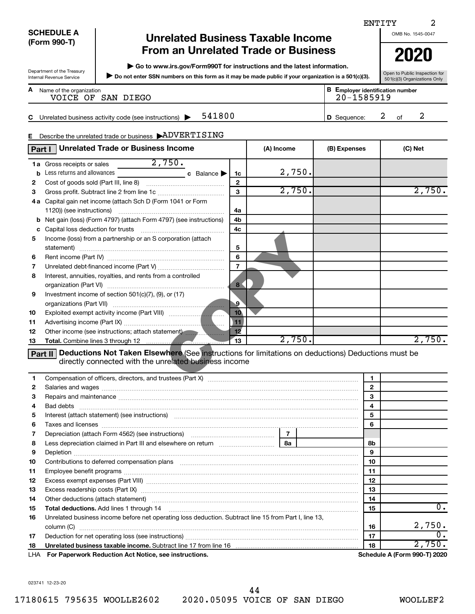|        |                            |                                                                                                                                                                                                                               |                   |            |                                         |                   | ENTITY  | 2                                                             |
|--------|----------------------------|-------------------------------------------------------------------------------------------------------------------------------------------------------------------------------------------------------------------------------|-------------------|------------|-----------------------------------------|-------------------|---------|---------------------------------------------------------------|
|        | <b>SCHEDULE A</b>          | <b>Unrelated Business Taxable Income</b>                                                                                                                                                                                      |                   |            |                                         |                   |         | OMB No. 1545-0047                                             |
|        | (Form 990-T)               | <b>From an Unrelated Trade or Business</b>                                                                                                                                                                                    |                   |            |                                         |                   |         |                                                               |
|        |                            |                                                                                                                                                                                                                               |                   |            |                                         |                   |         | 2020                                                          |
|        | Department of the Treasury | ▶ Go to www.irs.gov/Form990T for instructions and the latest information.                                                                                                                                                     |                   |            |                                         |                   |         |                                                               |
|        | Internal Revenue Service   | Do not enter SSN numbers on this form as it may be made public if your organization is a 501(c)(3).                                                                                                                           |                   |            |                                         |                   |         | Open to Public Inspection for<br>501(c)(3) Organizations Only |
| A      | Name of the organization   |                                                                                                                                                                                                                               |                   |            | <b>B</b> Employer identification number |                   |         |                                                               |
|        |                            | VOICE OF SAN DIEGO                                                                                                                                                                                                            |                   |            | 20-1585919                              |                   |         |                                                               |
|        |                            |                                                                                                                                                                                                                               |                   |            |                                         |                   |         |                                                               |
| С      |                            | 541800<br>Unrelated business activity code (see instructions)                                                                                                                                                                 |                   |            | D Sequence:                             |                   | 2<br>of | 2                                                             |
|        |                            |                                                                                                                                                                                                                               |                   |            |                                         |                   |         |                                                               |
| Е.     |                            | Describe the unrelated trade or business ADVERTISING                                                                                                                                                                          |                   |            |                                         |                   |         |                                                               |
|        | Part I                     | <b>Unrelated Trade or Business Income</b>                                                                                                                                                                                     |                   | (A) Income | (B) Expenses                            |                   |         | (C) Net                                                       |
|        | 1a Gross receipts or sales | $\frac{2}{750}$ .                                                                                                                                                                                                             |                   |            |                                         |                   |         |                                                               |
| b      |                            | Less returns and allowances exponentially a control of Balance                                                                                                                                                                | 1c                | 2,750.     |                                         |                   |         |                                                               |
| 2      |                            |                                                                                                                                                                                                                               | $\mathbf{2}$      |            |                                         |                   |         |                                                               |
| З      |                            |                                                                                                                                                                                                                               | 3                 | 2,750.     |                                         |                   |         | 2,750.                                                        |
|        |                            | 4a Capital gain net income (attach Sch D (Form 1041 or Form                                                                                                                                                                   |                   |            |                                         |                   |         |                                                               |
|        | 1120)) (see instructions)  |                                                                                                                                                                                                                               | 4a                |            |                                         |                   |         |                                                               |
|        |                            | <b>b</b> Net gain (loss) (Form 4797) (attach Form 4797) (see instructions)                                                                                                                                                    | 4b                |            |                                         |                   |         |                                                               |
| с      |                            | Capital loss deduction for trusts [111] [12] Capital loss deduction for trusts [11] [12] [12] [12] [12] [12] [                                                                                                                | 4 <sub>c</sub>    |            |                                         |                   |         |                                                               |
| 5      |                            | Income (loss) from a partnership or an S corporation (attach                                                                                                                                                                  |                   |            |                                         |                   |         |                                                               |
|        |                            |                                                                                                                                                                                                                               | 5                 |            |                                         |                   |         |                                                               |
| 6      |                            |                                                                                                                                                                                                                               | 6                 |            |                                         |                   |         |                                                               |
| 7      |                            |                                                                                                                                                                                                                               | $\overline{7}$    |            |                                         |                   |         |                                                               |
| 8      |                            | Interest, annuities, royalties, and rents from a controlled                                                                                                                                                                   | 8 <sup>7</sup>    |            |                                         |                   |         |                                                               |
| 9      |                            | Investment income of section 501(c)(7), (9), or (17)                                                                                                                                                                          |                   |            |                                         |                   |         |                                                               |
|        |                            |                                                                                                                                                                                                                               | $\cdot$ 9 $\cdot$ |            |                                         |                   |         |                                                               |
| 10     |                            |                                                                                                                                                                                                                               | 10 <sub>1</sub>   |            |                                         |                   |         |                                                               |
| 11     |                            |                                                                                                                                                                                                                               | 11                |            |                                         |                   |         |                                                               |
| 12     |                            | Other income (see instructions; attach statement)                                                                                                                                                                             | 12                |            |                                         |                   |         |                                                               |
| 13     |                            |                                                                                                                                                                                                                               | 13                | 2,750.     |                                         |                   |         | 2,750.                                                        |
|        |                            | <b>Part II</b> Deductions Not Taken Elsewhere (See instructions for limitations on deductions) Deductions must be                                                                                                             |                   |            |                                         |                   |         |                                                               |
|        |                            | directly connected with the unrelated business income                                                                                                                                                                         |                   |            |                                         |                   |         |                                                               |
|        |                            |                                                                                                                                                                                                                               |                   |            |                                         |                   |         |                                                               |
| 1      |                            |                                                                                                                                                                                                                               |                   |            |                                         | 1                 |         |                                                               |
| 2<br>3 |                            |                                                                                                                                                                                                                               |                   |            |                                         | $\mathbf{2}$<br>3 |         |                                                               |
| 4      |                            |                                                                                                                                                                                                                               |                   |            |                                         | 4                 |         |                                                               |
| 5      |                            | Bad debts <b>www.communities.communities.communities.com</b><br>Interest (attach statement) (see instructions) material content in the content of the content of the content of                                               |                   |            |                                         | 5                 |         |                                                               |
| 6      |                            |                                                                                                                                                                                                                               |                   |            |                                         | 6                 |         |                                                               |
| 7      |                            |                                                                                                                                                                                                                               |                   | 7          |                                         |                   |         |                                                               |
| 8      |                            |                                                                                                                                                                                                                               |                   | <b>8a</b>  |                                         | 8b                |         |                                                               |
| 9      |                            |                                                                                                                                                                                                                               |                   |            |                                         | 9                 |         |                                                               |
| 10     |                            | Contributions to deferred compensation plans [11] matter contract to the contributions to deferred compensation plans [11] matter contract to the contract of the contract of the contract of the contract of the contract of |                   |            |                                         | 10                |         |                                                               |
| 11     |                            |                                                                                                                                                                                                                               |                   |            |                                         | 11                |         |                                                               |
| 12     |                            |                                                                                                                                                                                                                               |                   |            |                                         | 12                |         |                                                               |
| 13     |                            |                                                                                                                                                                                                                               |                   |            |                                         | 13                |         |                                                               |
| 14     |                            | Other deductions (attach statement) manufactured and according of the deductions (attach statement)                                                                                                                           |                   |            |                                         | 14                |         |                                                               |

| 15 | Total deductions. Add lines 1 through 14                                                              | 15 |                                     |
|----|-------------------------------------------------------------------------------------------------------|----|-------------------------------------|
| 16 | Unrelated business income before net operating loss deduction. Subtract line 15 from Part I, line 13, |    |                                     |
|    | column (C)                                                                                            | 16 | 2.750                               |
| 17 | Deduction for net operating loss (see instructions)                                                   |    |                                     |
| 18 | Unrelated business taxable income. Subtract line 17 from line 16 <i>manuarrous controller</i>         | 18 |                                     |
|    | LHA For Paperwork Reduction Act Notice, see instructions.                                             |    | <b>Schedule A (Form 990-T) 2020</b> |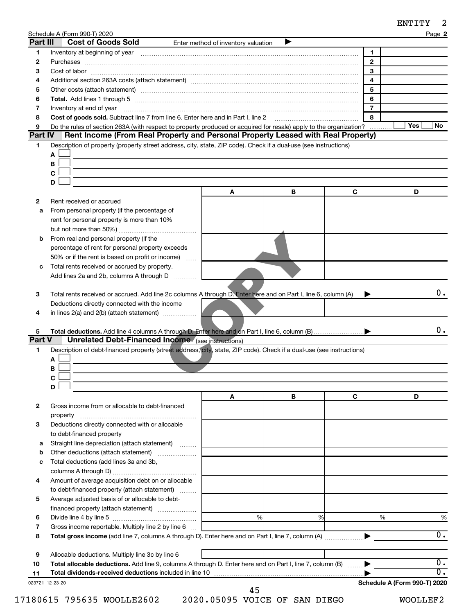| ENTITY |  |
|--------|--|
|--------|--|

| Part III    | Schedule A (Form 990-T) 2020<br><b>Cost of Goods Sold</b>                                                                                                                                                                                                  | Enter method of inventory valuation |   |                | Page 2                 |
|-------------|------------------------------------------------------------------------------------------------------------------------------------------------------------------------------------------------------------------------------------------------------------|-------------------------------------|---|----------------|------------------------|
| 1           |                                                                                                                                                                                                                                                            |                                     |   | 1              |                        |
| 2           |                                                                                                                                                                                                                                                            |                                     |   | $\mathbf{2}$   |                        |
| 3           |                                                                                                                                                                                                                                                            |                                     |   | 3              |                        |
| 4           | Additional section 263A costs (attach statement) material content content and section 263A costs (attach statement) material content content and section 263A costs (attach statement) material content and attachment and sec                             |                                     |   | 4              |                        |
| 5           | Other costs (attach statement) manufactured and contract and contract and contract and contract and contract and contract and contract and contract and contract and contract and contract and contract and contract and contr                             |                                     |   | 5              |                        |
| 6           |                                                                                                                                                                                                                                                            |                                     |   | 6              |                        |
| 7           | Total. Add lines 1 through 5 [11] manufactured and manufactured and manufactured and manufactured and manufactured and manufactured and manufactured and manufactured and manufactured and manufactured and manufactured and m<br>Inventory at end of year |                                     |   | $\overline{7}$ |                        |
| 8           | Cost of goods sold. Subtract line 7 from line 6. Enter here and in Part I, line 2                                                                                                                                                                          |                                     |   | 8              |                        |
| 9           | Do the rules of section 263A (with respect to property produced or acquired for resale) apply to the organization?                                                                                                                                         |                                     |   |                | Yes<br>No.             |
| Part IV     | Rent Income (From Real Property and Personal Property Leased with Real Property)                                                                                                                                                                           |                                     |   |                |                        |
| 1           | Description of property (property street address, city, state, ZIP code). Check if a dual-use (see instructions)                                                                                                                                           |                                     |   |                |                        |
|             | A                                                                                                                                                                                                                                                          |                                     |   |                |                        |
|             | В                                                                                                                                                                                                                                                          |                                     |   |                |                        |
|             | С                                                                                                                                                                                                                                                          |                                     |   |                |                        |
|             | D                                                                                                                                                                                                                                                          |                                     |   |                |                        |
|             |                                                                                                                                                                                                                                                            | A                                   | B | C              | D                      |
| 2           | Rent received or accrued                                                                                                                                                                                                                                   |                                     |   |                |                        |
| a           | From personal property (if the percentage of                                                                                                                                                                                                               |                                     |   |                |                        |
|             | rent for personal property is more than 10%                                                                                                                                                                                                                |                                     |   |                |                        |
|             |                                                                                                                                                                                                                                                            |                                     |   |                |                        |
| b           | From real and personal property (if the                                                                                                                                                                                                                    |                                     |   |                |                        |
|             | percentage of rent for personal property exceeds                                                                                                                                                                                                           |                                     |   |                |                        |
|             | 50% or if the rent is based on profit or income)                                                                                                                                                                                                           |                                     |   |                |                        |
| c           | Total rents received or accrued by property.                                                                                                                                                                                                               |                                     |   |                |                        |
|             | Add lines 2a and 2b, columns A through D                                                                                                                                                                                                                   |                                     |   |                |                        |
|             |                                                                                                                                                                                                                                                            |                                     |   |                |                        |
|             |                                                                                                                                                                                                                                                            |                                     |   |                | 0.                     |
|             |                                                                                                                                                                                                                                                            |                                     |   |                |                        |
| 3           | Total rents received or accrued. Add line 2c columns A through D. Enter here and on Part I, line 6, column (A)                                                                                                                                             |                                     |   |                |                        |
|             | Deductions directly connected with the income                                                                                                                                                                                                              |                                     |   |                |                        |
| 4           | in lines $2(a)$ and $2(b)$ (attach statement) $\ldots$                                                                                                                                                                                                     |                                     |   |                |                        |
|             |                                                                                                                                                                                                                                                            |                                     |   |                |                        |
| 5           |                                                                                                                                                                                                                                                            |                                     |   |                |                        |
|             | <b>Unrelated Debt-Financed Income</b> (see instructions)                                                                                                                                                                                                   |                                     |   |                |                        |
| 1           | Description of debt-financed property (street address, city, state, ZIP code). Check if a dual-use (see instructions)                                                                                                                                      |                                     |   |                |                        |
|             | А                                                                                                                                                                                                                                                          |                                     |   |                |                        |
|             | в                                                                                                                                                                                                                                                          |                                     |   |                |                        |
|             | C                                                                                                                                                                                                                                                          |                                     |   |                |                        |
|             | D                                                                                                                                                                                                                                                          |                                     |   |                | 0.                     |
|             |                                                                                                                                                                                                                                                            | Α                                   | В | C              | D                      |
| 2           | Gross income from or allocable to debt-financed                                                                                                                                                                                                            |                                     |   |                |                        |
|             |                                                                                                                                                                                                                                                            |                                     |   |                |                        |
| Part V<br>3 | Deductions directly connected with or allocable                                                                                                                                                                                                            |                                     |   |                |                        |
|             | to debt-financed property                                                                                                                                                                                                                                  |                                     |   |                |                        |
| а           | Straight line depreciation (attach statement)                                                                                                                                                                                                              |                                     |   |                |                        |
|             | Other deductions (attach statement)                                                                                                                                                                                                                        |                                     |   |                |                        |
| с           | Total deductions (add lines 3a and 3b,                                                                                                                                                                                                                     |                                     |   |                |                        |
|             |                                                                                                                                                                                                                                                            |                                     |   |                |                        |
| 4           | Amount of average acquisition debt on or allocable                                                                                                                                                                                                         |                                     |   |                |                        |
|             | to debt-financed property (attach statement)                                                                                                                                                                                                               |                                     |   |                |                        |
| 5           | Average adjusted basis of or allocable to debt-                                                                                                                                                                                                            |                                     |   |                |                        |
|             | financed property (attach statement)                                                                                                                                                                                                                       |                                     |   |                |                        |
| 6           |                                                                                                                                                                                                                                                            | %                                   | % | %              |                        |
| 7           | Gross income reportable. Multiply line 2 by line 6                                                                                                                                                                                                         |                                     |   |                |                        |
| 8           |                                                                                                                                                                                                                                                            |                                     |   |                |                        |
|             |                                                                                                                                                                                                                                                            |                                     |   |                | %<br>$\overline{0}$ .  |
| 9           | Allocable deductions. Multiply line 3c by line 6                                                                                                                                                                                                           |                                     |   |                |                        |
| 10<br>11    | Total allocable deductions. Add line 9, columns A through D. Enter here and on Part I, line 7, column (B)<br>Total dividends-received deductions included in line 10                                                                                       |                                     |   |                | $\overline{0}$ .<br>σ. |

17180615 795635 WOOLLE2602 2020.05095 VOICE OF SAN DIEGO WOOLLEF2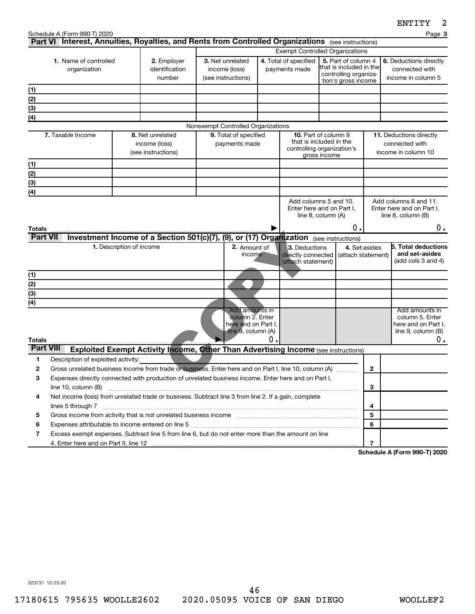|                                       | Schedule A (Form 990-T) 2020                                                                          |                                         |                                                                                                                                              |  |                                                              |                                        |                                                                                                      |                                                       |                                                                  | Page 3                                                             |
|---------------------------------------|-------------------------------------------------------------------------------------------------------|-----------------------------------------|----------------------------------------------------------------------------------------------------------------------------------------------|--|--------------------------------------------------------------|----------------------------------------|------------------------------------------------------------------------------------------------------|-------------------------------------------------------|------------------------------------------------------------------|--------------------------------------------------------------------|
|                                       |                                                                                                       |                                         | Part VI Interest, Annuities, Royalties, and Rents from Controlled Organizations (see instructions)<br><b>Exempt Controlled Organizations</b> |  |                                                              |                                        |                                                                                                      |                                                       |                                                                  |                                                                    |
| 1. Name of controlled<br>organization |                                                                                                       | 2. Employer<br>identification<br>number | 3. Net unrelated<br>income (loss)<br>(see instructions)                                                                                      |  |                                                              | 4. Total of specified<br>payments made | 5. Part of column 4<br>lthat is included in the <br>controlling organiza-<br>tion's gross income     |                                                       | 6. Deductions directly<br>connected with<br>income in column 5   |                                                                    |
| (1)                                   |                                                                                                       |                                         |                                                                                                                                              |  |                                                              |                                        |                                                                                                      |                                                       |                                                                  |                                                                    |
| (2)                                   |                                                                                                       |                                         |                                                                                                                                              |  |                                                              |                                        |                                                                                                      |                                                       |                                                                  |                                                                    |
| (3)                                   |                                                                                                       |                                         |                                                                                                                                              |  |                                                              |                                        |                                                                                                      |                                                       |                                                                  |                                                                    |
| (4)                                   |                                                                                                       |                                         |                                                                                                                                              |  |                                                              |                                        |                                                                                                      |                                                       |                                                                  |                                                                    |
|                                       |                                                                                                       |                                         |                                                                                                                                              |  | Nonexempt Controlled Organizations                           |                                        |                                                                                                      |                                                       |                                                                  |                                                                    |
|                                       | 7. Taxable Income                                                                                     |                                         | 8. Net unrelated<br>income (loss)<br>(see instructions)                                                                                      |  | 9. Total of specified<br>payments made                       |                                        | <b>10.</b> Part of column 9<br>that is included in the<br>controlling organization's<br>gross income |                                                       | 11. Deductions directly<br>connected with<br>income in column 10 |                                                                    |
| (1)                                   |                                                                                                       |                                         |                                                                                                                                              |  |                                                              |                                        |                                                                                                      |                                                       |                                                                  |                                                                    |
| (2)                                   |                                                                                                       |                                         |                                                                                                                                              |  |                                                              |                                        |                                                                                                      |                                                       |                                                                  |                                                                    |
| (3)                                   |                                                                                                       |                                         |                                                                                                                                              |  |                                                              |                                        |                                                                                                      |                                                       |                                                                  |                                                                    |
| (4)                                   |                                                                                                       |                                         |                                                                                                                                              |  |                                                              |                                        |                                                                                                      |                                                       |                                                                  |                                                                    |
| Totals                                |                                                                                                       |                                         |                                                                                                                                              |  |                                                              |                                        |                                                                                                      | Enter here and on Part I,<br>line 8, column (A)<br>Ο. |                                                                  | Enter here and on Part I.<br>line 8, column (B)<br>$0$ .           |
| <b>Part VII</b>                       |                                                                                                       |                                         | Investment Income of a Section 501(c)(7), (9), or (17) Organization (see instructions)                                                       |  |                                                              |                                        |                                                                                                      |                                                       |                                                                  |                                                                    |
|                                       |                                                                                                       | 1. Description of income                |                                                                                                                                              |  | 2. Amount of<br>income                                       |                                        | 3. Deductions<br>directly connected<br>(attach statement)                                            | (attach statement)                                    | 4. Set-asides                                                    | <b>5. Total deductions</b><br>and set-asides<br>(add cols 3 and 4) |
| (1)                                   |                                                                                                       |                                         |                                                                                                                                              |  |                                                              |                                        |                                                                                                      |                                                       |                                                                  |                                                                    |
| $\overline{(2)}$                      |                                                                                                       |                                         |                                                                                                                                              |  |                                                              |                                        |                                                                                                      |                                                       |                                                                  |                                                                    |
| $\overline{3}$                        |                                                                                                       |                                         |                                                                                                                                              |  |                                                              |                                        |                                                                                                      |                                                       |                                                                  |                                                                    |
| $\overline{(4)}$                      |                                                                                                       |                                         |                                                                                                                                              |  | Add amounts in                                               |                                        |                                                                                                      |                                                       |                                                                  | Add amounts in                                                     |
| Totals                                |                                                                                                       |                                         |                                                                                                                                              |  | column 2. Enter<br>here and on Part I,<br>line 9, column (A) | 0.                                     |                                                                                                      |                                                       |                                                                  | column 5. Enter<br>here and on Part I,<br>line 9, column (B)<br>0. |
| <b>Part VIII</b>                      |                                                                                                       |                                         | <b>Exploited Exempt Activity Income, Other Than Advertising Income (see instructions)</b>                                                    |  |                                                              |                                        |                                                                                                      |                                                       |                                                                  |                                                                    |
| 1                                     | Description of exploited activity:                                                                    |                                         |                                                                                                                                              |  |                                                              |                                        |                                                                                                      |                                                       |                                                                  |                                                                    |
| 2                                     | Gross unrelated business income from trade or business. Enter here and on Part I, line 10, column (A) |                                         |                                                                                                                                              |  |                                                              |                                        |                                                                                                      |                                                       | $\mathbf{2}$                                                     |                                                                    |
| 3                                     | Expenses directly connected with production of unrelated business income. Enter here and on Part I,   |                                         |                                                                                                                                              |  |                                                              |                                        |                                                                                                      |                                                       |                                                                  |                                                                    |
|                                       | line 10, column (B)                                                                                   |                                         |                                                                                                                                              |  |                                                              |                                        |                                                                                                      |                                                       | 3                                                                |                                                                    |
| 4                                     | Net income (loss) from unrelated trade or business. Subtract line 3 from line 2. If a gain, complete  |                                         |                                                                                                                                              |  |                                                              |                                        |                                                                                                      |                                                       |                                                                  |                                                                    |
|                                       |                                                                                                       | 4                                       |                                                                                                                                              |  |                                                              |                                        |                                                                                                      |                                                       |                                                                  |                                                                    |
| 5                                     |                                                                                                       | 5                                       |                                                                                                                                              |  |                                                              |                                        |                                                                                                      |                                                       |                                                                  |                                                                    |
| 6                                     |                                                                                                       |                                         |                                                                                                                                              |  |                                                              |                                        |                                                                                                      |                                                       | 6                                                                |                                                                    |
| 7                                     | Excess exempt expenses. Subtract line 5 from line 6, but do not enter more than the amount on line    |                                         |                                                                                                                                              |  |                                                              |                                        |                                                                                                      |                                                       |                                                                  |                                                                    |
|                                       |                                                                                                       |                                         |                                                                                                                                              |  |                                                              |                                        |                                                                                                      |                                                       | $\overline{7}$                                                   |                                                                    |

**Schedule A (Form 990-T) 2020**

023731 12-23-20